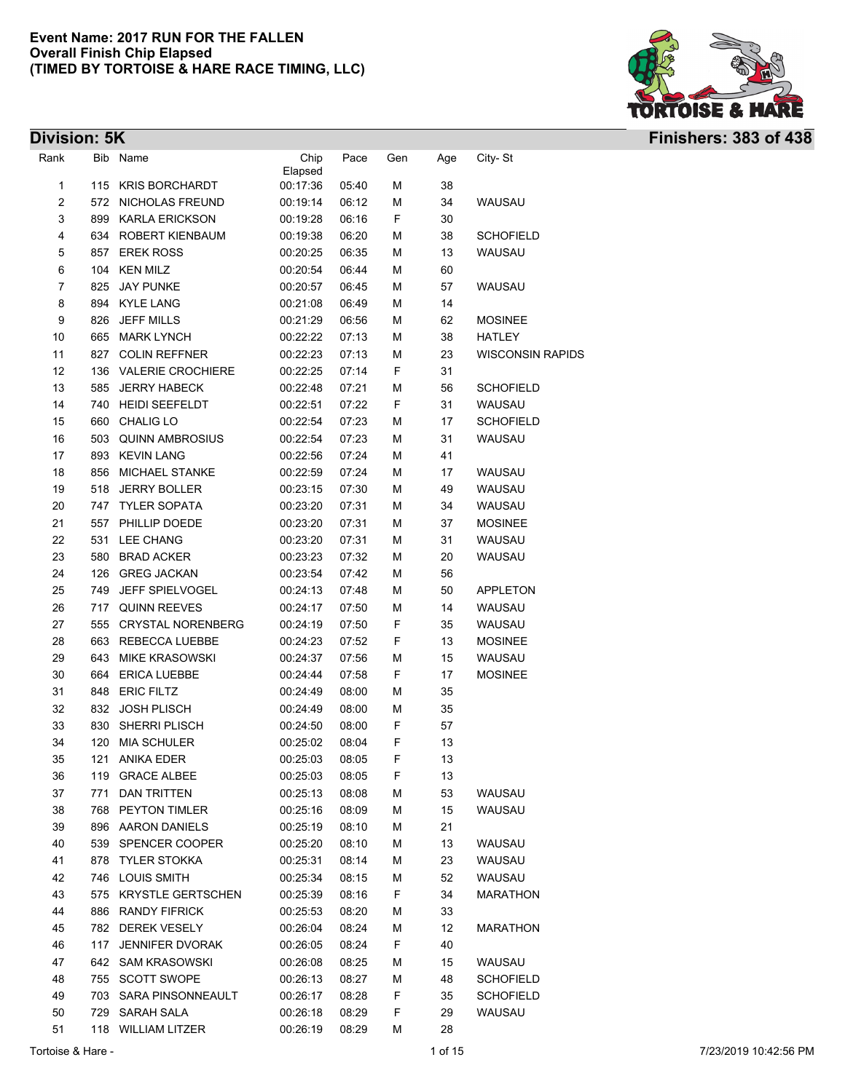

| <b>Division: 5K</b>     |     |                       |                 |       |     |     |                         | <b>Finishers: 383 of 438</b> |
|-------------------------|-----|-----------------------|-----------------|-------|-----|-----|-------------------------|------------------------------|
| Rank                    |     | Bib Name              | Chip<br>Elapsed | Pace  | Gen | Age | City-St                 |                              |
| 1                       |     | 115 KRIS BORCHARDT    | 00:17:36        | 05:40 | М   | 38  |                         |                              |
| $\overline{\mathbf{c}}$ |     | 572 NICHOLAS FREUND   | 00:19:14        | 06:12 | М   | 34  | WAUSAU                  |                              |
| 3                       |     | 899 KARLA ERICKSON    | 00:19:28        | 06:16 | F   | 30  |                         |                              |
| 4                       |     | 634 ROBERT KIENBAUM   | 00:19:38        | 06:20 | м   | 38  | <b>SCHOFIELD</b>        |                              |
| 5                       | 857 | <b>EREK ROSS</b>      | 00:20:25        | 06:35 | м   | 13  | WAUSAU                  |                              |
| 6                       |     | 104 KEN MILZ          | 00:20:54        | 06:44 | М   | 60  |                         |                              |
| 7                       |     | 825 JAY PUNKE         | 00:20:57        | 06:45 | М   | 57  | WAUSAU                  |                              |
| 8                       |     | 894 KYLE LANG         | 00:21:08        | 06:49 | м   | 14  |                         |                              |
| 9                       |     | 826 JEFF MILLS        | 00:21:29        | 06:56 | м   | 62  | <b>MOSINEE</b>          |                              |
| 10                      |     | 665 MARK LYNCH        | 00:22:22        | 07:13 | м   | 38  | <b>HATLEY</b>           |                              |
| 11                      |     | 827 COLIN REFFNER     | 00:22:23        | 07:13 | м   | 23  | <b>WISCONSIN RAPIDS</b> |                              |
| 12                      |     | 136 VALERIE CROCHIERE | 00:22:25        | 07:14 | F   | 31  |                         |                              |
| 13                      |     | 585 JERRY HABECK      | 00:22:48        | 07:21 | м   | 56  | <b>SCHOFIELD</b>        |                              |
| 14                      |     | 740 HEIDI SEEFELDT    | 00:22:51        | 07:22 | F   | 31  | WAUSAU                  |                              |
| 15                      |     | 660 CHALIG LO         | 00:22:54        | 07:23 | м   | 17  | <b>SCHOFIELD</b>        |                              |
| 16                      |     | 503 QUINN AMBROSIUS   | 00:22:54        | 07:23 | M   | 31  | WAUSAU                  |                              |
| 17                      |     | 893 KEVIN LANG        | 00:22:56        | 07:24 | M   | 41  |                         |                              |
| 18                      |     | 856 MICHAEL STANKE    | 00:22:59        | 07:24 | М   | 17  | WAUSAU                  |                              |
| 19                      |     | 518 JERRY BOLLER      | 00:23:15        | 07:30 | М   | 49  | WAUSAU                  |                              |
| 20                      |     | 747 TYLER SOPATA      | 00:23:20        | 07:31 | М   | 34  | WAUSAU                  |                              |
| 21                      |     | 557 PHILLIP DOEDE     | 00:23:20        | 07:31 | М   | 37  | <b>MOSINEE</b>          |                              |
| 22                      |     | 531 LEE CHANG         | 00:23:20        | 07:31 | М   | 31  | WAUSAU                  |                              |
| 23                      |     | 580 BRAD ACKER        | 00:23:23        | 07:32 | М   | 20  | WAUSAU                  |                              |
| 24                      |     | 126 GREG JACKAN       | 00:23:54        | 07:42 | М   | 56  |                         |                              |
| 25                      |     | 749 JEFF SPIELVOGEL   | 00:24:13        | 07:48 | М   | 50  | APPLETON                |                              |
| 26                      |     | 717 QUINN REEVES      | 00:24:17        | 07:50 | м   | 14  | WAUSAU                  |                              |
| 27                      |     | 555 CRYSTAL NORENBERG | 00:24:19        | 07:50 | F   | 35  | WAUSAU                  |                              |
| 28                      |     | 663 REBECCA LUEBBE    | 00:24:23        | 07:52 | F   | 13  | <b>MOSINEE</b>          |                              |
| 29                      |     | 643 MIKE KRASOWSKI    | 00:24:37        | 07:56 | М   | 15  | WAUSAU                  |                              |
| 30                      |     | 664 ERICA LUEBBE      | 00:24:44        | 07:58 | F.  | 17  | <b>MOSINEE</b>          |                              |
| 31                      |     | 848 ERIC FILTZ        | 00:24:49        | 08:00 | М   | 35  |                         |                              |
| 32                      |     | 832 JOSH PLISCH       | 00:24:49        | 08:00 | м   | 35  |                         |                              |
| 33                      |     | 830 SHERRI PLISCH     | 00:24:50        | 08:00 | F   | 57  |                         |                              |
| 34                      |     | 120 MIA SCHULER       | 00:25:02        | 08:04 | F.  | 13  |                         |                              |
| 35                      |     | 121 ANIKA EDER        | 00:25:03        | 08:05 | F   | 13  |                         |                              |
| 36                      |     | 119 GRACE ALBEE       | 00:25:03        | 08:05 | F   | 13  |                         |                              |
| 37                      |     | 771 DAN TRITTEN       | 00:25:13        | 08:08 | м   | 53  | WAUSAU                  |                              |
| 38                      |     | 768 PEYTON TIMLER     | 00:25:16        | 08:09 | м   | 15  | WAUSAU                  |                              |
| 39                      |     | 896 AARON DANIELS     | 00:25:19        | 08:10 | м   | 21  |                         |                              |
| 40                      |     | 539 SPENCER COOPER    | 00:25:20        | 08:10 | м   | 13  | WAUSAU                  |                              |
| 41                      |     | 878 TYLER STOKKA      | 00:25:31        | 08:14 | м   | 23  | WAUSAU                  |                              |
| 42                      |     | 746 LOUIS SMITH       | 00:25:34        | 08:15 | м   | 52  | WAUSAU                  |                              |
| 43                      |     | 575 KRYSTLE GERTSCHEN | 00:25:39        | 08:16 | F.  | 34  | <b>MARATHON</b>         |                              |
| 44                      |     | 886 RANDY FIFRICK     | 00:25:53        | 08:20 | м   | 33  |                         |                              |
| 45                      |     | 782 DEREK VESELY      | 00:26:04        | 08:24 | M   | 12  | <b>MARATHON</b>         |                              |
| 46                      |     | 117 JENNIFER DVORAK   | 00:26:05        | 08:24 | F.  | 40  |                         |                              |
| 47                      |     | 642 SAM KRASOWSKI     | 00:26:08        | 08:25 | м   | 15  | WAUSAU                  |                              |
| 48                      |     | 755 SCOTT SWOPE       | 00:26:13        | 08:27 | м   | 48  | <b>SCHOFIELD</b>        |                              |
| 49                      |     | 703 SARA PINSONNEAULT | 00:26:17        | 08:28 | F.  | 35  | <b>SCHOFIELD</b>        |                              |
| 50                      |     | 729 SARAH SALA        | 00:26:18        | 08:29 | F   | 29  | WAUSAU                  |                              |
| 51                      |     | 118 WILLIAM LITZER    | 00:26:19        | 08:29 | м   | 28  |                         |                              |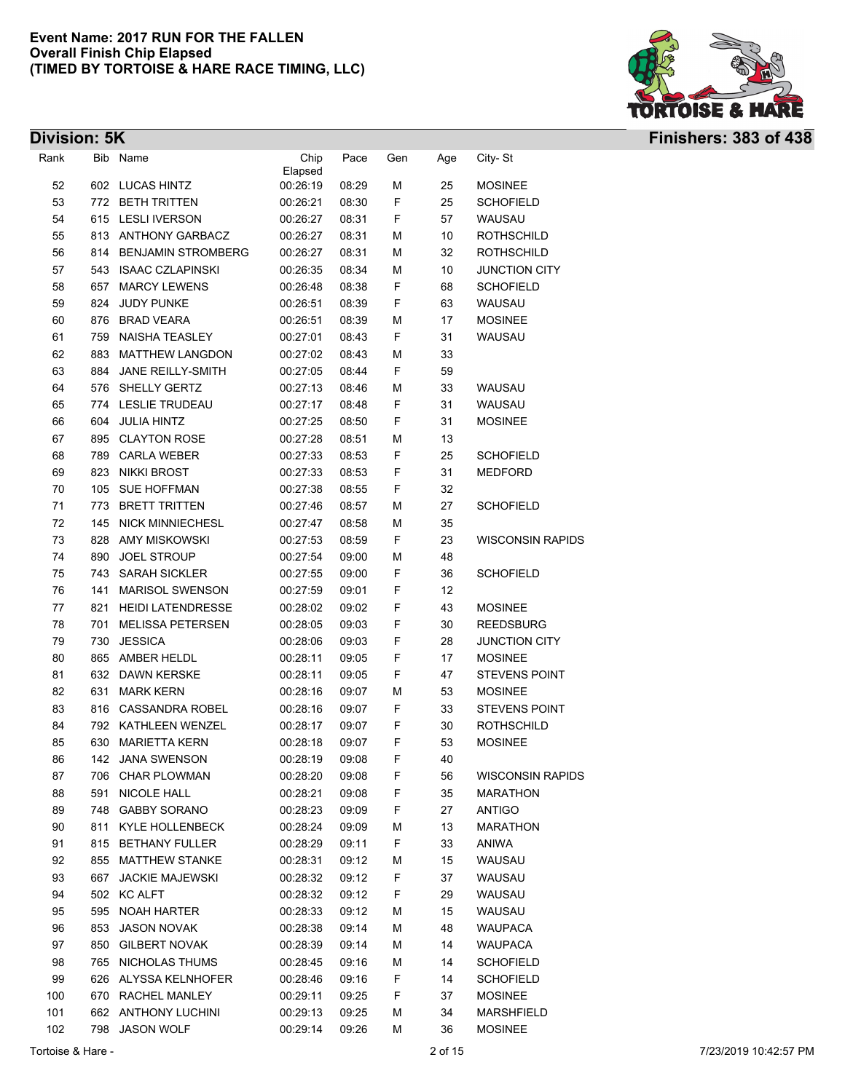

| Rank |     | Bib Name                                    | Chip<br>Elapsed      | Pace           | Gen | Age               | City-St                 |
|------|-----|---------------------------------------------|----------------------|----------------|-----|-------------------|-------------------------|
| 52   |     | 602 LUCAS HINTZ                             | 00:26:19             | 08:29          | M   | 25                | <b>MOSINEE</b>          |
| 53   |     | 772 BETH TRITTEN                            | 00:26:21             | 08:30          | F   | 25                | <b>SCHOFIELD</b>        |
| 54   |     | 615 LESLI IVERSON                           | 00:26:27             | 08:31          | F   | 57                | WAUSAU                  |
| 55   |     | 813 ANTHONY GARBACZ                         | 00:26:27             | 08:31          | М   | 10                | <b>ROTHSCHILD</b>       |
| 56   |     | 814 BENJAMIN STROMBERG                      | 00:26:27             | 08:31          | M   | 32                | <b>ROTHSCHILD</b>       |
| 57   |     | 543 ISAAC CZLAPINSKI                        | 00:26:35             | 08:34          | M   | 10                | <b>JUNCTION CITY</b>    |
| 58   |     | 657 MARCY LEWENS                            | 00:26:48             | 08:38          | F   | 68                | <b>SCHOFIELD</b>        |
| 59   |     | 824 JUDY PUNKE                              | 00:26:51             | 08:39          | F   | 63                | WAUSAU                  |
| 60   |     | 876 BRAD VEARA                              | 00:26:51             | 08:39          | М   | 17                | <b>MOSINEE</b>          |
| 61   |     | 759 NAISHA TEASLEY                          | 00:27:01             | 08:43          | F   | 31                | WAUSAU                  |
| 62   |     | 883 MATTHEW LANGDON                         | 00:27:02             | 08:43          | М   | 33                |                         |
| 63   |     | 884 JANE REILLY-SMITH                       | 00:27:05             | 08:44          | F   | 59                |                         |
| 64   |     | 576 SHELLY GERTZ                            | 00:27:13             | 08:46          | М   | 33                | WAUSAU                  |
| 65   |     | 774 LESLIE TRUDEAU                          | 00:27:17             | 08:48          | F   | 31                | WAUSAU                  |
| 66   |     | 604 JULIA HINTZ                             | 00:27:25             | 08:50          | F   | 31                | <b>MOSINEE</b>          |
| 67   |     | 895 CLAYTON ROSE                            | 00:27:28             | 08:51          | М   | 13                |                         |
| 68   |     | 789 CARLA WEBER                             | 00:27:33             | 08:53          | F   | 25                | <b>SCHOFIELD</b>        |
| 69   | 823 | <b>NIKKI BROST</b>                          | 00:27:33             | 08:53          | F   | 31                | <b>MEDFORD</b>          |
| 70   |     | 105 SUE HOFFMAN                             | 00:27:38             | 08:55          | F   | 32                |                         |
| 71   |     | 773 BRETT TRITTEN                           | 00:27:46             | 08:57          | М   | 27                | <b>SCHOFIELD</b>        |
| 72   |     | 145 NICK MINNIECHESL                        | 00:27:47             | 08:58          | М   | 35                |                         |
| 73   |     | 828 AMY MISKOWSKI                           | 00:27:53             | 08:59          | F   | 23                | <b>WISCONSIN RAPIDS</b> |
| 74   | 890 | <b>JOEL STROUP</b>                          | 00:27:54             | 09:00          | М   | 48                |                         |
| 75   |     | 743 SARAH SICKLER                           | 00:27:55             | 09:00          | F   | 36                | <b>SCHOFIELD</b>        |
| 76   | 141 | <b>MARISOL SWENSON</b>                      | 00:27:59             | 09:01          | F   | $12 \overline{ }$ |                         |
| 77   | 821 | <b>HEIDI LATENDRESSE</b>                    | 00:28:02             | 09:02          | F   | 43                | <b>MOSINEE</b>          |
| 78   | 701 | <b>MELISSA PETERSEN</b>                     | 00:28:05             | 09:03          | F   | 30                | <b>REEDSBURG</b>        |
| 79   |     | 730 JESSICA                                 | 00:28:06             | 09:03          | F   | 28                | <b>JUNCTION CITY</b>    |
| 80   |     | 865 AMBER HELDL                             | 00:28:11             | 09:05          | F   | 17                | <b>MOSINEE</b>          |
| 81   |     | 632 DAWN KERSKE                             | 00:28:11             | 09:05          | F   | 47                | <b>STEVENS POINT</b>    |
| 82   |     | 631 MARK KERN                               | 00:28:16             | 09:07          | М   | 53                | <b>MOSINEE</b>          |
| 83   |     | 816 CASSANDRA ROBEL                         | 00:28:16             | 09:07          | F   | 33                | <b>STEVENS POINT</b>    |
| 84   |     | 792 KATHLEEN WENZEL                         | 00:28:17             | 09:07          | F   | 30                | ROTHSCHILD              |
| 85   |     | 630 MARIETTA KERN                           | 00:28:18             | 09:07          | F   | 53                | <b>MOSINEE</b>          |
| 86   |     | 142 JANA SWENSON                            | 00:28:19             | 09:08          | F   | 40                |                         |
| 87   |     | 706 CHAR PLOWMAN                            | 00:28:20             | 09:08          | F   | 56                | <b>WISCONSIN RAPIDS</b> |
| 88   | 591 | NICOLE HALL                                 | 00:28:21             | 09:08          | F   | 35                | <b>MARATHON</b>         |
| 89   |     | 748 GABBY SORANO                            | 00:28:23             | 09:09          | F   | 27                | <b>ANTIGO</b>           |
| 90   | 811 | KYLE HOLLENBECK                             | 00:28:24             | 09:09          | М   | 13                | <b>MARATHON</b>         |
| 91   |     |                                             |                      |                | F   |                   |                         |
| 92   |     | 815 BETHANY FULLER<br><b>MATTHEW STANKE</b> | 00:28:29<br>00:28:31 | 09:11<br>09:12 |     | 33                | ANIWA<br>WAUSAU         |
|      | 855 |                                             |                      |                | М   | 15                |                         |
| 93   | 667 | <b>JACKIE MAJEWSKI</b>                      | 00:28:32             | 09:12          | F   | 37                | WAUSAU                  |
| 94   |     | 502 KC ALFT                                 | 00:28:32             | 09:12          | F   | 29                | WAUSAU                  |
| 95   |     | 595 NOAH HARTER                             | 00:28:33             | 09:12          | M   | 15                | WAUSAU                  |
| 96   | 853 | <b>JASON NOVAK</b>                          | 00:28:38             | 09:14          | M   | 48                | <b>WAUPACA</b>          |
| 97   | 850 | <b>GILBERT NOVAK</b>                        | 00:28:39             | 09:14          | M   | 14                | <b>WAUPACA</b>          |
| 98   | 765 | NICHOLAS THUMS                              | 00:28:45             | 09:16          | М   | 14                | <b>SCHOFIELD</b>        |
| 99   |     | 626 ALYSSA KELNHOFER                        | 00:28:46             | 09:16          | F.  | 14                | <b>SCHOFIELD</b>        |
| 100  |     | 670 RACHEL MANLEY                           | 00:29:11             | 09:25          | F   | 37                | <b>MOSINEE</b>          |
| 101  |     | 662 ANTHONY LUCHINI                         | 00:29:13             | 09:25          | M   | 34                | <b>MARSHFIELD</b>       |
| 102  |     | 798 JASON WOLF                              | 00:29:14             | 09:26          | М   | 36                | <b>MOSINEE</b>          |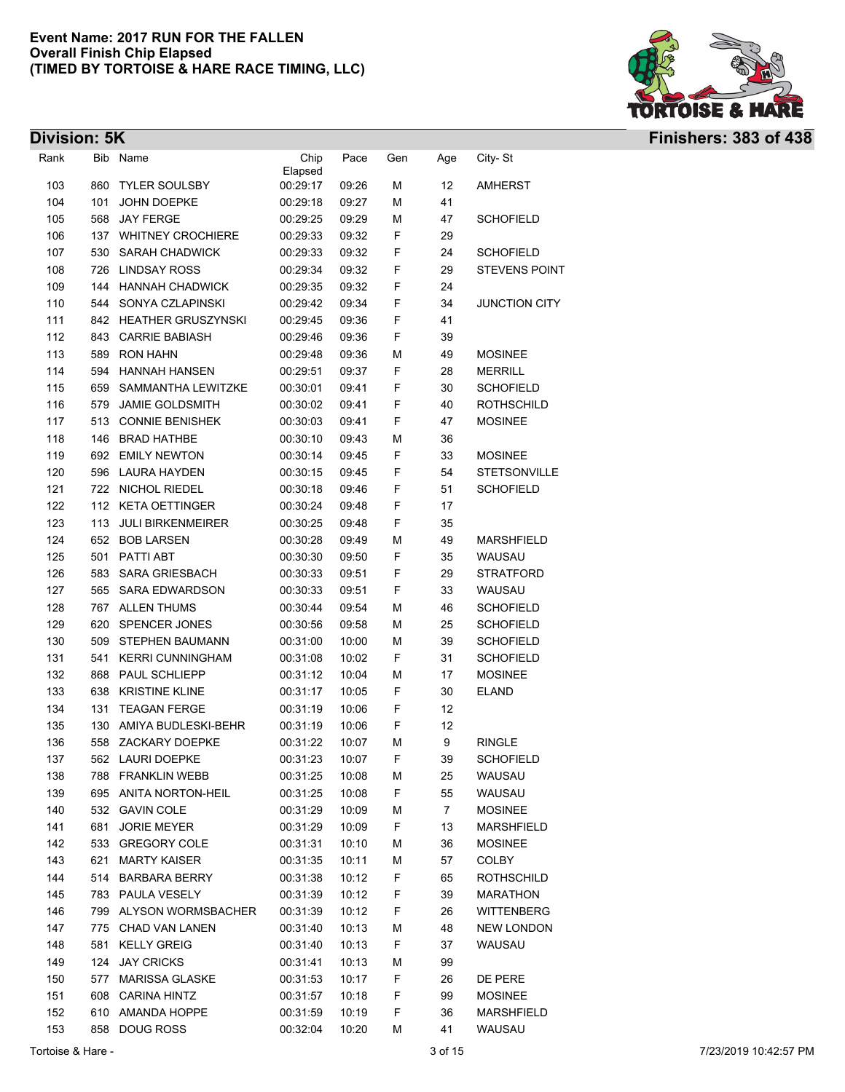

| <b>Division: 5K</b> |     |                         |                 |       |     |     |                      | <b>Finishers: 383 of 438</b> |
|---------------------|-----|-------------------------|-----------------|-------|-----|-----|----------------------|------------------------------|
| Rank                |     | Bib Name                | Chip<br>Elapsed | Pace  | Gen | Age | City-St              |                              |
| 103                 |     | 860 TYLER SOULSBY       | 00:29:17        | 09:26 | М   | 12  | AMHERST              |                              |
| 104                 | 101 | JOHN DOEPKE             | 00:29:18        | 09:27 | М   | 41  |                      |                              |
| 105                 |     | 568 JAY FERGE           | 00:29:25        | 09:29 | М   | 47  | <b>SCHOFIELD</b>     |                              |
| 106                 |     | 137 WHITNEY CROCHIERE   | 00:29:33        | 09:32 | F   | 29  |                      |                              |
| 107                 |     | 530 SARAH CHADWICK      | 00:29:33        | 09:32 | F   | 24  | <b>SCHOFIELD</b>     |                              |
| 108                 |     | 726 LINDSAY ROSS        | 00:29:34        | 09:32 | F   | 29  | <b>STEVENS POINT</b> |                              |
| 109                 |     | 144 HANNAH CHADWICK     | 00:29:35        | 09:32 | F   | 24  |                      |                              |
| 110                 |     | 544 SONYA CZLAPINSKI    | 00:29:42        | 09:34 | F   | 34  | <b>JUNCTION CITY</b> |                              |
| 111                 |     | 842 HEATHER GRUSZYNSKI  | 00:29:45        | 09:36 | F   | 41  |                      |                              |
| 112                 |     | 843 CARRIE BABIASH      | 00:29:46        | 09:36 | F   | 39  |                      |                              |
| 113                 |     | 589 RON HAHN            | 00:29:48        | 09:36 | М   | 49  | <b>MOSINEE</b>       |                              |
| 114                 |     | 594 HANNAH HANSEN       | 00:29:51        | 09:37 | F   | 28  | <b>MERRILL</b>       |                              |
| 115                 |     | 659 SAMMANTHA LEWITZKE  | 00:30:01        | 09:41 | F   | 30  | <b>SCHOFIELD</b>     |                              |
| 116                 |     | 579 JAMIE GOLDSMITH     | 00:30:02        | 09:41 | F   | 40  | ROTHSCHILD           |                              |
| 117                 |     | 513 CONNIE BENISHEK     | 00:30:03        | 09:41 | F   | 47  | <b>MOSINEE</b>       |                              |
| 118                 |     | 146 BRAD HATHBE         | 00:30:10        | 09:43 | М   | 36  |                      |                              |
| 119                 |     | 692 EMILY NEWTON        | 00:30:14        | 09:45 | F   | 33  | <b>MOSINEE</b>       |                              |
| 120                 |     | 596 LAURA HAYDEN        | 00:30:15        | 09:45 | F   | 54  | <b>STETSONVILLE</b>  |                              |
| 121                 |     | 722 NICHOL RIEDEL       | 00:30:18        | 09:46 | F   | 51  | <b>SCHOFIELD</b>     |                              |
| 122                 |     | 112 KETA OETTINGER      | 00:30:24        | 09:48 | F   | 17  |                      |                              |
| 123                 |     | 113 JULI BIRKENMEIRER   | 00:30:25        | 09:48 | F   | 35  |                      |                              |
| 124                 |     | 652 BOB LARSEN          | 00:30:28        | 09:49 | М   | 49  | <b>MARSHFIELD</b>    |                              |
| 125                 |     | 501 PATTI ABT           | 00:30:30        | 09:50 | F   | 35  | WAUSAU               |                              |
| 126                 |     | 583 SARA GRIESBACH      | 00:30:33        | 09:51 | F   | 29  | <b>STRATFORD</b>     |                              |
| 127                 |     | 565 SARA EDWARDSON      | 00:30:33        | 09:51 | F   | 33  | WAUSAU               |                              |
| 128                 |     | 767 ALLEN THUMS         | 00:30:44        | 09:54 | М   | 46  | <b>SCHOFIELD</b>     |                              |
| 129                 |     | 620 SPENCER JONES       | 00:30:56        | 09:58 | М   | 25  | <b>SCHOFIELD</b>     |                              |
| 130                 |     | 509 STEPHEN BAUMANN     | 00:31:00        | 10:00 | М   | 39  | <b>SCHOFIELD</b>     |                              |
| 131                 | 541 | <b>KERRI CUNNINGHAM</b> | 00:31:08        | 10:02 | F.  | 31  | <b>SCHOFIELD</b>     |                              |
| 132                 |     | 868 PAUL SCHLIEPP       | 00:31:12        | 10:04 | М   | 17  | <b>MOSINEE</b>       |                              |
| 133                 | 638 | <b>KRISTINE KLINE</b>   | 00:31:17        | 10:05 | F   | 30  | <b>ELAND</b>         |                              |
| 134                 | 131 | <b>TEAGAN FERGE</b>     | 00:31:19        | 10:06 | F   | 12  |                      |                              |
| 135                 |     | 130 AMIYA BUDLESKI-BEHR | 00:31:19        | 10:06 | F   | 12  |                      |                              |
| 136                 |     | 558 ZACKARY DOEPKE      | 00:31:22        | 10:07 | м   | 9   | <b>RINGLE</b>        |                              |
| 137                 |     | 562 LAURI DOEPKE        | 00:31:23        | 10:07 | F   | 39  | SCHOFIELD            |                              |
| 138                 |     | 788 FRANKLIN WEBB       | 00:31:25        | 10:08 | M   | 25  | WAUSAU               |                              |
| 139                 |     | 695 ANITA NORTON-HEIL   | 00:31:25        | 10:08 | F   | 55  | WAUSAU               |                              |
| 140                 |     | 532 GAVIN COLE          | 00:31:29        | 10:09 | М   | 7   | <b>MOSINEE</b>       |                              |
| 141                 |     | 681 JORIE MEYER         | 00:31:29        | 10:09 | F.  | 13  | MARSHFIELD           |                              |
| 142                 |     | 533 GREGORY COLE        | 00:31:31        | 10:10 | М   | 36  | <b>MOSINEE</b>       |                              |
| 143                 |     | 621 MARTY KAISER        | 00:31:35        | 10:11 | М   | 57  | <b>COLBY</b>         |                              |
| 144                 |     | 514 BARBARA BERRY       | 00:31:38        | 10:12 | F   | 65  | ROTHSCHILD           |                              |
| 145                 |     | 783 PAULA VESELY        | 00:31:39        | 10:12 | F   | 39  | <b>MARATHON</b>      |                              |
| 146                 |     | 799 ALYSON WORMSBACHER  | 00:31:39        | 10:12 | F   | 26  | WITTENBERG           |                              |
| 147                 |     | 775 CHAD VAN LANEN      | 00:31:40        | 10:13 | М   | 48  | <b>NEW LONDON</b>    |                              |
| 148                 |     | 581 KELLY GREIG         | 00:31:40        | 10:13 | F   | 37  | WAUSAU               |                              |
| 149                 |     | 124 JAY CRICKS          | 00:31:41        | 10:13 | М   | 99  |                      |                              |
| 150                 |     | 577 MARISSA GLASKE      | 00:31:53        | 10:17 | F   | 26  | DE PERE              |                              |
| 151                 |     | 608 CARINA HINTZ        | 00:31:57        | 10:18 | F   | 99  | <b>MOSINEE</b>       |                              |
| 152                 |     | 610 AMANDA HOPPE        | 00:31:59        | 10:19 | F.  | 36  | <b>MARSHFIELD</b>    |                              |
| 153                 |     | 858 DOUG ROSS           | 00:32:04        | 10:20 | М   | 41  | WAUSAU               |                              |
|                     |     |                         |                 |       |     |     |                      |                              |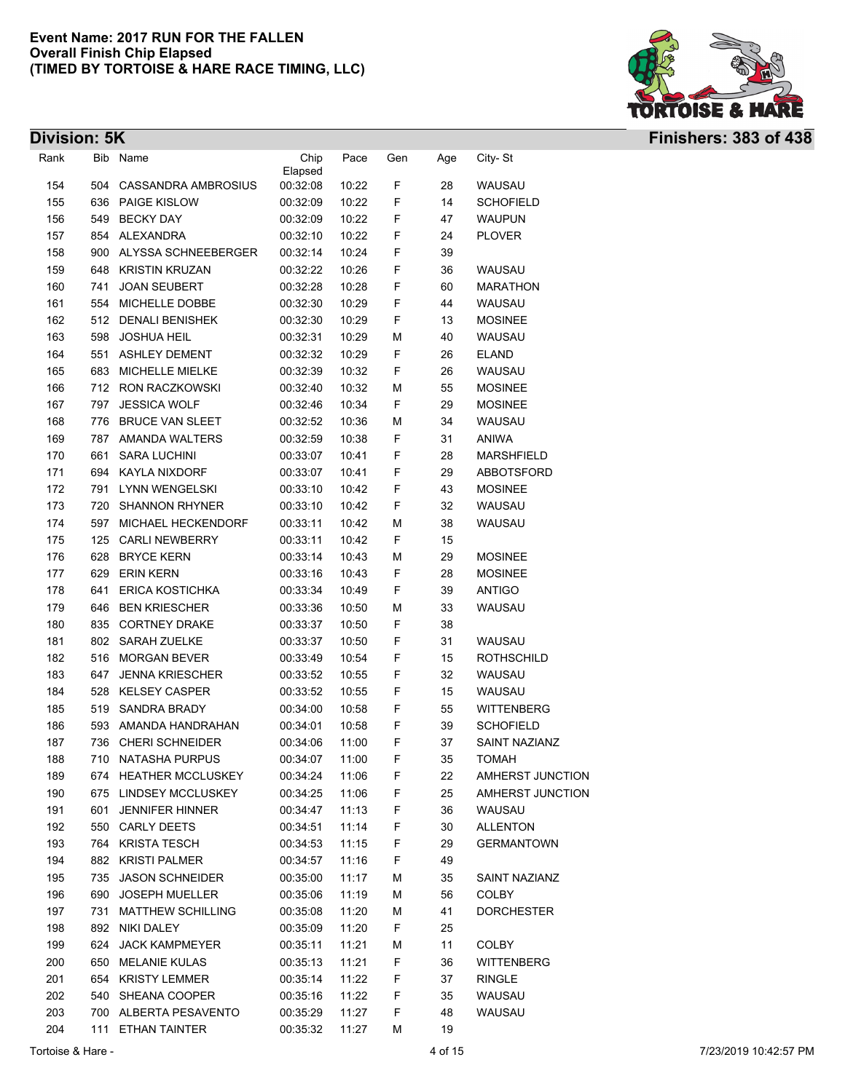

| Rank       |            | Bib Name                                     | Chip<br>Elapsed      | Pace           | Gen         | Age      | City-St              |
|------------|------------|----------------------------------------------|----------------------|----------------|-------------|----------|----------------------|
| 154        | 504        | CASSANDRA AMBROSIUS                          | 00:32:08             | 10:22          | F           | 28       | WAUSAU               |
| 155        | 636        | PAIGE KISLOW                                 | 00:32:09             | 10:22          | F           | 14       | <b>SCHOFIELD</b>     |
| 156        | 549        | <b>BECKY DAY</b>                             | 00:32:09             | 10:22          | F           | 47       | <b>WAUPUN</b>        |
| 157        | 854        | ALEXANDRA                                    | 00:32:10             | 10:22          | F           | 24       | <b>PLOVER</b>        |
| 158        | 900        | ALYSSA SCHNEEBERGER                          | 00:32:14             | 10:24          | F           | 39       |                      |
| 159        | 648        | <b>KRISTIN KRUZAN</b>                        | 00:32:22             | 10:26          | F           | 36       | <b>WAUSAU</b>        |
| 160        | 741        | <b>JOAN SEUBERT</b>                          | 00:32:28             | 10:28          | F           | 60       | <b>MARATHON</b>      |
| 161        | 554        | MICHELLE DOBBE                               | 00:32:30             | 10:29          | F           | 44       | WAUSAU               |
| 162        | 512        | <b>DENALI BENISHEK</b>                       | 00:32:30             | 10:29          | F           | 13       | <b>MOSINEE</b>       |
| 163        | 598        | <b>JOSHUA HEIL</b>                           | 00:32:31             | 10:29          | М           | 40       | WAUSAU               |
| 164        | 551        | <b>ASHLEY DEMENT</b>                         | 00:32:32             | 10:29          | F           | 26       | <b>ELAND</b>         |
| 165        | 683        | MICHELLE MIELKE                              | 00:32:39             | 10:32          | F           | 26       | <b>WAUSAU</b>        |
| 166        | 712        | RON RACZKOWSKI                               | 00:32:40             | 10:32          | М           | 55       | <b>MOSINEE</b>       |
| 167        | 797        | <b>JESSICA WOLF</b>                          | 00:32:46             | 10:34          | F           | 29       | <b>MOSINEE</b>       |
| 168        | 776        | <b>BRUCE VAN SLEET</b>                       | 00:32:52             | 10:36          | М           | 34       | WAUSAU               |
| 169        | 787        | <b>AMANDA WALTERS</b>                        | 00:32:59             | 10:38          | $\mathsf F$ | 31       | <b>ANIWA</b>         |
| 170        | 661        | <b>SARA LUCHINI</b>                          | 00:33:07             | 10:41          | $\mathsf F$ | 28       | <b>MARSHFIELD</b>    |
| 171        | 694        | KAYLA NIXDORF                                | 00:33:07             | 10:41          | F           | 29       | ABBOTSFORD           |
| 172        | 791        | <b>LYNN WENGELSKI</b>                        | 00:33:10             | 10:42          | F           | 43       | <b>MOSINEE</b>       |
| 173        | 720        | <b>SHANNON RHYNER</b>                        | 00:33:10             | 10:42          | F           | 32       | WAUSAU               |
| 174        | 597        | MICHAEL HECKENDORF                           | 00:33:11             | 10:42          | М           | 38       | WAUSAU               |
| 175        | 125        | <b>CARLI NEWBERRY</b>                        | 00:33:11             | 10:42          | F           | 15       |                      |
| 176        | 628        | <b>BRYCE KERN</b>                            | 00:33:14             | 10:43          | М           | 29       | <b>MOSINEE</b>       |
| 177        | 629        | <b>ERIN KERN</b>                             | 00:33:16             | 10:43          | F           | 28       | <b>MOSINEE</b>       |
|            | 641        | <b>ERICA KOSTICHKA</b>                       | 00:33:34             | 10:49          | F           | 39       | <b>ANTIGO</b>        |
| 178        |            |                                              |                      |                |             |          |                      |
| 179<br>180 | 646<br>835 | <b>BEN KRIESCHER</b><br><b>CORTNEY DRAKE</b> | 00:33:36<br>00:33:37 | 10:50<br>10:50 | М<br>F      | 33<br>38 | WAUSAU               |
| 181        | 802        | SARAH ZUELKE                                 | 00:33:37             | 10:50          | F           | 31       | WAUSAU               |
|            |            |                                              |                      |                | F           | 15       |                      |
| 182        | 516        | <b>MORGAN BEVER</b>                          | 00:33:49             | 10:54          |             |          | <b>ROTHSCHILD</b>    |
| 183        | 647        | <b>JENNA KRIESCHER</b>                       | 00:33:52             | 10:55          | F           | 32       | WAUSAU               |
| 184        | 528        | <b>KELSEY CASPER</b>                         | 00:33:52             | 10:55          | F           | 15       | WAUSAU               |
| 185        | 519        | SANDRA BRADY                                 | 00:34:00             | 10:58          | F           | 55       | <b>WITTENBERG</b>    |
| 186        | 593        | AMANDA HANDRAHAN                             | 00:34:01             | 10:58          | F           | 39       | <b>SCHOFIELD</b>     |
| 187        |            | 736 CHERI SCHNEIDER                          | 00:34:06             | 11:00          | F           | 37       | <b>SAINT NAZIANZ</b> |
| 188        |            | 710 NATASHA PURPUS                           | 00:34:07             | 11:00          | F           | 35       | TOMAH                |
| 189        |            | 674 HEATHER MCCLUSKEY                        | 00:34:24             | 11:06          | F.          | 22       | AMHERST JUNCTION     |
| 190        |            | 675 LINDSEY MCCLUSKEY                        | 00:34:25             | 11:06          | F           | 25       | AMHERST JUNCTION     |
| 191        |            | 601 JENNIFER HINNER                          | 00:34:47             | 11:13          | F           | 36       | WAUSAU               |
| 192        |            | 550 CARLY DEETS                              | 00:34:51             | 11:14          | F           | 30       | <b>ALLENTON</b>      |
| 193        |            | 764 KRISTA TESCH                             | 00:34:53             | 11:15          | F           | 29       | <b>GERMANTOWN</b>    |
| 194        |            | 882 KRISTI PALMER                            | 00:34:57             | 11:16          | F           | 49       |                      |
| 195        |            | 735 JASON SCHNEIDER                          | 00:35:00             | 11:17          | М           | 35       | SAINT NAZIANZ        |
| 196        |            | 690 JOSEPH MUELLER                           | 00:35:06             | 11:19          | М           | 56       | COLBY                |
| 197        |            | 731 MATTHEW SCHILLING                        | 00:35:08             | 11:20          | М           | 41       | <b>DORCHESTER</b>    |
| 198        |            | 892 NIKI DALEY                               | 00:35:09             | 11:20          | F.          | 25       |                      |
| 199        |            | 624 JACK KAMPMEYER                           | 00:35:11             | 11:21          | М           | 11       | COLBY                |
| 200        |            | 650 MELANIE KULAS                            | 00:35:13             | 11:21          | F.          | 36       | <b>WITTENBERG</b>    |
| 201        |            | 654 KRISTY LEMMER                            | 00:35:14             | 11:22          | F.          | 37       | <b>RINGLE</b>        |
| 202        |            | 540 SHEANA COOPER                            | 00:35:16             | 11:22          | F           | 35       | WAUSAU               |
| 203        |            | 700 ALBERTA PESAVENTO                        | 00:35:29             | 11:27          | F           | 48       | WAUSAU               |
| 204        |            | 111 ETHAN TAINTER                            | 00:35:32             | 11:27          | М           | 19       |                      |
|            |            |                                              |                      |                |             |          |                      |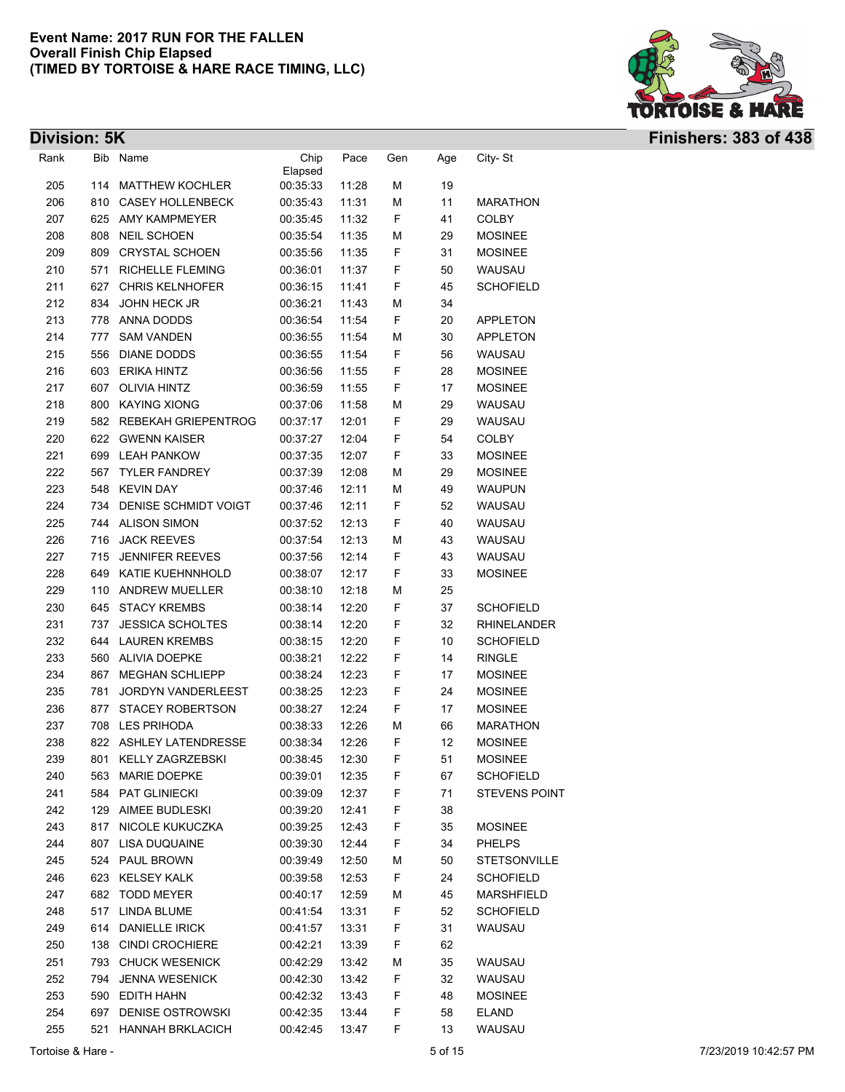

| Division: 5K |     |                           |                 |       |     |     |                      | <b>Finishers: 383 of 438</b> |
|--------------|-----|---------------------------|-----------------|-------|-----|-----|----------------------|------------------------------|
| Rank         |     | Bib Name                  | Chip<br>Elapsed | Pace  | Gen | Age | City-St              |                              |
| 205          |     | 114 MATTHEW KOCHLER       | 00:35:33        | 11:28 | М   | 19  |                      |                              |
| 206          |     | 810 CASEY HOLLENBECK      | 00:35:43        | 11:31 | М   | 11  | <b>MARATHON</b>      |                              |
| 207          |     | 625 AMY KAMPMEYER         | 00:35:45        | 11:32 | F   | 41  | <b>COLBY</b>         |                              |
| 208          | 808 | <b>NEIL SCHOEN</b>        | 00:35:54        | 11:35 | М   | 29  | <b>MOSINEE</b>       |                              |
| 209          | 809 | <b>CRYSTAL SCHOEN</b>     | 00:35:56        | 11:35 | F   | 31  | <b>MOSINEE</b>       |                              |
| 210          | 571 | <b>RICHELLE FLEMING</b>   | 00:36:01        | 11:37 | F   | 50  | WAUSAU               |                              |
| 211          | 627 | <b>CHRIS KELNHOFER</b>    | 00:36:15        | 11:41 | F   | 45  | <b>SCHOFIELD</b>     |                              |
| 212          | 834 | JOHN HECK JR              | 00:36:21        | 11:43 | М   | 34  |                      |                              |
| 213          |     | 778 ANNA DODDS            | 00:36:54        | 11:54 | F   | 20  | APPLETON             |                              |
| 214          | 777 | <b>SAM VANDEN</b>         | 00:36:55        | 11:54 | М   | 30  | APPLETON             |                              |
| 215          | 556 | <b>DIANE DODDS</b>        | 00:36:55        | 11:54 | F   | 56  | WAUSAU               |                              |
| 216          |     | 603 ERIKA HINTZ           | 00:36:56        | 11:55 | F   | 28  | <b>MOSINEE</b>       |                              |
| 217          |     | 607 OLIVIA HINTZ          | 00:36:59        | 11:55 | F   | 17  | <b>MOSINEE</b>       |                              |
| 218          |     | 800 KAYING XIONG          | 00:37:06        | 11:58 | М   | 29  | WAUSAU               |                              |
| 219          |     | 582 REBEKAH GRIEPENTROG   | 00:37:17        | 12:01 | F   | 29  | WAUSAU               |                              |
| 220          |     | 622 GWENN KAISER          | 00:37:27        | 12:04 | F   | 54  | <b>COLBY</b>         |                              |
| 221          |     | 699 LEAH PANKOW           | 00:37:35        | 12:07 | F   | 33  | <b>MOSINEE</b>       |                              |
| 222          |     | 567 TYLER FANDREY         | 00:37:39        | 12:08 | М   | 29  | <b>MOSINEE</b>       |                              |
| 223          |     | 548 KEVIN DAY             | 00:37:46        | 12:11 | М   | 49  | <b>WAUPUN</b>        |                              |
| 224          | 734 | DENISE SCHMIDT VOIGT      | 00:37:46        | 12:11 | F   | 52  | WAUSAU               |                              |
| 225          |     | 744 ALISON SIMON          | 00:37:52        | 12:13 | F   | 40  | WAUSAU               |                              |
| 226          |     | 716 JACK REEVES           | 00:37:54        | 12:13 | M   | 43  | WAUSAU               |                              |
| 227          |     | 715 JENNIFER REEVES       | 00:37:56        | 12:14 | F   | 43  | WAUSAU               |                              |
| 228          |     | 649 KATIE KUEHNNHOLD      | 00:38:07        | 12:17 | F   | 33  | <b>MOSINEE</b>       |                              |
| 229          |     | 110 ANDREW MUELLER        | 00:38:10        | 12:18 | М   | 25  |                      |                              |
| 230          |     | 645 STACY KREMBS          | 00:38:14        | 12:20 | F   | 37  | <b>SCHOFIELD</b>     |                              |
| 231          | 737 | <b>JESSICA SCHOLTES</b>   | 00:38:14        | 12:20 | F   | 32  | <b>RHINELANDER</b>   |                              |
| 232          |     | 644 LAUREN KREMBS         | 00:38:15        | 12:20 | F   | 10  | <b>SCHOFIELD</b>     |                              |
| 233          |     | 560 ALIVIA DOEPKE         | 00:38:21        | 12:22 | F   | 14  | <b>RINGLE</b>        |                              |
| 234          | 867 | <b>MEGHAN SCHLIEPP</b>    | 00:38:24        | 12:23 | F   | 17  | <b>MOSINEE</b>       |                              |
| 235          | 781 | <b>JORDYN VANDERLEEST</b> | 00:38:25        | 12:23 | F   | 24  | <b>MOSINEE</b>       |                              |
| 236          | 877 | <b>STACEY ROBERTSON</b>   | 00:38:27        | 12:24 | F   | 17  | <b>MOSINEE</b>       |                              |
| 237          |     | 708 LES PRIHODA           | 00:38:33        | 12:26 | М   | 66  | <b>MARATHON</b>      |                              |
| 238          |     | 822 ASHLEY LATENDRESSE    | 00:38:34        | 12:26 | F.  | 12  | <b>MOSINEE</b>       |                              |
| 239          |     | 801 KELLY ZAGRZEBSKI      | 00:38:45        | 12:30 | F   | 51  | <b>MOSINEE</b>       |                              |
| 240          |     | 563 MARIE DOEPKE          | 00:39:01        | 12:35 | F   | 67  | <b>SCHOFIELD</b>     |                              |
| 241          |     | 584 PAT GLINIECKI         | 00:39:09        | 12:37 | F   | 71  | <b>STEVENS POINT</b> |                              |
| 242          |     | 129 AIMEE BUDLESKI        | 00:39:20        | 12:41 | F   | 38  |                      |                              |
| 243          |     | 817 NICOLE KUKUCZKA       | 00:39:25        | 12:43 | F   | 35  | <b>MOSINEE</b>       |                              |
| 244          |     | 807 LISA DUQUAINE         | 00:39:30        | 12:44 | F   | 34  | <b>PHELPS</b>        |                              |
| 245          |     | 524 PAUL BROWN            | 00:39:49        | 12:50 | М   | 50  | <b>STETSONVILLE</b>  |                              |
| 246          |     | 623 KELSEY KALK           | 00:39:58        | 12:53 | F   | 24  | <b>SCHOFIELD</b>     |                              |
| 247          |     | 682 TODD MEYER            | 00:40:17        | 12:59 | М   | 45  | MARSHFIELD           |                              |
| 248          |     | 517 LINDA BLUME           | 00:41:54        | 13:31 | F   | 52  | <b>SCHOFIELD</b>     |                              |
| 249          |     | 614 DANIELLE IRICK        | 00:41:57        | 13:31 | F   | 31  | WAUSAU               |                              |
| 250          |     | 138 CINDI CROCHIERE       | 00:42:21        | 13:39 | F   | 62  |                      |                              |
| 251          |     | 793 CHUCK WESENICK        | 00:42:29        | 13:42 | М   | 35  | WAUSAU               |                              |
| 252          | 794 | <b>JENNA WESENICK</b>     | 00:42:30        | 13:42 | F   | 32  | WAUSAU               |                              |
| 253          |     | 590 EDITH HAHN            | 00:42:32        | 13:43 | F   | 48  | <b>MOSINEE</b>       |                              |
| 254          | 697 | <b>DENISE OSTROWSKI</b>   | 00:42:35        | 13:44 | F   | 58  | <b>ELAND</b>         |                              |
| 255          | 521 | <b>HANNAH BRKLACICH</b>   | 00:42:45        | 13:47 | F   | 13  | WAUSAU               |                              |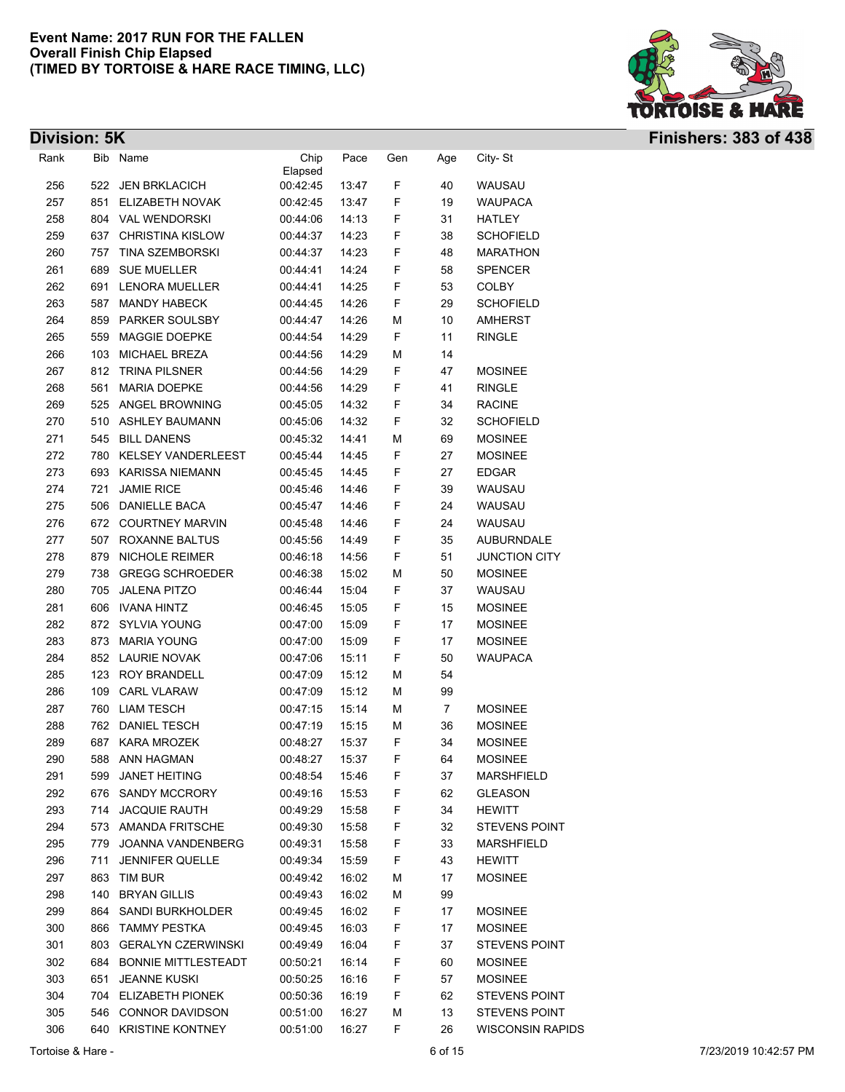

| F<br>256<br>522<br><b>JEN BRKLACICH</b><br>00:42:45<br>40<br>WAUSAU<br>13:47<br>F<br>257<br>851<br>ELIZABETH NOVAK<br>19<br><b>WAUPACA</b><br>00:42:45<br>13:47<br>F<br>258<br>804<br><b>VAL WENDORSKI</b><br>14:13<br>31<br><b>HATLEY</b><br>00:44:06<br>F<br>259<br>CHRISTINA KISLOW<br>14:23<br>38<br><b>SCHOFIELD</b><br>637<br>00:44:37<br>F<br>260<br><b>TINA SZEMBORSKI</b><br>14:23<br>48<br><b>MARATHON</b><br>757<br>00:44:37<br>F<br>261<br>689<br><b>SUE MUELLER</b><br>14:24<br>58<br><b>SPENCER</b><br>00:44:41<br>F<br>262<br><b>LENORA MUELLER</b><br>14:25<br>53<br><b>COLBY</b><br>691<br>00:44:41<br>263<br>F<br><b>MANDY HABECK</b><br>14:26<br>29<br><b>SCHOFIELD</b><br>587<br>00:44:45<br>264<br>859<br><b>PARKER SOULSBY</b><br>00:44:47<br>14:26<br>M<br>10<br><b>AMHERST</b><br>265<br><b>MAGGIE DOEPKE</b><br>14:29<br>F<br>11<br><b>RINGLE</b><br>559<br>00:44:54<br>14<br>266<br>103<br>MICHAEL BREZA<br>14:29<br>M<br>00:44:56<br>267<br><b>TRINA PILSNER</b><br>14:29<br>F<br>812<br>00:44:56<br>47<br><b>MOSINEE</b><br>268<br>F<br>41<br>561<br><b>MARIA DOEPKE</b><br>14:29<br><b>RINGLE</b><br>00:44:56<br>F<br>269<br>ANGEL BROWNING<br>14:32<br>34<br><b>RACINE</b><br>525<br>00:45:05<br>F<br>270<br>510<br>ASHLEY BAUMANN<br>00:45:06<br>14:32<br>32<br><b>SCHOFIELD</b><br>271<br><b>BILL DANENS</b><br>00:45:32<br>14:41<br>М<br>69<br><b>MOSINEE</b><br>545<br>272<br><b>KELSEY VANDERLEEST</b><br>00:45:44<br>14:45<br>F<br>27<br><b>MOSINEE</b><br>780<br>273<br>F<br>693<br><b>KARISSA NIEMANN</b><br>14:45<br>27<br><b>EDGAR</b><br>00:45:45<br>274<br><b>JAMIE RICE</b><br>F<br>721<br>14:46<br>39<br>WAUSAU<br>00:45:46<br>275<br><b>DANIELLE BACA</b><br>14:46<br>F<br>WAUSAU<br>506<br>00:45:47<br>24<br>276<br>672 COURTNEY MARVIN<br>14:46<br>F<br>WAUSAU<br>00:45:48<br>24<br>277<br>507<br>ROXANNE BALTUS<br>00:45:56<br>14:49<br>F<br>35<br><b>AUBURNDALE</b><br>278<br>879<br><b>NICHOLE REIMER</b><br>00:46:18<br>14:56<br>F<br>51<br><b>JUNCTION CITY</b><br>279<br>738<br><b>GREGG SCHROEDER</b><br>00:46:38<br>15:02<br><b>MOSINEE</b><br>М<br>50<br>280<br>F<br>705<br><b>JALENA PITZO</b><br>00:46:44<br>15:04<br>37<br>WAUSAU<br>F<br>281<br>606<br>IVANA HINTZ<br>15:05<br>15<br><b>MOSINEE</b><br>00:46:45<br>F<br>282<br>872 SYLVIA YOUNG<br>15:09<br>17<br>00:47:00<br><b>MOSINEE</b><br>F<br>283<br><b>MARIA YOUNG</b><br>00:47:00<br>15:09<br>17<br><b>MOSINEE</b><br>873<br>284<br>F<br>852 LAURIE NOVAK<br>15:11<br>50<br><b>WAUPACA</b><br>00:47:06<br>285<br>123<br><b>ROY BRANDELL</b><br>15:12<br>М<br>54<br>00:47:09<br>286<br>109<br><b>CARL VLARAW</b><br>М<br>99<br>00:47:09<br>15:12<br>$\overline{7}$<br>287<br>760<br><b>LIAM TESCH</b><br><b>MOSINEE</b><br>00:47:15<br>15:14<br>М<br>288<br><b>DANIEL TESCH</b><br>36<br>762<br>00:47:19<br>15:15<br>М<br><b>MOSINEE</b><br>289<br>687<br><b>KARA MROZEK</b><br>00:48:27<br>15:37<br>F<br>34<br><b>MOSINEE</b><br>F<br>290<br>588<br>ANN HAGMAN<br>00:48:27<br>15:37<br>64<br><b>MOSINEE</b><br>291<br>F<br><b>MARSHFIELD</b><br>599<br><b>JANET HEITING</b><br>00:48:54<br>15:46<br>37<br>292<br>676 SANDY MCCRORY<br>15:53<br>F<br><b>GLEASON</b><br>00:49:16<br>62<br>293<br>714 JACQUIE RAUTH<br>15:58<br>F<br>00:49:29<br>34<br><b>HEWITT</b><br>294<br>F<br>573 AMANDA FRITSCHE<br>00:49:30<br>15:58<br>32<br><b>STEVENS POINT</b><br>295<br>15:58<br>F<br>779 JOANNA VANDENBERG<br>00:49:31<br>33<br>MARSHFIELD<br>296<br><b>JENNIFER QUELLE</b><br>00:49:34<br>15:59<br>F<br>43<br><b>HEWITT</b><br>711<br>297<br>TIM BUR<br>16:02<br><b>MOSINEE</b><br>863<br>00:49:42<br>17<br>M<br>298<br>16:02<br>140 BRYAN GILLIS<br>00:49:43<br>99<br>M<br>299<br>SANDI BURKHOLDER<br>16:02<br>864<br>00:49:45<br>F<br>17<br><b>MOSINEE</b><br>300<br>16:03<br>866<br>TAMMY PESTKA<br>00:49:45<br>F<br>17<br><b>MOSINEE</b><br>301<br><b>GERALYN CZERWINSKI</b><br>16:04<br>F<br>STEVENS POINT<br>803<br>00:49:49<br>37<br>302<br><b>BONNIE MITTLESTEADT</b><br>16:14<br>F<br><b>MOSINEE</b><br>684<br>00:50:21<br>60<br>303<br><b>JEANNE KUSKI</b><br>F<br><b>MOSINEE</b><br>651<br>00:50:25<br>16:16<br>57<br>304<br>F<br><b>STEVENS POINT</b><br>704 ELIZABETH PIONEK<br>00:50:36<br>16:19<br>62<br>305<br>546 CONNOR DAVIDSON<br>00:51:00<br>16:27<br>13<br><b>STEVENS POINT</b><br>M<br>306<br>00:51:00<br>F<br>640 KRISTINE KONTNEY<br>16:27<br>26<br><b>WISCONSIN RAPIDS</b> | Rank | Bib Name | Chip<br>Elapsed | Pace | Gen | Age | City-St |
|-----------------------------------------------------------------------------------------------------------------------------------------------------------------------------------------------------------------------------------------------------------------------------------------------------------------------------------------------------------------------------------------------------------------------------------------------------------------------------------------------------------------------------------------------------------------------------------------------------------------------------------------------------------------------------------------------------------------------------------------------------------------------------------------------------------------------------------------------------------------------------------------------------------------------------------------------------------------------------------------------------------------------------------------------------------------------------------------------------------------------------------------------------------------------------------------------------------------------------------------------------------------------------------------------------------------------------------------------------------------------------------------------------------------------------------------------------------------------------------------------------------------------------------------------------------------------------------------------------------------------------------------------------------------------------------------------------------------------------------------------------------------------------------------------------------------------------------------------------------------------------------------------------------------------------------------------------------------------------------------------------------------------------------------------------------------------------------------------------------------------------------------------------------------------------------------------------------------------------------------------------------------------------------------------------------------------------------------------------------------------------------------------------------------------------------------------------------------------------------------------------------------------------------------------------------------------------------------------------------------------------------------------------------------------------------------------------------------------------------------------------------------------------------------------------------------------------------------------------------------------------------------------------------------------------------------------------------------------------------------------------------------------------------------------------------------------------------------------------------------------------------------------------------------------------------------------------------------------------------------------------------------------------------------------------------------------------------------------------------------------------------------------------------------------------------------------------------------------------------------------------------------------------------------------------------------------------------------------------------------------------------------------------------------------------------------------------------------------------------------------------------------------------------------------------------------------------------------------------------------------------------------------------------------------------------------------------------------------------------------------------------------------------------------------------------------------------------------------------------------------------------------------------------------------------------------------------------------------------------------------------------------------------------------------------------------------------------------------------------------------------------------------------------------------|------|----------|-----------------|------|-----|-----|---------|
|                                                                                                                                                                                                                                                                                                                                                                                                                                                                                                                                                                                                                                                                                                                                                                                                                                                                                                                                                                                                                                                                                                                                                                                                                                                                                                                                                                                                                                                                                                                                                                                                                                                                                                                                                                                                                                                                                                                                                                                                                                                                                                                                                                                                                                                                                                                                                                                                                                                                                                                                                                                                                                                                                                                                                                                                                                                                                                                                                                                                                                                                                                                                                                                                                                                                                                                                                                                                                                                                                                                                                                                                                                                                                                                                                                                                                                                                                                                                                                                                                                                                                                                                                                                                                                                                                                                                                                                                                       |      |          |                 |      |     |     |         |
|                                                                                                                                                                                                                                                                                                                                                                                                                                                                                                                                                                                                                                                                                                                                                                                                                                                                                                                                                                                                                                                                                                                                                                                                                                                                                                                                                                                                                                                                                                                                                                                                                                                                                                                                                                                                                                                                                                                                                                                                                                                                                                                                                                                                                                                                                                                                                                                                                                                                                                                                                                                                                                                                                                                                                                                                                                                                                                                                                                                                                                                                                                                                                                                                                                                                                                                                                                                                                                                                                                                                                                                                                                                                                                                                                                                                                                                                                                                                                                                                                                                                                                                                                                                                                                                                                                                                                                                                                       |      |          |                 |      |     |     |         |
|                                                                                                                                                                                                                                                                                                                                                                                                                                                                                                                                                                                                                                                                                                                                                                                                                                                                                                                                                                                                                                                                                                                                                                                                                                                                                                                                                                                                                                                                                                                                                                                                                                                                                                                                                                                                                                                                                                                                                                                                                                                                                                                                                                                                                                                                                                                                                                                                                                                                                                                                                                                                                                                                                                                                                                                                                                                                                                                                                                                                                                                                                                                                                                                                                                                                                                                                                                                                                                                                                                                                                                                                                                                                                                                                                                                                                                                                                                                                                                                                                                                                                                                                                                                                                                                                                                                                                                                                                       |      |          |                 |      |     |     |         |
|                                                                                                                                                                                                                                                                                                                                                                                                                                                                                                                                                                                                                                                                                                                                                                                                                                                                                                                                                                                                                                                                                                                                                                                                                                                                                                                                                                                                                                                                                                                                                                                                                                                                                                                                                                                                                                                                                                                                                                                                                                                                                                                                                                                                                                                                                                                                                                                                                                                                                                                                                                                                                                                                                                                                                                                                                                                                                                                                                                                                                                                                                                                                                                                                                                                                                                                                                                                                                                                                                                                                                                                                                                                                                                                                                                                                                                                                                                                                                                                                                                                                                                                                                                                                                                                                                                                                                                                                                       |      |          |                 |      |     |     |         |
|                                                                                                                                                                                                                                                                                                                                                                                                                                                                                                                                                                                                                                                                                                                                                                                                                                                                                                                                                                                                                                                                                                                                                                                                                                                                                                                                                                                                                                                                                                                                                                                                                                                                                                                                                                                                                                                                                                                                                                                                                                                                                                                                                                                                                                                                                                                                                                                                                                                                                                                                                                                                                                                                                                                                                                                                                                                                                                                                                                                                                                                                                                                                                                                                                                                                                                                                                                                                                                                                                                                                                                                                                                                                                                                                                                                                                                                                                                                                                                                                                                                                                                                                                                                                                                                                                                                                                                                                                       |      |          |                 |      |     |     |         |
|                                                                                                                                                                                                                                                                                                                                                                                                                                                                                                                                                                                                                                                                                                                                                                                                                                                                                                                                                                                                                                                                                                                                                                                                                                                                                                                                                                                                                                                                                                                                                                                                                                                                                                                                                                                                                                                                                                                                                                                                                                                                                                                                                                                                                                                                                                                                                                                                                                                                                                                                                                                                                                                                                                                                                                                                                                                                                                                                                                                                                                                                                                                                                                                                                                                                                                                                                                                                                                                                                                                                                                                                                                                                                                                                                                                                                                                                                                                                                                                                                                                                                                                                                                                                                                                                                                                                                                                                                       |      |          |                 |      |     |     |         |
|                                                                                                                                                                                                                                                                                                                                                                                                                                                                                                                                                                                                                                                                                                                                                                                                                                                                                                                                                                                                                                                                                                                                                                                                                                                                                                                                                                                                                                                                                                                                                                                                                                                                                                                                                                                                                                                                                                                                                                                                                                                                                                                                                                                                                                                                                                                                                                                                                                                                                                                                                                                                                                                                                                                                                                                                                                                                                                                                                                                                                                                                                                                                                                                                                                                                                                                                                                                                                                                                                                                                                                                                                                                                                                                                                                                                                                                                                                                                                                                                                                                                                                                                                                                                                                                                                                                                                                                                                       |      |          |                 |      |     |     |         |
|                                                                                                                                                                                                                                                                                                                                                                                                                                                                                                                                                                                                                                                                                                                                                                                                                                                                                                                                                                                                                                                                                                                                                                                                                                                                                                                                                                                                                                                                                                                                                                                                                                                                                                                                                                                                                                                                                                                                                                                                                                                                                                                                                                                                                                                                                                                                                                                                                                                                                                                                                                                                                                                                                                                                                                                                                                                                                                                                                                                                                                                                                                                                                                                                                                                                                                                                                                                                                                                                                                                                                                                                                                                                                                                                                                                                                                                                                                                                                                                                                                                                                                                                                                                                                                                                                                                                                                                                                       |      |          |                 |      |     |     |         |
|                                                                                                                                                                                                                                                                                                                                                                                                                                                                                                                                                                                                                                                                                                                                                                                                                                                                                                                                                                                                                                                                                                                                                                                                                                                                                                                                                                                                                                                                                                                                                                                                                                                                                                                                                                                                                                                                                                                                                                                                                                                                                                                                                                                                                                                                                                                                                                                                                                                                                                                                                                                                                                                                                                                                                                                                                                                                                                                                                                                                                                                                                                                                                                                                                                                                                                                                                                                                                                                                                                                                                                                                                                                                                                                                                                                                                                                                                                                                                                                                                                                                                                                                                                                                                                                                                                                                                                                                                       |      |          |                 |      |     |     |         |
|                                                                                                                                                                                                                                                                                                                                                                                                                                                                                                                                                                                                                                                                                                                                                                                                                                                                                                                                                                                                                                                                                                                                                                                                                                                                                                                                                                                                                                                                                                                                                                                                                                                                                                                                                                                                                                                                                                                                                                                                                                                                                                                                                                                                                                                                                                                                                                                                                                                                                                                                                                                                                                                                                                                                                                                                                                                                                                                                                                                                                                                                                                                                                                                                                                                                                                                                                                                                                                                                                                                                                                                                                                                                                                                                                                                                                                                                                                                                                                                                                                                                                                                                                                                                                                                                                                                                                                                                                       |      |          |                 |      |     |     |         |
|                                                                                                                                                                                                                                                                                                                                                                                                                                                                                                                                                                                                                                                                                                                                                                                                                                                                                                                                                                                                                                                                                                                                                                                                                                                                                                                                                                                                                                                                                                                                                                                                                                                                                                                                                                                                                                                                                                                                                                                                                                                                                                                                                                                                                                                                                                                                                                                                                                                                                                                                                                                                                                                                                                                                                                                                                                                                                                                                                                                                                                                                                                                                                                                                                                                                                                                                                                                                                                                                                                                                                                                                                                                                                                                                                                                                                                                                                                                                                                                                                                                                                                                                                                                                                                                                                                                                                                                                                       |      |          |                 |      |     |     |         |
|                                                                                                                                                                                                                                                                                                                                                                                                                                                                                                                                                                                                                                                                                                                                                                                                                                                                                                                                                                                                                                                                                                                                                                                                                                                                                                                                                                                                                                                                                                                                                                                                                                                                                                                                                                                                                                                                                                                                                                                                                                                                                                                                                                                                                                                                                                                                                                                                                                                                                                                                                                                                                                                                                                                                                                                                                                                                                                                                                                                                                                                                                                                                                                                                                                                                                                                                                                                                                                                                                                                                                                                                                                                                                                                                                                                                                                                                                                                                                                                                                                                                                                                                                                                                                                                                                                                                                                                                                       |      |          |                 |      |     |     |         |
|                                                                                                                                                                                                                                                                                                                                                                                                                                                                                                                                                                                                                                                                                                                                                                                                                                                                                                                                                                                                                                                                                                                                                                                                                                                                                                                                                                                                                                                                                                                                                                                                                                                                                                                                                                                                                                                                                                                                                                                                                                                                                                                                                                                                                                                                                                                                                                                                                                                                                                                                                                                                                                                                                                                                                                                                                                                                                                                                                                                                                                                                                                                                                                                                                                                                                                                                                                                                                                                                                                                                                                                                                                                                                                                                                                                                                                                                                                                                                                                                                                                                                                                                                                                                                                                                                                                                                                                                                       |      |          |                 |      |     |     |         |
|                                                                                                                                                                                                                                                                                                                                                                                                                                                                                                                                                                                                                                                                                                                                                                                                                                                                                                                                                                                                                                                                                                                                                                                                                                                                                                                                                                                                                                                                                                                                                                                                                                                                                                                                                                                                                                                                                                                                                                                                                                                                                                                                                                                                                                                                                                                                                                                                                                                                                                                                                                                                                                                                                                                                                                                                                                                                                                                                                                                                                                                                                                                                                                                                                                                                                                                                                                                                                                                                                                                                                                                                                                                                                                                                                                                                                                                                                                                                                                                                                                                                                                                                                                                                                                                                                                                                                                                                                       |      |          |                 |      |     |     |         |
|                                                                                                                                                                                                                                                                                                                                                                                                                                                                                                                                                                                                                                                                                                                                                                                                                                                                                                                                                                                                                                                                                                                                                                                                                                                                                                                                                                                                                                                                                                                                                                                                                                                                                                                                                                                                                                                                                                                                                                                                                                                                                                                                                                                                                                                                                                                                                                                                                                                                                                                                                                                                                                                                                                                                                                                                                                                                                                                                                                                                                                                                                                                                                                                                                                                                                                                                                                                                                                                                                                                                                                                                                                                                                                                                                                                                                                                                                                                                                                                                                                                                                                                                                                                                                                                                                                                                                                                                                       |      |          |                 |      |     |     |         |
|                                                                                                                                                                                                                                                                                                                                                                                                                                                                                                                                                                                                                                                                                                                                                                                                                                                                                                                                                                                                                                                                                                                                                                                                                                                                                                                                                                                                                                                                                                                                                                                                                                                                                                                                                                                                                                                                                                                                                                                                                                                                                                                                                                                                                                                                                                                                                                                                                                                                                                                                                                                                                                                                                                                                                                                                                                                                                                                                                                                                                                                                                                                                                                                                                                                                                                                                                                                                                                                                                                                                                                                                                                                                                                                                                                                                                                                                                                                                                                                                                                                                                                                                                                                                                                                                                                                                                                                                                       |      |          |                 |      |     |     |         |
|                                                                                                                                                                                                                                                                                                                                                                                                                                                                                                                                                                                                                                                                                                                                                                                                                                                                                                                                                                                                                                                                                                                                                                                                                                                                                                                                                                                                                                                                                                                                                                                                                                                                                                                                                                                                                                                                                                                                                                                                                                                                                                                                                                                                                                                                                                                                                                                                                                                                                                                                                                                                                                                                                                                                                                                                                                                                                                                                                                                                                                                                                                                                                                                                                                                                                                                                                                                                                                                                                                                                                                                                                                                                                                                                                                                                                                                                                                                                                                                                                                                                                                                                                                                                                                                                                                                                                                                                                       |      |          |                 |      |     |     |         |
|                                                                                                                                                                                                                                                                                                                                                                                                                                                                                                                                                                                                                                                                                                                                                                                                                                                                                                                                                                                                                                                                                                                                                                                                                                                                                                                                                                                                                                                                                                                                                                                                                                                                                                                                                                                                                                                                                                                                                                                                                                                                                                                                                                                                                                                                                                                                                                                                                                                                                                                                                                                                                                                                                                                                                                                                                                                                                                                                                                                                                                                                                                                                                                                                                                                                                                                                                                                                                                                                                                                                                                                                                                                                                                                                                                                                                                                                                                                                                                                                                                                                                                                                                                                                                                                                                                                                                                                                                       |      |          |                 |      |     |     |         |
|                                                                                                                                                                                                                                                                                                                                                                                                                                                                                                                                                                                                                                                                                                                                                                                                                                                                                                                                                                                                                                                                                                                                                                                                                                                                                                                                                                                                                                                                                                                                                                                                                                                                                                                                                                                                                                                                                                                                                                                                                                                                                                                                                                                                                                                                                                                                                                                                                                                                                                                                                                                                                                                                                                                                                                                                                                                                                                                                                                                                                                                                                                                                                                                                                                                                                                                                                                                                                                                                                                                                                                                                                                                                                                                                                                                                                                                                                                                                                                                                                                                                                                                                                                                                                                                                                                                                                                                                                       |      |          |                 |      |     |     |         |
|                                                                                                                                                                                                                                                                                                                                                                                                                                                                                                                                                                                                                                                                                                                                                                                                                                                                                                                                                                                                                                                                                                                                                                                                                                                                                                                                                                                                                                                                                                                                                                                                                                                                                                                                                                                                                                                                                                                                                                                                                                                                                                                                                                                                                                                                                                                                                                                                                                                                                                                                                                                                                                                                                                                                                                                                                                                                                                                                                                                                                                                                                                                                                                                                                                                                                                                                                                                                                                                                                                                                                                                                                                                                                                                                                                                                                                                                                                                                                                                                                                                                                                                                                                                                                                                                                                                                                                                                                       |      |          |                 |      |     |     |         |
|                                                                                                                                                                                                                                                                                                                                                                                                                                                                                                                                                                                                                                                                                                                                                                                                                                                                                                                                                                                                                                                                                                                                                                                                                                                                                                                                                                                                                                                                                                                                                                                                                                                                                                                                                                                                                                                                                                                                                                                                                                                                                                                                                                                                                                                                                                                                                                                                                                                                                                                                                                                                                                                                                                                                                                                                                                                                                                                                                                                                                                                                                                                                                                                                                                                                                                                                                                                                                                                                                                                                                                                                                                                                                                                                                                                                                                                                                                                                                                                                                                                                                                                                                                                                                                                                                                                                                                                                                       |      |          |                 |      |     |     |         |
|                                                                                                                                                                                                                                                                                                                                                                                                                                                                                                                                                                                                                                                                                                                                                                                                                                                                                                                                                                                                                                                                                                                                                                                                                                                                                                                                                                                                                                                                                                                                                                                                                                                                                                                                                                                                                                                                                                                                                                                                                                                                                                                                                                                                                                                                                                                                                                                                                                                                                                                                                                                                                                                                                                                                                                                                                                                                                                                                                                                                                                                                                                                                                                                                                                                                                                                                                                                                                                                                                                                                                                                                                                                                                                                                                                                                                                                                                                                                                                                                                                                                                                                                                                                                                                                                                                                                                                                                                       |      |          |                 |      |     |     |         |
|                                                                                                                                                                                                                                                                                                                                                                                                                                                                                                                                                                                                                                                                                                                                                                                                                                                                                                                                                                                                                                                                                                                                                                                                                                                                                                                                                                                                                                                                                                                                                                                                                                                                                                                                                                                                                                                                                                                                                                                                                                                                                                                                                                                                                                                                                                                                                                                                                                                                                                                                                                                                                                                                                                                                                                                                                                                                                                                                                                                                                                                                                                                                                                                                                                                                                                                                                                                                                                                                                                                                                                                                                                                                                                                                                                                                                                                                                                                                                                                                                                                                                                                                                                                                                                                                                                                                                                                                                       |      |          |                 |      |     |     |         |
|                                                                                                                                                                                                                                                                                                                                                                                                                                                                                                                                                                                                                                                                                                                                                                                                                                                                                                                                                                                                                                                                                                                                                                                                                                                                                                                                                                                                                                                                                                                                                                                                                                                                                                                                                                                                                                                                                                                                                                                                                                                                                                                                                                                                                                                                                                                                                                                                                                                                                                                                                                                                                                                                                                                                                                                                                                                                                                                                                                                                                                                                                                                                                                                                                                                                                                                                                                                                                                                                                                                                                                                                                                                                                                                                                                                                                                                                                                                                                                                                                                                                                                                                                                                                                                                                                                                                                                                                                       |      |          |                 |      |     |     |         |
|                                                                                                                                                                                                                                                                                                                                                                                                                                                                                                                                                                                                                                                                                                                                                                                                                                                                                                                                                                                                                                                                                                                                                                                                                                                                                                                                                                                                                                                                                                                                                                                                                                                                                                                                                                                                                                                                                                                                                                                                                                                                                                                                                                                                                                                                                                                                                                                                                                                                                                                                                                                                                                                                                                                                                                                                                                                                                                                                                                                                                                                                                                                                                                                                                                                                                                                                                                                                                                                                                                                                                                                                                                                                                                                                                                                                                                                                                                                                                                                                                                                                                                                                                                                                                                                                                                                                                                                                                       |      |          |                 |      |     |     |         |
|                                                                                                                                                                                                                                                                                                                                                                                                                                                                                                                                                                                                                                                                                                                                                                                                                                                                                                                                                                                                                                                                                                                                                                                                                                                                                                                                                                                                                                                                                                                                                                                                                                                                                                                                                                                                                                                                                                                                                                                                                                                                                                                                                                                                                                                                                                                                                                                                                                                                                                                                                                                                                                                                                                                                                                                                                                                                                                                                                                                                                                                                                                                                                                                                                                                                                                                                                                                                                                                                                                                                                                                                                                                                                                                                                                                                                                                                                                                                                                                                                                                                                                                                                                                                                                                                                                                                                                                                                       |      |          |                 |      |     |     |         |
|                                                                                                                                                                                                                                                                                                                                                                                                                                                                                                                                                                                                                                                                                                                                                                                                                                                                                                                                                                                                                                                                                                                                                                                                                                                                                                                                                                                                                                                                                                                                                                                                                                                                                                                                                                                                                                                                                                                                                                                                                                                                                                                                                                                                                                                                                                                                                                                                                                                                                                                                                                                                                                                                                                                                                                                                                                                                                                                                                                                                                                                                                                                                                                                                                                                                                                                                                                                                                                                                                                                                                                                                                                                                                                                                                                                                                                                                                                                                                                                                                                                                                                                                                                                                                                                                                                                                                                                                                       |      |          |                 |      |     |     |         |
|                                                                                                                                                                                                                                                                                                                                                                                                                                                                                                                                                                                                                                                                                                                                                                                                                                                                                                                                                                                                                                                                                                                                                                                                                                                                                                                                                                                                                                                                                                                                                                                                                                                                                                                                                                                                                                                                                                                                                                                                                                                                                                                                                                                                                                                                                                                                                                                                                                                                                                                                                                                                                                                                                                                                                                                                                                                                                                                                                                                                                                                                                                                                                                                                                                                                                                                                                                                                                                                                                                                                                                                                                                                                                                                                                                                                                                                                                                                                                                                                                                                                                                                                                                                                                                                                                                                                                                                                                       |      |          |                 |      |     |     |         |
|                                                                                                                                                                                                                                                                                                                                                                                                                                                                                                                                                                                                                                                                                                                                                                                                                                                                                                                                                                                                                                                                                                                                                                                                                                                                                                                                                                                                                                                                                                                                                                                                                                                                                                                                                                                                                                                                                                                                                                                                                                                                                                                                                                                                                                                                                                                                                                                                                                                                                                                                                                                                                                                                                                                                                                                                                                                                                                                                                                                                                                                                                                                                                                                                                                                                                                                                                                                                                                                                                                                                                                                                                                                                                                                                                                                                                                                                                                                                                                                                                                                                                                                                                                                                                                                                                                                                                                                                                       |      |          |                 |      |     |     |         |
|                                                                                                                                                                                                                                                                                                                                                                                                                                                                                                                                                                                                                                                                                                                                                                                                                                                                                                                                                                                                                                                                                                                                                                                                                                                                                                                                                                                                                                                                                                                                                                                                                                                                                                                                                                                                                                                                                                                                                                                                                                                                                                                                                                                                                                                                                                                                                                                                                                                                                                                                                                                                                                                                                                                                                                                                                                                                                                                                                                                                                                                                                                                                                                                                                                                                                                                                                                                                                                                                                                                                                                                                                                                                                                                                                                                                                                                                                                                                                                                                                                                                                                                                                                                                                                                                                                                                                                                                                       |      |          |                 |      |     |     |         |
|                                                                                                                                                                                                                                                                                                                                                                                                                                                                                                                                                                                                                                                                                                                                                                                                                                                                                                                                                                                                                                                                                                                                                                                                                                                                                                                                                                                                                                                                                                                                                                                                                                                                                                                                                                                                                                                                                                                                                                                                                                                                                                                                                                                                                                                                                                                                                                                                                                                                                                                                                                                                                                                                                                                                                                                                                                                                                                                                                                                                                                                                                                                                                                                                                                                                                                                                                                                                                                                                                                                                                                                                                                                                                                                                                                                                                                                                                                                                                                                                                                                                                                                                                                                                                                                                                                                                                                                                                       |      |          |                 |      |     |     |         |
|                                                                                                                                                                                                                                                                                                                                                                                                                                                                                                                                                                                                                                                                                                                                                                                                                                                                                                                                                                                                                                                                                                                                                                                                                                                                                                                                                                                                                                                                                                                                                                                                                                                                                                                                                                                                                                                                                                                                                                                                                                                                                                                                                                                                                                                                                                                                                                                                                                                                                                                                                                                                                                                                                                                                                                                                                                                                                                                                                                                                                                                                                                                                                                                                                                                                                                                                                                                                                                                                                                                                                                                                                                                                                                                                                                                                                                                                                                                                                                                                                                                                                                                                                                                                                                                                                                                                                                                                                       |      |          |                 |      |     |     |         |
|                                                                                                                                                                                                                                                                                                                                                                                                                                                                                                                                                                                                                                                                                                                                                                                                                                                                                                                                                                                                                                                                                                                                                                                                                                                                                                                                                                                                                                                                                                                                                                                                                                                                                                                                                                                                                                                                                                                                                                                                                                                                                                                                                                                                                                                                                                                                                                                                                                                                                                                                                                                                                                                                                                                                                                                                                                                                                                                                                                                                                                                                                                                                                                                                                                                                                                                                                                                                                                                                                                                                                                                                                                                                                                                                                                                                                                                                                                                                                                                                                                                                                                                                                                                                                                                                                                                                                                                                                       |      |          |                 |      |     |     |         |
|                                                                                                                                                                                                                                                                                                                                                                                                                                                                                                                                                                                                                                                                                                                                                                                                                                                                                                                                                                                                                                                                                                                                                                                                                                                                                                                                                                                                                                                                                                                                                                                                                                                                                                                                                                                                                                                                                                                                                                                                                                                                                                                                                                                                                                                                                                                                                                                                                                                                                                                                                                                                                                                                                                                                                                                                                                                                                                                                                                                                                                                                                                                                                                                                                                                                                                                                                                                                                                                                                                                                                                                                                                                                                                                                                                                                                                                                                                                                                                                                                                                                                                                                                                                                                                                                                                                                                                                                                       |      |          |                 |      |     |     |         |
|                                                                                                                                                                                                                                                                                                                                                                                                                                                                                                                                                                                                                                                                                                                                                                                                                                                                                                                                                                                                                                                                                                                                                                                                                                                                                                                                                                                                                                                                                                                                                                                                                                                                                                                                                                                                                                                                                                                                                                                                                                                                                                                                                                                                                                                                                                                                                                                                                                                                                                                                                                                                                                                                                                                                                                                                                                                                                                                                                                                                                                                                                                                                                                                                                                                                                                                                                                                                                                                                                                                                                                                                                                                                                                                                                                                                                                                                                                                                                                                                                                                                                                                                                                                                                                                                                                                                                                                                                       |      |          |                 |      |     |     |         |
|                                                                                                                                                                                                                                                                                                                                                                                                                                                                                                                                                                                                                                                                                                                                                                                                                                                                                                                                                                                                                                                                                                                                                                                                                                                                                                                                                                                                                                                                                                                                                                                                                                                                                                                                                                                                                                                                                                                                                                                                                                                                                                                                                                                                                                                                                                                                                                                                                                                                                                                                                                                                                                                                                                                                                                                                                                                                                                                                                                                                                                                                                                                                                                                                                                                                                                                                                                                                                                                                                                                                                                                                                                                                                                                                                                                                                                                                                                                                                                                                                                                                                                                                                                                                                                                                                                                                                                                                                       |      |          |                 |      |     |     |         |
|                                                                                                                                                                                                                                                                                                                                                                                                                                                                                                                                                                                                                                                                                                                                                                                                                                                                                                                                                                                                                                                                                                                                                                                                                                                                                                                                                                                                                                                                                                                                                                                                                                                                                                                                                                                                                                                                                                                                                                                                                                                                                                                                                                                                                                                                                                                                                                                                                                                                                                                                                                                                                                                                                                                                                                                                                                                                                                                                                                                                                                                                                                                                                                                                                                                                                                                                                                                                                                                                                                                                                                                                                                                                                                                                                                                                                                                                                                                                                                                                                                                                                                                                                                                                                                                                                                                                                                                                                       |      |          |                 |      |     |     |         |
|                                                                                                                                                                                                                                                                                                                                                                                                                                                                                                                                                                                                                                                                                                                                                                                                                                                                                                                                                                                                                                                                                                                                                                                                                                                                                                                                                                                                                                                                                                                                                                                                                                                                                                                                                                                                                                                                                                                                                                                                                                                                                                                                                                                                                                                                                                                                                                                                                                                                                                                                                                                                                                                                                                                                                                                                                                                                                                                                                                                                                                                                                                                                                                                                                                                                                                                                                                                                                                                                                                                                                                                                                                                                                                                                                                                                                                                                                                                                                                                                                                                                                                                                                                                                                                                                                                                                                                                                                       |      |          |                 |      |     |     |         |
|                                                                                                                                                                                                                                                                                                                                                                                                                                                                                                                                                                                                                                                                                                                                                                                                                                                                                                                                                                                                                                                                                                                                                                                                                                                                                                                                                                                                                                                                                                                                                                                                                                                                                                                                                                                                                                                                                                                                                                                                                                                                                                                                                                                                                                                                                                                                                                                                                                                                                                                                                                                                                                                                                                                                                                                                                                                                                                                                                                                                                                                                                                                                                                                                                                                                                                                                                                                                                                                                                                                                                                                                                                                                                                                                                                                                                                                                                                                                                                                                                                                                                                                                                                                                                                                                                                                                                                                                                       |      |          |                 |      |     |     |         |
|                                                                                                                                                                                                                                                                                                                                                                                                                                                                                                                                                                                                                                                                                                                                                                                                                                                                                                                                                                                                                                                                                                                                                                                                                                                                                                                                                                                                                                                                                                                                                                                                                                                                                                                                                                                                                                                                                                                                                                                                                                                                                                                                                                                                                                                                                                                                                                                                                                                                                                                                                                                                                                                                                                                                                                                                                                                                                                                                                                                                                                                                                                                                                                                                                                                                                                                                                                                                                                                                                                                                                                                                                                                                                                                                                                                                                                                                                                                                                                                                                                                                                                                                                                                                                                                                                                                                                                                                                       |      |          |                 |      |     |     |         |
|                                                                                                                                                                                                                                                                                                                                                                                                                                                                                                                                                                                                                                                                                                                                                                                                                                                                                                                                                                                                                                                                                                                                                                                                                                                                                                                                                                                                                                                                                                                                                                                                                                                                                                                                                                                                                                                                                                                                                                                                                                                                                                                                                                                                                                                                                                                                                                                                                                                                                                                                                                                                                                                                                                                                                                                                                                                                                                                                                                                                                                                                                                                                                                                                                                                                                                                                                                                                                                                                                                                                                                                                                                                                                                                                                                                                                                                                                                                                                                                                                                                                                                                                                                                                                                                                                                                                                                                                                       |      |          |                 |      |     |     |         |
|                                                                                                                                                                                                                                                                                                                                                                                                                                                                                                                                                                                                                                                                                                                                                                                                                                                                                                                                                                                                                                                                                                                                                                                                                                                                                                                                                                                                                                                                                                                                                                                                                                                                                                                                                                                                                                                                                                                                                                                                                                                                                                                                                                                                                                                                                                                                                                                                                                                                                                                                                                                                                                                                                                                                                                                                                                                                                                                                                                                                                                                                                                                                                                                                                                                                                                                                                                                                                                                                                                                                                                                                                                                                                                                                                                                                                                                                                                                                                                                                                                                                                                                                                                                                                                                                                                                                                                                                                       |      |          |                 |      |     |     |         |
|                                                                                                                                                                                                                                                                                                                                                                                                                                                                                                                                                                                                                                                                                                                                                                                                                                                                                                                                                                                                                                                                                                                                                                                                                                                                                                                                                                                                                                                                                                                                                                                                                                                                                                                                                                                                                                                                                                                                                                                                                                                                                                                                                                                                                                                                                                                                                                                                                                                                                                                                                                                                                                                                                                                                                                                                                                                                                                                                                                                                                                                                                                                                                                                                                                                                                                                                                                                                                                                                                                                                                                                                                                                                                                                                                                                                                                                                                                                                                                                                                                                                                                                                                                                                                                                                                                                                                                                                                       |      |          |                 |      |     |     |         |
|                                                                                                                                                                                                                                                                                                                                                                                                                                                                                                                                                                                                                                                                                                                                                                                                                                                                                                                                                                                                                                                                                                                                                                                                                                                                                                                                                                                                                                                                                                                                                                                                                                                                                                                                                                                                                                                                                                                                                                                                                                                                                                                                                                                                                                                                                                                                                                                                                                                                                                                                                                                                                                                                                                                                                                                                                                                                                                                                                                                                                                                                                                                                                                                                                                                                                                                                                                                                                                                                                                                                                                                                                                                                                                                                                                                                                                                                                                                                                                                                                                                                                                                                                                                                                                                                                                                                                                                                                       |      |          |                 |      |     |     |         |
|                                                                                                                                                                                                                                                                                                                                                                                                                                                                                                                                                                                                                                                                                                                                                                                                                                                                                                                                                                                                                                                                                                                                                                                                                                                                                                                                                                                                                                                                                                                                                                                                                                                                                                                                                                                                                                                                                                                                                                                                                                                                                                                                                                                                                                                                                                                                                                                                                                                                                                                                                                                                                                                                                                                                                                                                                                                                                                                                                                                                                                                                                                                                                                                                                                                                                                                                                                                                                                                                                                                                                                                                                                                                                                                                                                                                                                                                                                                                                                                                                                                                                                                                                                                                                                                                                                                                                                                                                       |      |          |                 |      |     |     |         |
|                                                                                                                                                                                                                                                                                                                                                                                                                                                                                                                                                                                                                                                                                                                                                                                                                                                                                                                                                                                                                                                                                                                                                                                                                                                                                                                                                                                                                                                                                                                                                                                                                                                                                                                                                                                                                                                                                                                                                                                                                                                                                                                                                                                                                                                                                                                                                                                                                                                                                                                                                                                                                                                                                                                                                                                                                                                                                                                                                                                                                                                                                                                                                                                                                                                                                                                                                                                                                                                                                                                                                                                                                                                                                                                                                                                                                                                                                                                                                                                                                                                                                                                                                                                                                                                                                                                                                                                                                       |      |          |                 |      |     |     |         |
|                                                                                                                                                                                                                                                                                                                                                                                                                                                                                                                                                                                                                                                                                                                                                                                                                                                                                                                                                                                                                                                                                                                                                                                                                                                                                                                                                                                                                                                                                                                                                                                                                                                                                                                                                                                                                                                                                                                                                                                                                                                                                                                                                                                                                                                                                                                                                                                                                                                                                                                                                                                                                                                                                                                                                                                                                                                                                                                                                                                                                                                                                                                                                                                                                                                                                                                                                                                                                                                                                                                                                                                                                                                                                                                                                                                                                                                                                                                                                                                                                                                                                                                                                                                                                                                                                                                                                                                                                       |      |          |                 |      |     |     |         |
|                                                                                                                                                                                                                                                                                                                                                                                                                                                                                                                                                                                                                                                                                                                                                                                                                                                                                                                                                                                                                                                                                                                                                                                                                                                                                                                                                                                                                                                                                                                                                                                                                                                                                                                                                                                                                                                                                                                                                                                                                                                                                                                                                                                                                                                                                                                                                                                                                                                                                                                                                                                                                                                                                                                                                                                                                                                                                                                                                                                                                                                                                                                                                                                                                                                                                                                                                                                                                                                                                                                                                                                                                                                                                                                                                                                                                                                                                                                                                                                                                                                                                                                                                                                                                                                                                                                                                                                                                       |      |          |                 |      |     |     |         |
|                                                                                                                                                                                                                                                                                                                                                                                                                                                                                                                                                                                                                                                                                                                                                                                                                                                                                                                                                                                                                                                                                                                                                                                                                                                                                                                                                                                                                                                                                                                                                                                                                                                                                                                                                                                                                                                                                                                                                                                                                                                                                                                                                                                                                                                                                                                                                                                                                                                                                                                                                                                                                                                                                                                                                                                                                                                                                                                                                                                                                                                                                                                                                                                                                                                                                                                                                                                                                                                                                                                                                                                                                                                                                                                                                                                                                                                                                                                                                                                                                                                                                                                                                                                                                                                                                                                                                                                                                       |      |          |                 |      |     |     |         |
|                                                                                                                                                                                                                                                                                                                                                                                                                                                                                                                                                                                                                                                                                                                                                                                                                                                                                                                                                                                                                                                                                                                                                                                                                                                                                                                                                                                                                                                                                                                                                                                                                                                                                                                                                                                                                                                                                                                                                                                                                                                                                                                                                                                                                                                                                                                                                                                                                                                                                                                                                                                                                                                                                                                                                                                                                                                                                                                                                                                                                                                                                                                                                                                                                                                                                                                                                                                                                                                                                                                                                                                                                                                                                                                                                                                                                                                                                                                                                                                                                                                                                                                                                                                                                                                                                                                                                                                                                       |      |          |                 |      |     |     |         |
|                                                                                                                                                                                                                                                                                                                                                                                                                                                                                                                                                                                                                                                                                                                                                                                                                                                                                                                                                                                                                                                                                                                                                                                                                                                                                                                                                                                                                                                                                                                                                                                                                                                                                                                                                                                                                                                                                                                                                                                                                                                                                                                                                                                                                                                                                                                                                                                                                                                                                                                                                                                                                                                                                                                                                                                                                                                                                                                                                                                                                                                                                                                                                                                                                                                                                                                                                                                                                                                                                                                                                                                                                                                                                                                                                                                                                                                                                                                                                                                                                                                                                                                                                                                                                                                                                                                                                                                                                       |      |          |                 |      |     |     |         |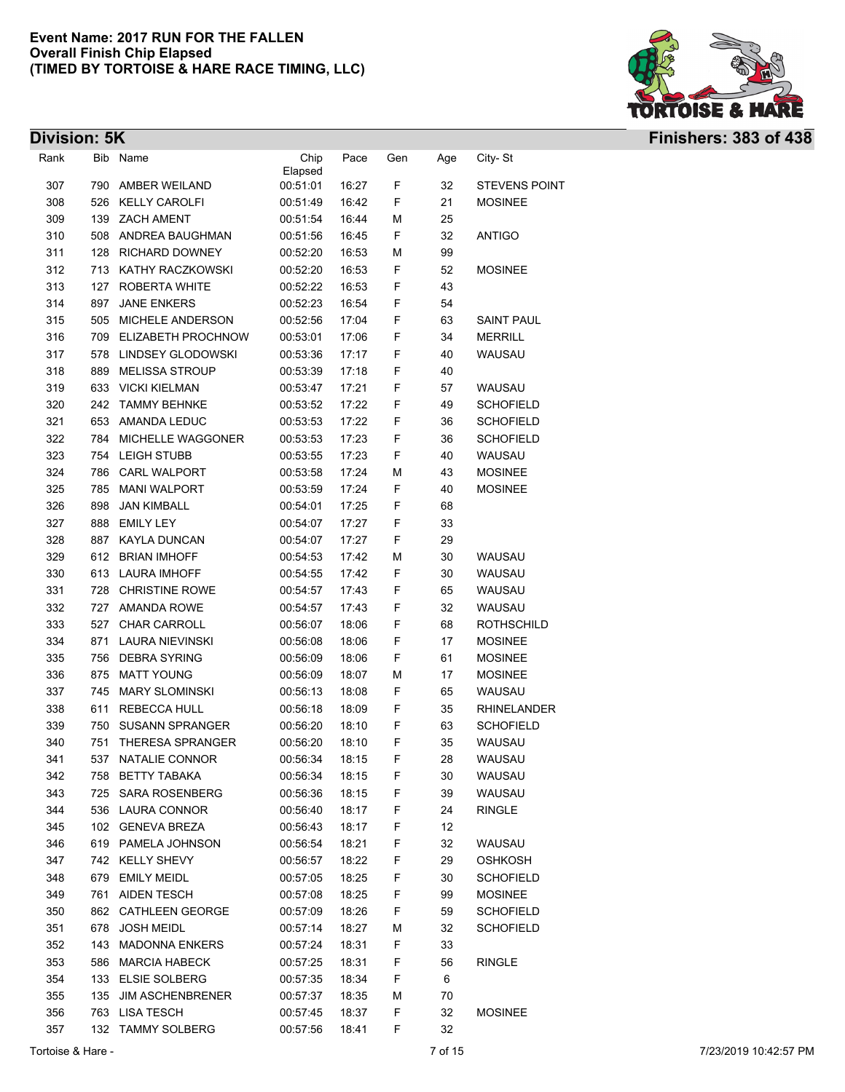

| Rank | Bib        | Name                     | Chip     | Pace  | Gen    | Age      | City-St              |
|------|------------|--------------------------|----------|-------|--------|----------|----------------------|
|      |            |                          | Elapsed  |       |        |          |                      |
| 307  | 790        | AMBER WEILAND            | 00:51:01 | 16:27 | F      | 32       | <b>STEVENS POINT</b> |
| 308  | 526        | <b>KELLY CAROLFI</b>     | 00:51:49 | 16:42 | F      | 21       | <b>MOSINEE</b>       |
| 309  | 139<br>508 | <b>ZACH AMENT</b>        | 00:51:54 | 16:44 | М<br>F | 25<br>32 |                      |
| 310  |            | ANDREA BAUGHMAN          | 00:51:56 | 16:45 |        |          | <b>ANTIGO</b>        |
| 311  | 128        | <b>RICHARD DOWNEY</b>    | 00:52:20 | 16:53 | М      | 99       |                      |
| 312  | 713        | KATHY RACZKOWSKI         | 00:52:20 | 16:53 | F      | 52       | <b>MOSINEE</b>       |
| 313  | 127        | <b>ROBERTA WHITE</b>     | 00:52:22 | 16:53 | F      | 43       |                      |
| 314  | 897        | <b>JANE ENKERS</b>       | 00:52:23 | 16:54 | F      | 54       |                      |
| 315  | 505        | MICHELE ANDERSON         | 00:52:56 | 17:04 | F      | 63       | <b>SAINT PAUL</b>    |
| 316  | 709        | ELIZABETH PROCHNOW       | 00:53:01 | 17:06 | F      | 34       | <b>MERRILL</b>       |
| 317  | 578        | LINDSEY GLODOWSKI        | 00:53:36 | 17:17 | F      | 40       | WAUSAU               |
| 318  | 889        | <b>MELISSA STROUP</b>    | 00:53:39 | 17:18 | F      | 40       |                      |
| 319  | 633        | <b>VICKI KIELMAN</b>     | 00:53:47 | 17:21 | F      | 57       | WAUSAU               |
| 320  | 242        | <b>TAMMY BEHNKE</b>      | 00:53:52 | 17:22 | F      | 49       | <b>SCHOFIELD</b>     |
| 321  | 653        | AMANDA LEDUC             | 00:53:53 | 17:22 | F      | 36       | <b>SCHOFIELD</b>     |
| 322  | 784        | <b>MICHELLE WAGGONER</b> | 00:53:53 | 17:23 | F      | 36       | <b>SCHOFIELD</b>     |
| 323  | 754        | <b>LEIGH STUBB</b>       | 00:53:55 | 17:23 | F      | 40       | <b>WAUSAU</b>        |
| 324  | 786        | <b>CARL WALPORT</b>      | 00:53:58 | 17:24 | М      | 43       | <b>MOSINEE</b>       |
| 325  | 785        | <b>MANI WALPORT</b>      | 00:53:59 | 17:24 | F      | 40       | <b>MOSINEE</b>       |
| 326  | 898        | <b>JAN KIMBALL</b>       | 00:54:01 | 17:25 | F      | 68       |                      |
| 327  | 888        | <b>EMILY LEY</b>         | 00:54:07 | 17:27 | F      | 33       |                      |
| 328  | 887        | <b>KAYLA DUNCAN</b>      | 00:54:07 | 17:27 | F      | 29       |                      |
| 329  | 612        | <b>BRIAN IMHOFF</b>      | 00:54:53 | 17:42 | М      | 30       | WAUSAU               |
| 330  | 613        | LAURA IMHOFF             | 00:54:55 | 17:42 | F      | 30       | WAUSAU               |
| 331  | 728        | <b>CHRISTINE ROWE</b>    | 00:54:57 | 17:43 | F      | 65       | WAUSAU               |
| 332  | 727        | <b>AMANDA ROWE</b>       | 00:54:57 | 17:43 | F      | 32       | WAUSAU               |
| 333  | 527        | <b>CHAR CARROLL</b>      | 00:56:07 | 18:06 | F      | 68       | <b>ROTHSCHILD</b>    |
| 334  | 871        | <b>LAURA NIEVINSKI</b>   | 00:56:08 | 18:06 | F      | 17       | <b>MOSINEE</b>       |
| 335  | 756        | <b>DEBRA SYRING</b>      | 00:56:09 | 18:06 | F      | 61       | <b>MOSINEE</b>       |
| 336  | 875        | <b>MATT YOUNG</b>        | 00:56:09 | 18:07 | M      | 17       | <b>MOSINEE</b>       |
| 337  | 745        | <b>MARY SLOMINSKI</b>    | 00:56:13 | 18:08 | F      | 65       | WAUSAU               |
| 338  | 611        | REBECCA HULL             | 00:56:18 | 18:09 | F      | 35       | <b>RHINELANDER</b>   |
| 339  | 750        | <b>SUSANN SPRANGER</b>   | 00:56:20 | 18:10 | F      | 63       | <b>SCHOFIELD</b>     |
| 340  | 751        | <b>THERESA SPRANGER</b>  | 00:56:20 | 18:10 | F      | 35       | <b>WAUSAU</b>        |
| 341  | 537        | NATALIE CONNOR           | 00:56:34 | 18:15 | F      | 28       | WAUSAU               |
| 342  |            | 758 BETTY TABAKA         | 00:56:34 | 18:15 | F      | 30       | <b>WAUSAU</b>        |
| 343  |            | 725 SARA ROSENBERG       | 00:56:36 | 18:15 | F      | 39       | WAUSAU               |
| 344  |            | 536 LAURA CONNOR         | 00:56:40 | 18:17 | F      | 24       | <b>RINGLE</b>        |
| 345  |            | 102 GENEVA BREZA         | 00:56:43 | 18:17 | F      | 12       |                      |
| 346  |            | 619 PAMELA JOHNSON       | 00:56:54 | 18:21 | F      | 32       | WAUSAU               |
| 347  |            | 742 KELLY SHEVY          | 00:56:57 | 18:22 | F      | 29       | <b>OSHKOSH</b>       |
| 348  |            | 679 EMILY MEIDL          | 00:57:05 | 18:25 | F      | 30       | <b>SCHOFIELD</b>     |
| 349  |            | 761 AIDEN TESCH          | 00:57:08 | 18:25 | F      | 99       | <b>MOSINEE</b>       |
| 350  |            | 862 CATHLEEN GEORGE      | 00:57:09 | 18:26 | F      | 59       | <b>SCHOFIELD</b>     |
| 351  |            | 678 JOSH MEIDL           | 00:57:14 | 18:27 | М      | 32       | SCHOFIELD            |
| 352  |            | 143 MADONNA ENKERS       | 00:57:24 | 18:31 | F.     | 33       |                      |
| 353  |            | 586 MARCIA HABECK        | 00:57:25 | 18:31 | F      | 56       | <b>RINGLE</b>        |
| 354  |            | 133 ELSIE SOLBERG        | 00:57:35 | 18:34 | F      | 6        |                      |
| 355  | 135        | <b>JIM ASCHENBRENER</b>  | 00:57:37 | 18:35 | М      | 70       |                      |
| 356  |            | 763 LISA TESCH           | 00:57:45 | 18:37 | F.     | 32       | <b>MOSINEE</b>       |
| 357  |            | 132 TAMMY SOLBERG        | 00:57:56 | 18:41 | F.     | 32       |                      |
|      |            |                          |          |       |        |          |                      |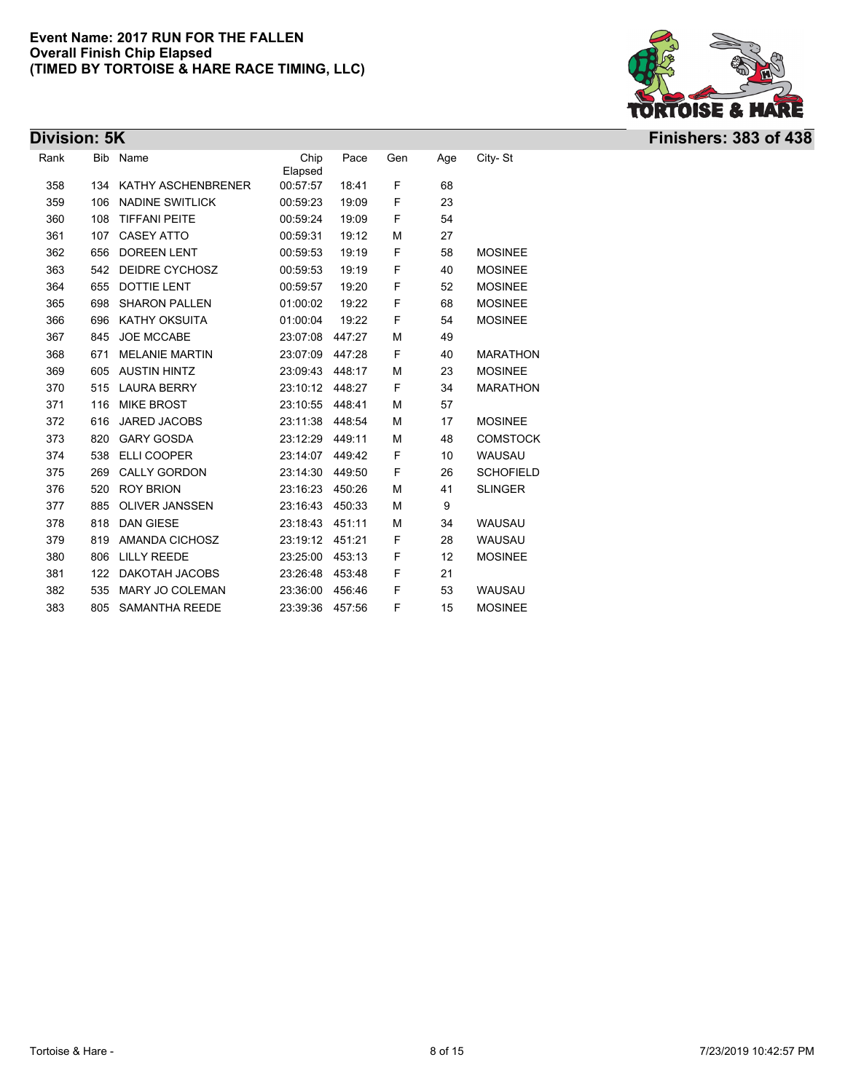

| Division: 5K |     |                        |                 |        |     |     |                  | <b>Finishers: 383 of 438</b> |
|--------------|-----|------------------------|-----------------|--------|-----|-----|------------------|------------------------------|
| Rank         |     | Bib Name               | Chip<br>Elapsed | Pace   | Gen | Age | City-St          |                              |
| 358          |     | 134 KATHY ASCHENBRENER | 00:57:57        | 18:41  | F   | 68  |                  |                              |
| 359          | 106 | <b>NADINE SWITLICK</b> | 00:59:23        | 19:09  | F   | 23  |                  |                              |
| 360          | 108 | <b>TIFFANI PEITE</b>   | 00:59:24        | 19:09  | F   | 54  |                  |                              |
| 361          | 107 | <b>CASEY ATTO</b>      | 00:59:31        | 19:12  | M   | 27  |                  |                              |
| 362          | 656 | <b>DOREEN LENT</b>     | 00:59:53        | 19:19  | F   | 58  | <b>MOSINEE</b>   |                              |
| 363          |     | 542 DEIDRE CYCHOSZ     | 00:59:53        | 19:19  | F   | 40  | <b>MOSINEE</b>   |                              |
| 364          | 655 | <b>DOTTIE LENT</b>     | 00:59:57        | 19:20  | F   | 52  | <b>MOSINEE</b>   |                              |
| 365          | 698 | <b>SHARON PALLEN</b>   | 01:00:02        | 19:22  | F   | 68  | <b>MOSINEE</b>   |                              |
| 366          | 696 | <b>KATHY OKSUITA</b>   | 01:00:04        | 19:22  | F   | 54  | <b>MOSINEE</b>   |                              |
| 367          | 845 | <b>JOE MCCABE</b>      | 23:07:08        | 447:27 | М   | 49  |                  |                              |
| 368          | 671 | <b>MELANIE MARTIN</b>  | 23:07:09        | 447:28 | F   | 40  | <b>MARATHON</b>  |                              |
| 369          | 605 | <b>AUSTIN HINTZ</b>    | 23:09:43        | 448:17 | М   | 23  | <b>MOSINEE</b>   |                              |
| 370          | 515 | <b>LAURA BERRY</b>     | 23:10:12        | 448:27 | F   | 34  | <b>MARATHON</b>  |                              |
| 371          | 116 | <b>MIKE BROST</b>      | 23:10:55        | 448:41 | м   | 57  |                  |                              |
| 372          | 616 | <b>JARED JACOBS</b>    | 23:11:38        | 448:54 | м   | 17  | <b>MOSINEE</b>   |                              |
| 373          | 820 | <b>GARY GOSDA</b>      | 23:12:29        | 449:11 | М   | 48  | <b>COMSTOCK</b>  |                              |
| 374          | 538 | ELLI COOPER            | 23:14:07        | 449:42 | F   | 10  | WAUSAU           |                              |
| 375          | 269 | <b>CALLY GORDON</b>    | 23:14:30        | 449:50 | F   | 26  | <b>SCHOFIELD</b> |                              |
| 376          | 520 | <b>ROY BRION</b>       | 23:16:23        | 450:26 | М   | 41  | <b>SLINGER</b>   |                              |
| 377          | 885 | <b>OLIVER JANSSEN</b>  | 23:16:43        | 450:33 | М   | 9   |                  |                              |
| 378          | 818 | <b>DAN GIESE</b>       | 23:18:43        | 451:11 | М   | 34  | <b>WAUSAU</b>    |                              |
| 379          | 819 | AMANDA CICHOSZ         | 23:19:12        | 451:21 | F   | 28  | WAUSAU           |                              |
| 380          | 806 | <b>LILLY REEDE</b>     | 23:25:00        | 453:13 | F   | 12  | <b>MOSINEE</b>   |                              |
| 381          | 122 | DAKOTAH JACOBS         | 23:26:48        | 453:48 | F   | 21  |                  |                              |
| 382          | 535 | MARY JO COLEMAN        | 23:36:00        | 456:46 | F   | 53  | WAUSAU           |                              |
| 383          | 805 | <b>SAMANTHA REEDE</b>  | 23:39:36        | 457:56 | F   | 15  | <b>MOSINEE</b>   |                              |
|              |     |                        |                 |        |     |     |                  |                              |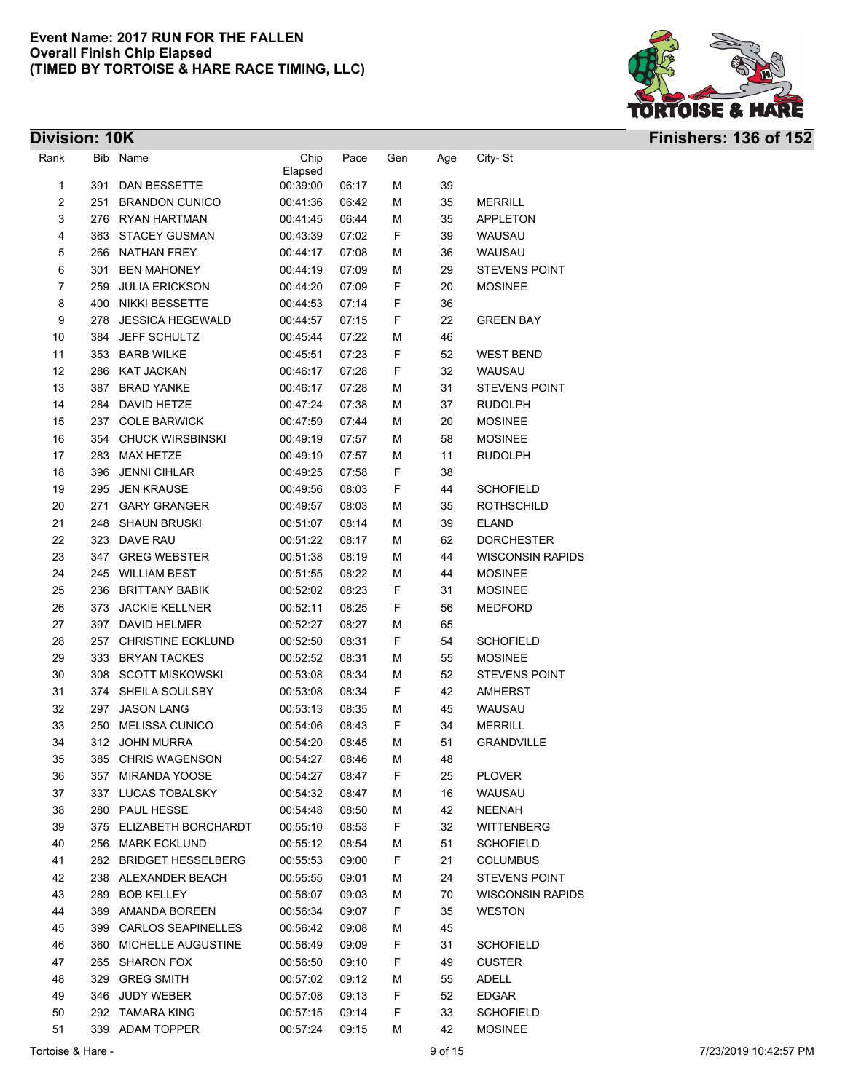

| Division: 10K |     |                                  |                      |                |        |          |                                  | <b>Finishers: 136 of 152</b> |
|---------------|-----|----------------------------------|----------------------|----------------|--------|----------|----------------------------------|------------------------------|
| Rank          |     | Bib Name                         | Chip<br>Elapsed      | Pace           | Gen    | Age      | City-St                          |                              |
| 1             | 391 | DAN BESSETTE                     | 00:39:00             | 06:17          | М      | 39       |                                  |                              |
| 2             | 251 | <b>BRANDON CUNICO</b>            | 00:41:36             | 06:42          | М      | 35       | <b>MERRILL</b>                   |                              |
| 3             |     | 276 RYAN HARTMAN                 | 00:41:45             | 06:44          | М      | 35       | APPLETON                         |                              |
| 4             |     | 363 STACEY GUSMAN                | 00:43:39             | 07:02          | F      | 39       | WAUSAU                           |                              |
| 5             |     | 266 NATHAN FREY                  | 00:44:17             | 07:08          | М      | 36       | WAUSAU                           |                              |
| 6             | 301 | <b>BEN MAHONEY</b>               | 00:44:19             | 07:09          | М      | 29       | <b>STEVENS POINT</b>             |                              |
| 7             | 259 | <b>JULIA ERICKSON</b>            | 00:44:20             | 07:09          | F      | 20       | <b>MOSINEE</b>                   |                              |
| 8             |     | 400 NIKKI BESSETTE               | 00:44:53             | 07:14          | F      | 36       |                                  |                              |
| 9             |     | 278 JESSICA HEGEWALD             | 00:44:57             | 07:15          | F      | 22       | <b>GREEN BAY</b>                 |                              |
| 10            |     | 384 JEFF SCHULTZ                 | 00:45:44             | 07:22          | M      | 46       |                                  |                              |
| 11            |     | 353 BARB WILKE                   | 00:45:51             | 07:23          | F      | 52       | <b>WEST BEND</b>                 |                              |
| 12            |     | 286 KAT JACKAN                   | 00:46:17             | 07:28          | F      | 32       | WAUSAU                           |                              |
| 13            | 387 | <b>BRAD YANKE</b>                | 00:46:17             | 07:28          | М      | 31       | <b>STEVENS POINT</b>             |                              |
| 14            |     | 284 DAVID HETZE                  | 00:47:24             | 07:38          | м      | 37       | <b>RUDOLPH</b>                   |                              |
| 15            |     | 237 COLE BARWICK                 | 00:47:59             | 07:44          | м      | 20       | <b>MOSINEE</b>                   |                              |
| 16            |     | 354 CHUCK WIRSBINSKI             | 00:49:19             | 07:57          | м      | 58       | <b>MOSINEE</b>                   |                              |
| 17            |     | 283 MAX HETZE                    | 00:49:19             | 07:57          | м      | 11       | <b>RUDOLPH</b>                   |                              |
| 18            |     | 396 JENNI CIHLAR                 | 00:49:25             | 07:58          | F      | 38       |                                  |                              |
| 19            |     | 295 JEN KRAUSE                   | 00:49:56             | 08:03          | F      | 44       | <b>SCHOFIELD</b>                 |                              |
| 20            |     | 271 GARY GRANGER                 | 00:49:57             | 08:03          | м      | 35       | <b>ROTHSCHILD</b>                |                              |
| 21            |     | 248 SHAUN BRUSKI                 | 00:51:07             | 08:14          | м      | 39       | <b>ELAND</b>                     |                              |
| 22            |     | 323 DAVE RAU                     | 00:51:22             | 08:17          | м      | 62       | <b>DORCHESTER</b>                |                              |
| 23            |     | 347 GREG WEBSTER                 | 00:51:38             | 08:19          | м      | 44       | <b>WISCONSIN RAPIDS</b>          |                              |
| 24            |     | 245 WILLIAM BEST                 | 00:51:55             | 08:22          | M      | 44       | <b>MOSINEE</b>                   |                              |
| 25            |     | 236 BRITTANY BABIK               | 00:52:02             | 08:23          | F      | 31       | <b>MOSINEE</b>                   |                              |
| 26            |     | 373 JACKIE KELLNER               | 00:52:11             | 08:25          | F      | 56       | <b>MEDFORD</b>                   |                              |
| 27            |     | 397 DAVID HELMER                 | 00:52:27             | 08:27          | М      | 65       |                                  |                              |
| 28            | 257 | <b>CHRISTINE ECKLUND</b>         | 00:52:50             | 08:31          | F      | 54       | <b>SCHOFIELD</b>                 |                              |
| 29            |     | 333 BRYAN TACKES                 | 00:52:52             | 08:31          | М      | 55       | <b>MOSINEE</b>                   |                              |
| 30            |     | 308 SCOTT MISKOWSKI              | 00:53:08             | 08:34          | М      | 52       | <b>STEVENS POINT</b>             |                              |
| 31            |     | 374 SHEILA SOULSBY               | 00:53:08             | 08:34          | F      | 42       | <b>AMHERST</b>                   |                              |
| 32            | 297 | <b>JASON LANG</b>                | 00:53:13             | 08:35          | М      | 45       | WAUSAU                           |                              |
| 33            |     | 250 MELISSA CUNICO               | 00:54:06             | 08:43          | F.     | 34       | <b>MERRILL</b>                   |                              |
| 34            |     | 312 JOHN MURRA                   | 00:54:20             | 08:45          | M      | 51       | <b>GRANDVILLE</b>                |                              |
| 35            |     | 385 CHRIS WAGENSON               | 00:54:27             | 08:46          | M      | 48       |                                  |                              |
| 36            | 357 | MIRANDA YOOSE                    | 00:54:27             | 08:47          | F.     | 25       | <b>PLOVER</b>                    |                              |
| 37            |     | 337 LUCAS TOBALSKY               | 00:54:32             | 08:47          | м      | 16       | WAUSAU                           |                              |
| 38            |     | 280 PAUL HESSE                   | 00:54:48             | 08:50          | М      | 42       | <b>NEENAH</b>                    |                              |
| 39            |     | 375 ELIZABETH BORCHARDT          | 00:55:10             | 08:53          | F      | 32       | <b>WITTENBERG</b>                |                              |
| 40            |     | 256 MARK ECKLUND                 | 00:55:12             | 08:54          | м      | 51       | <b>SCHOFIELD</b>                 |                              |
| 41            |     | 282 BRIDGET HESSELBERG           | 00:55:53             | 09:00          | F      | 21       | <b>COLUMBUS</b>                  |                              |
| 42            |     | 238 ALEXANDER BEACH              | 00:55:55             | 09:01          | М      | 24       | <b>STEVENS POINT</b>             |                              |
| 43            |     | 289 BOB KELLEY                   | 00:56:07             | 09:03          | М      | 70       | <b>WISCONSIN RAPIDS</b>          |                              |
| 44            |     | 389 AMANDA BOREEN                | 00:56:34             | 09:07          | F      | 35       | <b>WESTON</b>                    |                              |
| 45            |     | 399 CARLOS SEAPINELLES           | 00:56:42             | 09:08          | м      | 45       |                                  |                              |
| 46            |     | 360 MICHELLE AUGUSTINE           | 00:56:49             | 09:09          | F      | 31       | <b>SCHOFIELD</b>                 |                              |
| 47            |     | 265 SHARON FOX                   | 00:56:50             | 09:10          | F      | 49       | <b>CUSTER</b>                    |                              |
| 48            |     | 329 GREG SMITH<br>346 JUDY WEBER | 00:57:02             | 09:12<br>09:13 | М<br>F | 55       | <b>ADELL</b>                     |                              |
| 49<br>50      |     | 292 TAMARA KING                  | 00:57:08<br>00:57:15 | 09:14          | F      | 52<br>33 | <b>EDGAR</b><br><b>SCHOFIELD</b> |                              |
| 51            |     | 339 ADAM TOPPER                  | 00:57:24             | 09:15          | М      | 42       | <b>MOSINEE</b>                   |                              |
|               |     |                                  |                      |                |        |          |                                  |                              |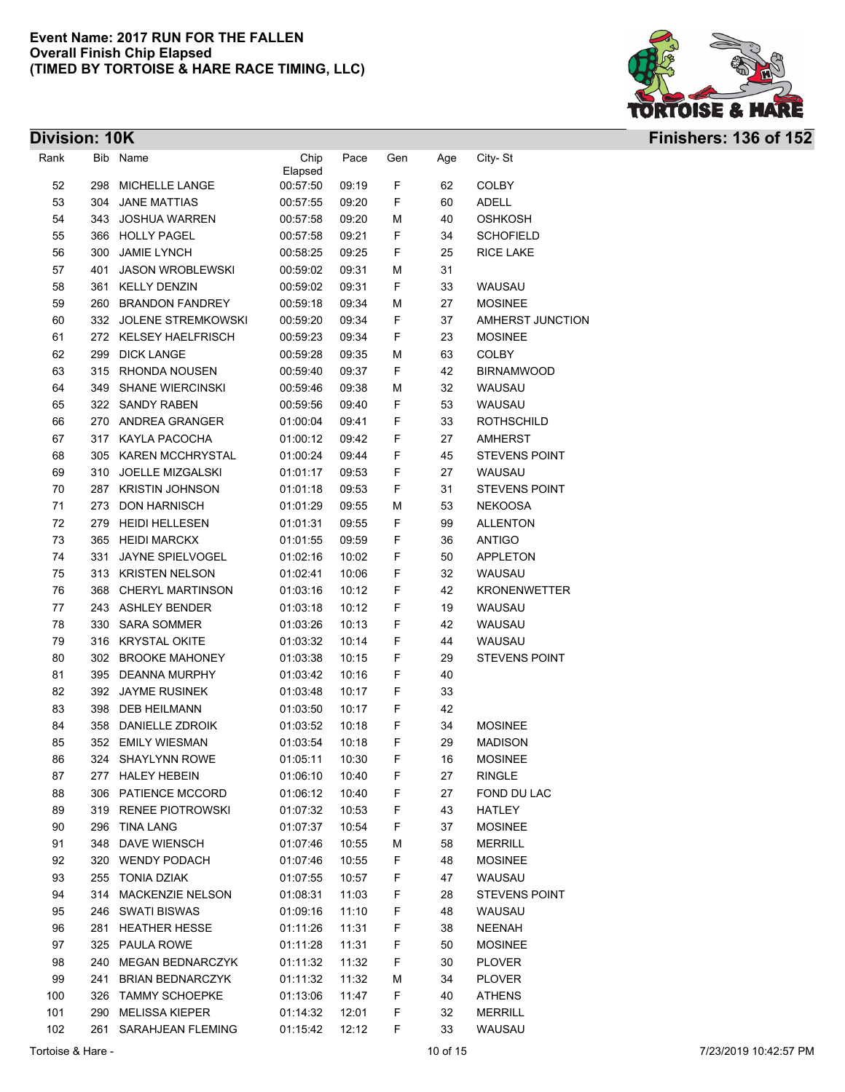

**Division: 10K Finishers: 136 of 152**

| 52<br>00:57:50<br>F<br>62<br><b>COLBY</b><br>298<br>MICHELLE LANGE<br>09:19<br>53<br><b>JANE MATTIAS</b><br>F<br>60<br>ADELL<br>304<br>00:57:55<br>09:20<br>54<br>343 JOSHUA WARREN<br>09:20<br>40<br><b>OSHKOSH</b><br>00:57:58<br>М<br>55<br>366 HOLLY PAGEL<br>09:21<br>F<br>34<br><b>SCHOFIELD</b><br>00:57:58<br>56<br>300<br><b>JAMIE LYNCH</b><br>09:25<br>F<br><b>RICE LAKE</b><br>00:58:25<br>25<br>57<br>401 JASON WROBLEWSKI<br>09:31<br>31<br>00:59:02<br>М<br>F<br>58<br>361 KELLY DENZIN<br>09:31<br>33<br>00:59:02<br>WAUSAU<br>59<br>260 BRANDON FANDREY<br><b>MOSINEE</b><br>00:59:18<br>09:34<br>М<br>27<br>F<br>60<br>332 JOLENE STREMKOWSKI<br>00:59:20<br>09:34<br>37<br>AMHERST JUNCTION<br>61<br>272 KELSEY HAELFRISCH<br>F<br>23<br><b>MOSINEE</b><br>00:59:23<br>09:34<br>62<br>299 DICK LANGE<br>09:35<br>63<br><b>COLBY</b><br>00:59:28<br>М<br>63<br>42<br>315 RHONDA NOUSEN<br>09:37<br>F<br><b>BIRNAMWOOD</b><br>00:59:40<br>64<br>349 SHANE WIERCINSKI<br>32<br>00:59:46<br>09:38<br>М<br>WAUSAU<br>F<br>65<br>322 SANDY RABEN<br>53<br>00:59:56<br>09:40<br>WAUSAU<br>F<br>66<br>270 ANDREA GRANGER<br>01:00:04<br>33<br>ROTHSCHILD<br>09:41<br>67<br>317 KAYLA PACOCHA<br>F<br>27<br><b>AMHERST</b><br>01:00:12<br>09:42<br>68<br>305 KAREN MCCHRYSTAL<br>F<br>45<br>01:00:24<br>09:44<br><b>STEVENS POINT</b><br>69<br>310 JOELLE MIZGALSKI<br>F<br>27<br>01:01:17<br>09:53<br>WAUSAU<br>287 KRISTIN JOHNSON<br>F<br><b>STEVENS POINT</b><br>70<br>01:01:18<br>09:53<br>31<br>71<br><b>DON HARNISCH</b><br><b>NEKOOSA</b><br>273<br>01:01:29<br>09:55<br>М<br>53<br>72<br>F<br>279<br><b>HEIDI HELLESEN</b><br>01:01:31<br>09:55<br>99<br><b>ALLENTON</b><br>73<br>365 HEIDI MARCKX<br>F<br><b>ANTIGO</b><br>01:01:55<br>09:59<br>36<br>74<br>JAYNE SPIELVOGEL<br>01:02:16<br>10:02<br>F<br>50<br><b>APPLETON</b><br>331<br>313 KRISTEN NELSON<br>F<br>32<br>WAUSAU<br>75<br>01:02:41<br>10:06<br>76<br>368 CHERYL MARTINSON<br>F<br>42<br><b>KRONENWETTER</b><br>01:03:16<br>10:12<br>77<br>243 ASHLEY BENDER<br>F<br>01:03:18<br>10:12<br>19<br>WAUSAU<br>78<br>F<br>42<br>330 SARA SOMMER<br>01:03:26<br>10:13<br>WAUSAU<br>79<br>316 KRYSTAL OKITE<br>F<br>44<br>01:03:32<br>10:14<br>WAUSAU<br>80<br>302 BROOKE MAHONEY<br>F<br>29<br>01:03:38<br>10:15<br><b>STEVENS POINT</b><br>81<br>F<br>40<br>395 DEANNA MURPHY<br>01:03:42<br>10:16<br>82<br>392 JAYME RUSINEK<br>F<br>33<br>01:03:48<br>10:17<br>83<br>398 DEB HEILMANN<br>F<br>42<br>01:03:50<br>10:17<br>84<br>F<br>358 DANIELLE ZDROIK<br>01:03:52<br>10:18<br>34<br><b>MOSINEE</b><br>F<br>85<br>352 EMILY WIESMAN<br>29<br><b>MADISON</b><br>01:03:54<br>10:18<br>F<br>86<br>324<br><b>SHAYLYNN ROWE</b><br>10:30<br><b>MOSINEE</b><br>01:05:11<br>16<br>277 HALEY HEBEIN<br>01:06:10<br>F<br><b>RINGLE</b><br>87<br>10:40<br>27<br>88<br>306 PATIENCE MCCORD<br>01:06:12<br>F<br>27<br>FOND DU LAC<br>10:40<br>89<br>319 RENEE PIOTROWSKI<br>01:07:32<br>F<br><b>HATLEY</b><br>10:53<br>43<br>90<br>F<br>296 TINA LANG<br>01:07:37<br>10:54<br>37<br><b>MOSINEE</b><br>91<br>348 DAVE WIENSCH<br>01:07:46<br><b>MERRILL</b><br>10:55<br>М<br>58<br>92<br>320 WENDY PODACH<br>01:07:46<br>10:55<br>F<br><b>MOSINEE</b><br>48<br>93<br>255 TONIA DZIAK<br>F<br>01:07:55<br>10:57<br>47<br>WAUSAU<br>94<br>314 MACKENZIE NELSON<br>01:08:31<br>11:03<br>F<br>STEVENS POINT<br>28<br>95<br>246 SWATI BISWAS<br>01:09:16<br>11:10<br>F<br>48<br>WAUSAU<br><b>HEATHER HESSE</b><br>96<br>281<br>01:11:26<br>11:31<br>F<br>38<br><b>NEENAH</b><br>97<br>325 PAULA ROWE<br>F<br><b>MOSINEE</b><br>01:11:28<br>11:31<br>50<br>98<br>F<br>240<br><b>MEGAN BEDNARCZYK</b><br>01:11:32<br>11:32<br>30<br><b>PLOVER</b><br>99<br><b>BRIAN BEDNARCZYK</b><br>11:32<br>241<br>01:11:32<br>34<br><b>PLOVER</b><br>M<br>100<br>326 TAMMY SCHOEPKE<br>F<br>01:13:06<br>11:47<br>40<br><b>ATHENS</b><br>101<br><b>MELISSA KIEPER</b><br>F<br>290<br>01:14:32<br>12:01<br>32<br><b>MERRILL</b><br>102<br>261 SARAHJEAN FLEMING<br>01:15:42<br>12:12<br>F<br>33<br>WAUSAU | Rank | Bib Name | Chip<br>Elapsed | Pace | Gen | Age | City-St |
|-----------------------------------------------------------------------------------------------------------------------------------------------------------------------------------------------------------------------------------------------------------------------------------------------------------------------------------------------------------------------------------------------------------------------------------------------------------------------------------------------------------------------------------------------------------------------------------------------------------------------------------------------------------------------------------------------------------------------------------------------------------------------------------------------------------------------------------------------------------------------------------------------------------------------------------------------------------------------------------------------------------------------------------------------------------------------------------------------------------------------------------------------------------------------------------------------------------------------------------------------------------------------------------------------------------------------------------------------------------------------------------------------------------------------------------------------------------------------------------------------------------------------------------------------------------------------------------------------------------------------------------------------------------------------------------------------------------------------------------------------------------------------------------------------------------------------------------------------------------------------------------------------------------------------------------------------------------------------------------------------------------------------------------------------------------------------------------------------------------------------------------------------------------------------------------------------------------------------------------------------------------------------------------------------------------------------------------------------------------------------------------------------------------------------------------------------------------------------------------------------------------------------------------------------------------------------------------------------------------------------------------------------------------------------------------------------------------------------------------------------------------------------------------------------------------------------------------------------------------------------------------------------------------------------------------------------------------------------------------------------------------------------------------------------------------------------------------------------------------------------------------------------------------------------------------------------------------------------------------------------------------------------------------------------------------------------------------------------------------------------------------------------------------------------------------------------------------------------------------------------------------------------------------------------------------------------------------------------------------------------------------------------------------------------------------------------------------------------------------------------------------------------------------------------------------------------------------------------------------------------------------------------------------------------------------------------------------------------------------------------------------------------------------------------------------|------|----------|-----------------|------|-----|-----|---------|
|                                                                                                                                                                                                                                                                                                                                                                                                                                                                                                                                                                                                                                                                                                                                                                                                                                                                                                                                                                                                                                                                                                                                                                                                                                                                                                                                                                                                                                                                                                                                                                                                                                                                                                                                                                                                                                                                                                                                                                                                                                                                                                                                                                                                                                                                                                                                                                                                                                                                                                                                                                                                                                                                                                                                                                                                                                                                                                                                                                                                                                                                                                                                                                                                                                                                                                                                                                                                                                                                                                                                                                                                                                                                                                                                                                                                                                                                                                                                                                                                                                                           |      |          |                 |      |     |     |         |
|                                                                                                                                                                                                                                                                                                                                                                                                                                                                                                                                                                                                                                                                                                                                                                                                                                                                                                                                                                                                                                                                                                                                                                                                                                                                                                                                                                                                                                                                                                                                                                                                                                                                                                                                                                                                                                                                                                                                                                                                                                                                                                                                                                                                                                                                                                                                                                                                                                                                                                                                                                                                                                                                                                                                                                                                                                                                                                                                                                                                                                                                                                                                                                                                                                                                                                                                                                                                                                                                                                                                                                                                                                                                                                                                                                                                                                                                                                                                                                                                                                                           |      |          |                 |      |     |     |         |
|                                                                                                                                                                                                                                                                                                                                                                                                                                                                                                                                                                                                                                                                                                                                                                                                                                                                                                                                                                                                                                                                                                                                                                                                                                                                                                                                                                                                                                                                                                                                                                                                                                                                                                                                                                                                                                                                                                                                                                                                                                                                                                                                                                                                                                                                                                                                                                                                                                                                                                                                                                                                                                                                                                                                                                                                                                                                                                                                                                                                                                                                                                                                                                                                                                                                                                                                                                                                                                                                                                                                                                                                                                                                                                                                                                                                                                                                                                                                                                                                                                                           |      |          |                 |      |     |     |         |
|                                                                                                                                                                                                                                                                                                                                                                                                                                                                                                                                                                                                                                                                                                                                                                                                                                                                                                                                                                                                                                                                                                                                                                                                                                                                                                                                                                                                                                                                                                                                                                                                                                                                                                                                                                                                                                                                                                                                                                                                                                                                                                                                                                                                                                                                                                                                                                                                                                                                                                                                                                                                                                                                                                                                                                                                                                                                                                                                                                                                                                                                                                                                                                                                                                                                                                                                                                                                                                                                                                                                                                                                                                                                                                                                                                                                                                                                                                                                                                                                                                                           |      |          |                 |      |     |     |         |
|                                                                                                                                                                                                                                                                                                                                                                                                                                                                                                                                                                                                                                                                                                                                                                                                                                                                                                                                                                                                                                                                                                                                                                                                                                                                                                                                                                                                                                                                                                                                                                                                                                                                                                                                                                                                                                                                                                                                                                                                                                                                                                                                                                                                                                                                                                                                                                                                                                                                                                                                                                                                                                                                                                                                                                                                                                                                                                                                                                                                                                                                                                                                                                                                                                                                                                                                                                                                                                                                                                                                                                                                                                                                                                                                                                                                                                                                                                                                                                                                                                                           |      |          |                 |      |     |     |         |
|                                                                                                                                                                                                                                                                                                                                                                                                                                                                                                                                                                                                                                                                                                                                                                                                                                                                                                                                                                                                                                                                                                                                                                                                                                                                                                                                                                                                                                                                                                                                                                                                                                                                                                                                                                                                                                                                                                                                                                                                                                                                                                                                                                                                                                                                                                                                                                                                                                                                                                                                                                                                                                                                                                                                                                                                                                                                                                                                                                                                                                                                                                                                                                                                                                                                                                                                                                                                                                                                                                                                                                                                                                                                                                                                                                                                                                                                                                                                                                                                                                                           |      |          |                 |      |     |     |         |
|                                                                                                                                                                                                                                                                                                                                                                                                                                                                                                                                                                                                                                                                                                                                                                                                                                                                                                                                                                                                                                                                                                                                                                                                                                                                                                                                                                                                                                                                                                                                                                                                                                                                                                                                                                                                                                                                                                                                                                                                                                                                                                                                                                                                                                                                                                                                                                                                                                                                                                                                                                                                                                                                                                                                                                                                                                                                                                                                                                                                                                                                                                                                                                                                                                                                                                                                                                                                                                                                                                                                                                                                                                                                                                                                                                                                                                                                                                                                                                                                                                                           |      |          |                 |      |     |     |         |
|                                                                                                                                                                                                                                                                                                                                                                                                                                                                                                                                                                                                                                                                                                                                                                                                                                                                                                                                                                                                                                                                                                                                                                                                                                                                                                                                                                                                                                                                                                                                                                                                                                                                                                                                                                                                                                                                                                                                                                                                                                                                                                                                                                                                                                                                                                                                                                                                                                                                                                                                                                                                                                                                                                                                                                                                                                                                                                                                                                                                                                                                                                                                                                                                                                                                                                                                                                                                                                                                                                                                                                                                                                                                                                                                                                                                                                                                                                                                                                                                                                                           |      |          |                 |      |     |     |         |
|                                                                                                                                                                                                                                                                                                                                                                                                                                                                                                                                                                                                                                                                                                                                                                                                                                                                                                                                                                                                                                                                                                                                                                                                                                                                                                                                                                                                                                                                                                                                                                                                                                                                                                                                                                                                                                                                                                                                                                                                                                                                                                                                                                                                                                                                                                                                                                                                                                                                                                                                                                                                                                                                                                                                                                                                                                                                                                                                                                                                                                                                                                                                                                                                                                                                                                                                                                                                                                                                                                                                                                                                                                                                                                                                                                                                                                                                                                                                                                                                                                                           |      |          |                 |      |     |     |         |
|                                                                                                                                                                                                                                                                                                                                                                                                                                                                                                                                                                                                                                                                                                                                                                                                                                                                                                                                                                                                                                                                                                                                                                                                                                                                                                                                                                                                                                                                                                                                                                                                                                                                                                                                                                                                                                                                                                                                                                                                                                                                                                                                                                                                                                                                                                                                                                                                                                                                                                                                                                                                                                                                                                                                                                                                                                                                                                                                                                                                                                                                                                                                                                                                                                                                                                                                                                                                                                                                                                                                                                                                                                                                                                                                                                                                                                                                                                                                                                                                                                                           |      |          |                 |      |     |     |         |
|                                                                                                                                                                                                                                                                                                                                                                                                                                                                                                                                                                                                                                                                                                                                                                                                                                                                                                                                                                                                                                                                                                                                                                                                                                                                                                                                                                                                                                                                                                                                                                                                                                                                                                                                                                                                                                                                                                                                                                                                                                                                                                                                                                                                                                                                                                                                                                                                                                                                                                                                                                                                                                                                                                                                                                                                                                                                                                                                                                                                                                                                                                                                                                                                                                                                                                                                                                                                                                                                                                                                                                                                                                                                                                                                                                                                                                                                                                                                                                                                                                                           |      |          |                 |      |     |     |         |
|                                                                                                                                                                                                                                                                                                                                                                                                                                                                                                                                                                                                                                                                                                                                                                                                                                                                                                                                                                                                                                                                                                                                                                                                                                                                                                                                                                                                                                                                                                                                                                                                                                                                                                                                                                                                                                                                                                                                                                                                                                                                                                                                                                                                                                                                                                                                                                                                                                                                                                                                                                                                                                                                                                                                                                                                                                                                                                                                                                                                                                                                                                                                                                                                                                                                                                                                                                                                                                                                                                                                                                                                                                                                                                                                                                                                                                                                                                                                                                                                                                                           |      |          |                 |      |     |     |         |
|                                                                                                                                                                                                                                                                                                                                                                                                                                                                                                                                                                                                                                                                                                                                                                                                                                                                                                                                                                                                                                                                                                                                                                                                                                                                                                                                                                                                                                                                                                                                                                                                                                                                                                                                                                                                                                                                                                                                                                                                                                                                                                                                                                                                                                                                                                                                                                                                                                                                                                                                                                                                                                                                                                                                                                                                                                                                                                                                                                                                                                                                                                                                                                                                                                                                                                                                                                                                                                                                                                                                                                                                                                                                                                                                                                                                                                                                                                                                                                                                                                                           |      |          |                 |      |     |     |         |
|                                                                                                                                                                                                                                                                                                                                                                                                                                                                                                                                                                                                                                                                                                                                                                                                                                                                                                                                                                                                                                                                                                                                                                                                                                                                                                                                                                                                                                                                                                                                                                                                                                                                                                                                                                                                                                                                                                                                                                                                                                                                                                                                                                                                                                                                                                                                                                                                                                                                                                                                                                                                                                                                                                                                                                                                                                                                                                                                                                                                                                                                                                                                                                                                                                                                                                                                                                                                                                                                                                                                                                                                                                                                                                                                                                                                                                                                                                                                                                                                                                                           |      |          |                 |      |     |     |         |
|                                                                                                                                                                                                                                                                                                                                                                                                                                                                                                                                                                                                                                                                                                                                                                                                                                                                                                                                                                                                                                                                                                                                                                                                                                                                                                                                                                                                                                                                                                                                                                                                                                                                                                                                                                                                                                                                                                                                                                                                                                                                                                                                                                                                                                                                                                                                                                                                                                                                                                                                                                                                                                                                                                                                                                                                                                                                                                                                                                                                                                                                                                                                                                                                                                                                                                                                                                                                                                                                                                                                                                                                                                                                                                                                                                                                                                                                                                                                                                                                                                                           |      |          |                 |      |     |     |         |
|                                                                                                                                                                                                                                                                                                                                                                                                                                                                                                                                                                                                                                                                                                                                                                                                                                                                                                                                                                                                                                                                                                                                                                                                                                                                                                                                                                                                                                                                                                                                                                                                                                                                                                                                                                                                                                                                                                                                                                                                                                                                                                                                                                                                                                                                                                                                                                                                                                                                                                                                                                                                                                                                                                                                                                                                                                                                                                                                                                                                                                                                                                                                                                                                                                                                                                                                                                                                                                                                                                                                                                                                                                                                                                                                                                                                                                                                                                                                                                                                                                                           |      |          |                 |      |     |     |         |
|                                                                                                                                                                                                                                                                                                                                                                                                                                                                                                                                                                                                                                                                                                                                                                                                                                                                                                                                                                                                                                                                                                                                                                                                                                                                                                                                                                                                                                                                                                                                                                                                                                                                                                                                                                                                                                                                                                                                                                                                                                                                                                                                                                                                                                                                                                                                                                                                                                                                                                                                                                                                                                                                                                                                                                                                                                                                                                                                                                                                                                                                                                                                                                                                                                                                                                                                                                                                                                                                                                                                                                                                                                                                                                                                                                                                                                                                                                                                                                                                                                                           |      |          |                 |      |     |     |         |
|                                                                                                                                                                                                                                                                                                                                                                                                                                                                                                                                                                                                                                                                                                                                                                                                                                                                                                                                                                                                                                                                                                                                                                                                                                                                                                                                                                                                                                                                                                                                                                                                                                                                                                                                                                                                                                                                                                                                                                                                                                                                                                                                                                                                                                                                                                                                                                                                                                                                                                                                                                                                                                                                                                                                                                                                                                                                                                                                                                                                                                                                                                                                                                                                                                                                                                                                                                                                                                                                                                                                                                                                                                                                                                                                                                                                                                                                                                                                                                                                                                                           |      |          |                 |      |     |     |         |
|                                                                                                                                                                                                                                                                                                                                                                                                                                                                                                                                                                                                                                                                                                                                                                                                                                                                                                                                                                                                                                                                                                                                                                                                                                                                                                                                                                                                                                                                                                                                                                                                                                                                                                                                                                                                                                                                                                                                                                                                                                                                                                                                                                                                                                                                                                                                                                                                                                                                                                                                                                                                                                                                                                                                                                                                                                                                                                                                                                                                                                                                                                                                                                                                                                                                                                                                                                                                                                                                                                                                                                                                                                                                                                                                                                                                                                                                                                                                                                                                                                                           |      |          |                 |      |     |     |         |
|                                                                                                                                                                                                                                                                                                                                                                                                                                                                                                                                                                                                                                                                                                                                                                                                                                                                                                                                                                                                                                                                                                                                                                                                                                                                                                                                                                                                                                                                                                                                                                                                                                                                                                                                                                                                                                                                                                                                                                                                                                                                                                                                                                                                                                                                                                                                                                                                                                                                                                                                                                                                                                                                                                                                                                                                                                                                                                                                                                                                                                                                                                                                                                                                                                                                                                                                                                                                                                                                                                                                                                                                                                                                                                                                                                                                                                                                                                                                                                                                                                                           |      |          |                 |      |     |     |         |
|                                                                                                                                                                                                                                                                                                                                                                                                                                                                                                                                                                                                                                                                                                                                                                                                                                                                                                                                                                                                                                                                                                                                                                                                                                                                                                                                                                                                                                                                                                                                                                                                                                                                                                                                                                                                                                                                                                                                                                                                                                                                                                                                                                                                                                                                                                                                                                                                                                                                                                                                                                                                                                                                                                                                                                                                                                                                                                                                                                                                                                                                                                                                                                                                                                                                                                                                                                                                                                                                                                                                                                                                                                                                                                                                                                                                                                                                                                                                                                                                                                                           |      |          |                 |      |     |     |         |
|                                                                                                                                                                                                                                                                                                                                                                                                                                                                                                                                                                                                                                                                                                                                                                                                                                                                                                                                                                                                                                                                                                                                                                                                                                                                                                                                                                                                                                                                                                                                                                                                                                                                                                                                                                                                                                                                                                                                                                                                                                                                                                                                                                                                                                                                                                                                                                                                                                                                                                                                                                                                                                                                                                                                                                                                                                                                                                                                                                                                                                                                                                                                                                                                                                                                                                                                                                                                                                                                                                                                                                                                                                                                                                                                                                                                                                                                                                                                                                                                                                                           |      |          |                 |      |     |     |         |
|                                                                                                                                                                                                                                                                                                                                                                                                                                                                                                                                                                                                                                                                                                                                                                                                                                                                                                                                                                                                                                                                                                                                                                                                                                                                                                                                                                                                                                                                                                                                                                                                                                                                                                                                                                                                                                                                                                                                                                                                                                                                                                                                                                                                                                                                                                                                                                                                                                                                                                                                                                                                                                                                                                                                                                                                                                                                                                                                                                                                                                                                                                                                                                                                                                                                                                                                                                                                                                                                                                                                                                                                                                                                                                                                                                                                                                                                                                                                                                                                                                                           |      |          |                 |      |     |     |         |
|                                                                                                                                                                                                                                                                                                                                                                                                                                                                                                                                                                                                                                                                                                                                                                                                                                                                                                                                                                                                                                                                                                                                                                                                                                                                                                                                                                                                                                                                                                                                                                                                                                                                                                                                                                                                                                                                                                                                                                                                                                                                                                                                                                                                                                                                                                                                                                                                                                                                                                                                                                                                                                                                                                                                                                                                                                                                                                                                                                                                                                                                                                                                                                                                                                                                                                                                                                                                                                                                                                                                                                                                                                                                                                                                                                                                                                                                                                                                                                                                                                                           |      |          |                 |      |     |     |         |
|                                                                                                                                                                                                                                                                                                                                                                                                                                                                                                                                                                                                                                                                                                                                                                                                                                                                                                                                                                                                                                                                                                                                                                                                                                                                                                                                                                                                                                                                                                                                                                                                                                                                                                                                                                                                                                                                                                                                                                                                                                                                                                                                                                                                                                                                                                                                                                                                                                                                                                                                                                                                                                                                                                                                                                                                                                                                                                                                                                                                                                                                                                                                                                                                                                                                                                                                                                                                                                                                                                                                                                                                                                                                                                                                                                                                                                                                                                                                                                                                                                                           |      |          |                 |      |     |     |         |
|                                                                                                                                                                                                                                                                                                                                                                                                                                                                                                                                                                                                                                                                                                                                                                                                                                                                                                                                                                                                                                                                                                                                                                                                                                                                                                                                                                                                                                                                                                                                                                                                                                                                                                                                                                                                                                                                                                                                                                                                                                                                                                                                                                                                                                                                                                                                                                                                                                                                                                                                                                                                                                                                                                                                                                                                                                                                                                                                                                                                                                                                                                                                                                                                                                                                                                                                                                                                                                                                                                                                                                                                                                                                                                                                                                                                                                                                                                                                                                                                                                                           |      |          |                 |      |     |     |         |
|                                                                                                                                                                                                                                                                                                                                                                                                                                                                                                                                                                                                                                                                                                                                                                                                                                                                                                                                                                                                                                                                                                                                                                                                                                                                                                                                                                                                                                                                                                                                                                                                                                                                                                                                                                                                                                                                                                                                                                                                                                                                                                                                                                                                                                                                                                                                                                                                                                                                                                                                                                                                                                                                                                                                                                                                                                                                                                                                                                                                                                                                                                                                                                                                                                                                                                                                                                                                                                                                                                                                                                                                                                                                                                                                                                                                                                                                                                                                                                                                                                                           |      |          |                 |      |     |     |         |
|                                                                                                                                                                                                                                                                                                                                                                                                                                                                                                                                                                                                                                                                                                                                                                                                                                                                                                                                                                                                                                                                                                                                                                                                                                                                                                                                                                                                                                                                                                                                                                                                                                                                                                                                                                                                                                                                                                                                                                                                                                                                                                                                                                                                                                                                                                                                                                                                                                                                                                                                                                                                                                                                                                                                                                                                                                                                                                                                                                                                                                                                                                                                                                                                                                                                                                                                                                                                                                                                                                                                                                                                                                                                                                                                                                                                                                                                                                                                                                                                                                                           |      |          |                 |      |     |     |         |
|                                                                                                                                                                                                                                                                                                                                                                                                                                                                                                                                                                                                                                                                                                                                                                                                                                                                                                                                                                                                                                                                                                                                                                                                                                                                                                                                                                                                                                                                                                                                                                                                                                                                                                                                                                                                                                                                                                                                                                                                                                                                                                                                                                                                                                                                                                                                                                                                                                                                                                                                                                                                                                                                                                                                                                                                                                                                                                                                                                                                                                                                                                                                                                                                                                                                                                                                                                                                                                                                                                                                                                                                                                                                                                                                                                                                                                                                                                                                                                                                                                                           |      |          |                 |      |     |     |         |
|                                                                                                                                                                                                                                                                                                                                                                                                                                                                                                                                                                                                                                                                                                                                                                                                                                                                                                                                                                                                                                                                                                                                                                                                                                                                                                                                                                                                                                                                                                                                                                                                                                                                                                                                                                                                                                                                                                                                                                                                                                                                                                                                                                                                                                                                                                                                                                                                                                                                                                                                                                                                                                                                                                                                                                                                                                                                                                                                                                                                                                                                                                                                                                                                                                                                                                                                                                                                                                                                                                                                                                                                                                                                                                                                                                                                                                                                                                                                                                                                                                                           |      |          |                 |      |     |     |         |
|                                                                                                                                                                                                                                                                                                                                                                                                                                                                                                                                                                                                                                                                                                                                                                                                                                                                                                                                                                                                                                                                                                                                                                                                                                                                                                                                                                                                                                                                                                                                                                                                                                                                                                                                                                                                                                                                                                                                                                                                                                                                                                                                                                                                                                                                                                                                                                                                                                                                                                                                                                                                                                                                                                                                                                                                                                                                                                                                                                                                                                                                                                                                                                                                                                                                                                                                                                                                                                                                                                                                                                                                                                                                                                                                                                                                                                                                                                                                                                                                                                                           |      |          |                 |      |     |     |         |
|                                                                                                                                                                                                                                                                                                                                                                                                                                                                                                                                                                                                                                                                                                                                                                                                                                                                                                                                                                                                                                                                                                                                                                                                                                                                                                                                                                                                                                                                                                                                                                                                                                                                                                                                                                                                                                                                                                                                                                                                                                                                                                                                                                                                                                                                                                                                                                                                                                                                                                                                                                                                                                                                                                                                                                                                                                                                                                                                                                                                                                                                                                                                                                                                                                                                                                                                                                                                                                                                                                                                                                                                                                                                                                                                                                                                                                                                                                                                                                                                                                                           |      |          |                 |      |     |     |         |
|                                                                                                                                                                                                                                                                                                                                                                                                                                                                                                                                                                                                                                                                                                                                                                                                                                                                                                                                                                                                                                                                                                                                                                                                                                                                                                                                                                                                                                                                                                                                                                                                                                                                                                                                                                                                                                                                                                                                                                                                                                                                                                                                                                                                                                                                                                                                                                                                                                                                                                                                                                                                                                                                                                                                                                                                                                                                                                                                                                                                                                                                                                                                                                                                                                                                                                                                                                                                                                                                                                                                                                                                                                                                                                                                                                                                                                                                                                                                                                                                                                                           |      |          |                 |      |     |     |         |
|                                                                                                                                                                                                                                                                                                                                                                                                                                                                                                                                                                                                                                                                                                                                                                                                                                                                                                                                                                                                                                                                                                                                                                                                                                                                                                                                                                                                                                                                                                                                                                                                                                                                                                                                                                                                                                                                                                                                                                                                                                                                                                                                                                                                                                                                                                                                                                                                                                                                                                                                                                                                                                                                                                                                                                                                                                                                                                                                                                                                                                                                                                                                                                                                                                                                                                                                                                                                                                                                                                                                                                                                                                                                                                                                                                                                                                                                                                                                                                                                                                                           |      |          |                 |      |     |     |         |
|                                                                                                                                                                                                                                                                                                                                                                                                                                                                                                                                                                                                                                                                                                                                                                                                                                                                                                                                                                                                                                                                                                                                                                                                                                                                                                                                                                                                                                                                                                                                                                                                                                                                                                                                                                                                                                                                                                                                                                                                                                                                                                                                                                                                                                                                                                                                                                                                                                                                                                                                                                                                                                                                                                                                                                                                                                                                                                                                                                                                                                                                                                                                                                                                                                                                                                                                                                                                                                                                                                                                                                                                                                                                                                                                                                                                                                                                                                                                                                                                                                                           |      |          |                 |      |     |     |         |
|                                                                                                                                                                                                                                                                                                                                                                                                                                                                                                                                                                                                                                                                                                                                                                                                                                                                                                                                                                                                                                                                                                                                                                                                                                                                                                                                                                                                                                                                                                                                                                                                                                                                                                                                                                                                                                                                                                                                                                                                                                                                                                                                                                                                                                                                                                                                                                                                                                                                                                                                                                                                                                                                                                                                                                                                                                                                                                                                                                                                                                                                                                                                                                                                                                                                                                                                                                                                                                                                                                                                                                                                                                                                                                                                                                                                                                                                                                                                                                                                                                                           |      |          |                 |      |     |     |         |
|                                                                                                                                                                                                                                                                                                                                                                                                                                                                                                                                                                                                                                                                                                                                                                                                                                                                                                                                                                                                                                                                                                                                                                                                                                                                                                                                                                                                                                                                                                                                                                                                                                                                                                                                                                                                                                                                                                                                                                                                                                                                                                                                                                                                                                                                                                                                                                                                                                                                                                                                                                                                                                                                                                                                                                                                                                                                                                                                                                                                                                                                                                                                                                                                                                                                                                                                                                                                                                                                                                                                                                                                                                                                                                                                                                                                                                                                                                                                                                                                                                                           |      |          |                 |      |     |     |         |
|                                                                                                                                                                                                                                                                                                                                                                                                                                                                                                                                                                                                                                                                                                                                                                                                                                                                                                                                                                                                                                                                                                                                                                                                                                                                                                                                                                                                                                                                                                                                                                                                                                                                                                                                                                                                                                                                                                                                                                                                                                                                                                                                                                                                                                                                                                                                                                                                                                                                                                                                                                                                                                                                                                                                                                                                                                                                                                                                                                                                                                                                                                                                                                                                                                                                                                                                                                                                                                                                                                                                                                                                                                                                                                                                                                                                                                                                                                                                                                                                                                                           |      |          |                 |      |     |     |         |
|                                                                                                                                                                                                                                                                                                                                                                                                                                                                                                                                                                                                                                                                                                                                                                                                                                                                                                                                                                                                                                                                                                                                                                                                                                                                                                                                                                                                                                                                                                                                                                                                                                                                                                                                                                                                                                                                                                                                                                                                                                                                                                                                                                                                                                                                                                                                                                                                                                                                                                                                                                                                                                                                                                                                                                                                                                                                                                                                                                                                                                                                                                                                                                                                                                                                                                                                                                                                                                                                                                                                                                                                                                                                                                                                                                                                                                                                                                                                                                                                                                                           |      |          |                 |      |     |     |         |
|                                                                                                                                                                                                                                                                                                                                                                                                                                                                                                                                                                                                                                                                                                                                                                                                                                                                                                                                                                                                                                                                                                                                                                                                                                                                                                                                                                                                                                                                                                                                                                                                                                                                                                                                                                                                                                                                                                                                                                                                                                                                                                                                                                                                                                                                                                                                                                                                                                                                                                                                                                                                                                                                                                                                                                                                                                                                                                                                                                                                                                                                                                                                                                                                                                                                                                                                                                                                                                                                                                                                                                                                                                                                                                                                                                                                                                                                                                                                                                                                                                                           |      |          |                 |      |     |     |         |
|                                                                                                                                                                                                                                                                                                                                                                                                                                                                                                                                                                                                                                                                                                                                                                                                                                                                                                                                                                                                                                                                                                                                                                                                                                                                                                                                                                                                                                                                                                                                                                                                                                                                                                                                                                                                                                                                                                                                                                                                                                                                                                                                                                                                                                                                                                                                                                                                                                                                                                                                                                                                                                                                                                                                                                                                                                                                                                                                                                                                                                                                                                                                                                                                                                                                                                                                                                                                                                                                                                                                                                                                                                                                                                                                                                                                                                                                                                                                                                                                                                                           |      |          |                 |      |     |     |         |
|                                                                                                                                                                                                                                                                                                                                                                                                                                                                                                                                                                                                                                                                                                                                                                                                                                                                                                                                                                                                                                                                                                                                                                                                                                                                                                                                                                                                                                                                                                                                                                                                                                                                                                                                                                                                                                                                                                                                                                                                                                                                                                                                                                                                                                                                                                                                                                                                                                                                                                                                                                                                                                                                                                                                                                                                                                                                                                                                                                                                                                                                                                                                                                                                                                                                                                                                                                                                                                                                                                                                                                                                                                                                                                                                                                                                                                                                                                                                                                                                                                                           |      |          |                 |      |     |     |         |
|                                                                                                                                                                                                                                                                                                                                                                                                                                                                                                                                                                                                                                                                                                                                                                                                                                                                                                                                                                                                                                                                                                                                                                                                                                                                                                                                                                                                                                                                                                                                                                                                                                                                                                                                                                                                                                                                                                                                                                                                                                                                                                                                                                                                                                                                                                                                                                                                                                                                                                                                                                                                                                                                                                                                                                                                                                                                                                                                                                                                                                                                                                                                                                                                                                                                                                                                                                                                                                                                                                                                                                                                                                                                                                                                                                                                                                                                                                                                                                                                                                                           |      |          |                 |      |     |     |         |
|                                                                                                                                                                                                                                                                                                                                                                                                                                                                                                                                                                                                                                                                                                                                                                                                                                                                                                                                                                                                                                                                                                                                                                                                                                                                                                                                                                                                                                                                                                                                                                                                                                                                                                                                                                                                                                                                                                                                                                                                                                                                                                                                                                                                                                                                                                                                                                                                                                                                                                                                                                                                                                                                                                                                                                                                                                                                                                                                                                                                                                                                                                                                                                                                                                                                                                                                                                                                                                                                                                                                                                                                                                                                                                                                                                                                                                                                                                                                                                                                                                                           |      |          |                 |      |     |     |         |
|                                                                                                                                                                                                                                                                                                                                                                                                                                                                                                                                                                                                                                                                                                                                                                                                                                                                                                                                                                                                                                                                                                                                                                                                                                                                                                                                                                                                                                                                                                                                                                                                                                                                                                                                                                                                                                                                                                                                                                                                                                                                                                                                                                                                                                                                                                                                                                                                                                                                                                                                                                                                                                                                                                                                                                                                                                                                                                                                                                                                                                                                                                                                                                                                                                                                                                                                                                                                                                                                                                                                                                                                                                                                                                                                                                                                                                                                                                                                                                                                                                                           |      |          |                 |      |     |     |         |
|                                                                                                                                                                                                                                                                                                                                                                                                                                                                                                                                                                                                                                                                                                                                                                                                                                                                                                                                                                                                                                                                                                                                                                                                                                                                                                                                                                                                                                                                                                                                                                                                                                                                                                                                                                                                                                                                                                                                                                                                                                                                                                                                                                                                                                                                                                                                                                                                                                                                                                                                                                                                                                                                                                                                                                                                                                                                                                                                                                                                                                                                                                                                                                                                                                                                                                                                                                                                                                                                                                                                                                                                                                                                                                                                                                                                                                                                                                                                                                                                                                                           |      |          |                 |      |     |     |         |
|                                                                                                                                                                                                                                                                                                                                                                                                                                                                                                                                                                                                                                                                                                                                                                                                                                                                                                                                                                                                                                                                                                                                                                                                                                                                                                                                                                                                                                                                                                                                                                                                                                                                                                                                                                                                                                                                                                                                                                                                                                                                                                                                                                                                                                                                                                                                                                                                                                                                                                                                                                                                                                                                                                                                                                                                                                                                                                                                                                                                                                                                                                                                                                                                                                                                                                                                                                                                                                                                                                                                                                                                                                                                                                                                                                                                                                                                                                                                                                                                                                                           |      |          |                 |      |     |     |         |
|                                                                                                                                                                                                                                                                                                                                                                                                                                                                                                                                                                                                                                                                                                                                                                                                                                                                                                                                                                                                                                                                                                                                                                                                                                                                                                                                                                                                                                                                                                                                                                                                                                                                                                                                                                                                                                                                                                                                                                                                                                                                                                                                                                                                                                                                                                                                                                                                                                                                                                                                                                                                                                                                                                                                                                                                                                                                                                                                                                                                                                                                                                                                                                                                                                                                                                                                                                                                                                                                                                                                                                                                                                                                                                                                                                                                                                                                                                                                                                                                                                                           |      |          |                 |      |     |     |         |
|                                                                                                                                                                                                                                                                                                                                                                                                                                                                                                                                                                                                                                                                                                                                                                                                                                                                                                                                                                                                                                                                                                                                                                                                                                                                                                                                                                                                                                                                                                                                                                                                                                                                                                                                                                                                                                                                                                                                                                                                                                                                                                                                                                                                                                                                                                                                                                                                                                                                                                                                                                                                                                                                                                                                                                                                                                                                                                                                                                                                                                                                                                                                                                                                                                                                                                                                                                                                                                                                                                                                                                                                                                                                                                                                                                                                                                                                                                                                                                                                                                                           |      |          |                 |      |     |     |         |
|                                                                                                                                                                                                                                                                                                                                                                                                                                                                                                                                                                                                                                                                                                                                                                                                                                                                                                                                                                                                                                                                                                                                                                                                                                                                                                                                                                                                                                                                                                                                                                                                                                                                                                                                                                                                                                                                                                                                                                                                                                                                                                                                                                                                                                                                                                                                                                                                                                                                                                                                                                                                                                                                                                                                                                                                                                                                                                                                                                                                                                                                                                                                                                                                                                                                                                                                                                                                                                                                                                                                                                                                                                                                                                                                                                                                                                                                                                                                                                                                                                                           |      |          |                 |      |     |     |         |
|                                                                                                                                                                                                                                                                                                                                                                                                                                                                                                                                                                                                                                                                                                                                                                                                                                                                                                                                                                                                                                                                                                                                                                                                                                                                                                                                                                                                                                                                                                                                                                                                                                                                                                                                                                                                                                                                                                                                                                                                                                                                                                                                                                                                                                                                                                                                                                                                                                                                                                                                                                                                                                                                                                                                                                                                                                                                                                                                                                                                                                                                                                                                                                                                                                                                                                                                                                                                                                                                                                                                                                                                                                                                                                                                                                                                                                                                                                                                                                                                                                                           |      |          |                 |      |     |     |         |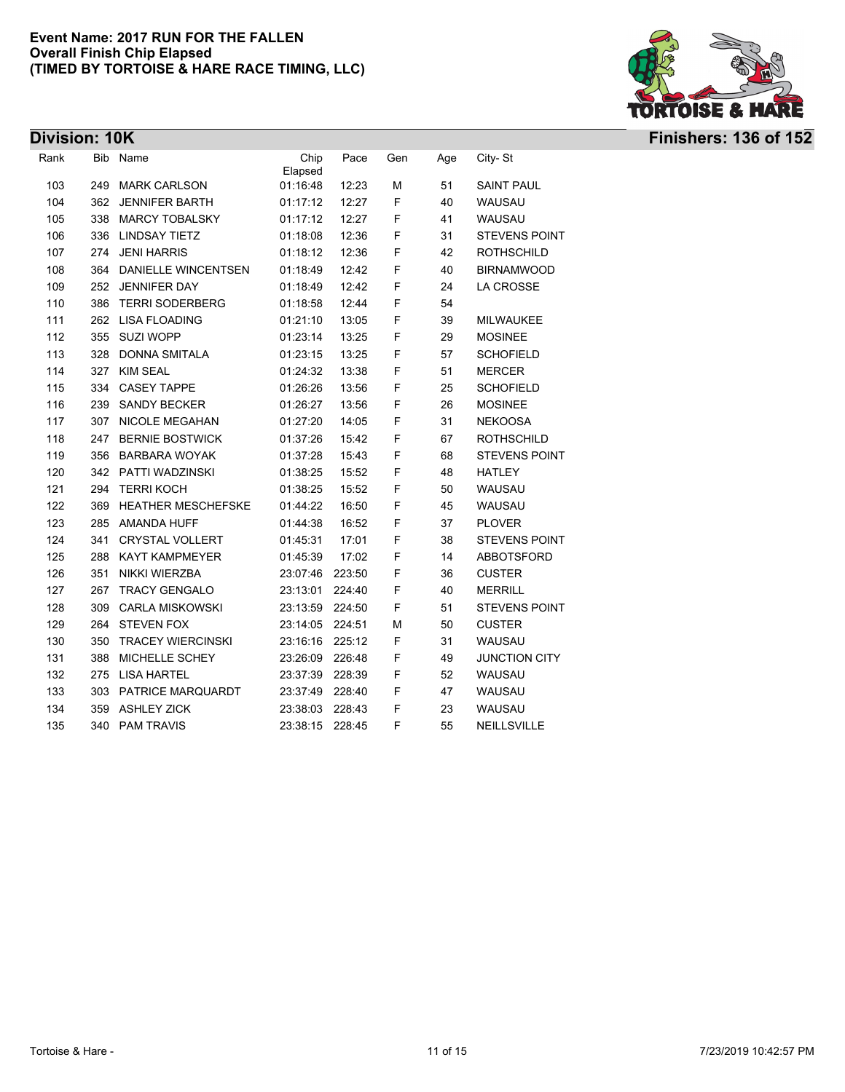

**Division: 10K Finishers: 136 of 152**

| Rank | <b>Bib</b> | Name                       | Chip<br>Elapsed | Pace   | Gen | Age | City-St              |
|------|------------|----------------------------|-----------------|--------|-----|-----|----------------------|
| 103  | 249        | <b>MARK CARLSON</b>        | 01:16:48        | 12:23  | M   | 51  | <b>SAINT PAUL</b>    |
| 104  | 362        | <b>JENNIFER BARTH</b>      | 01:17:12        | 12:27  | F   | 40  | WAUSAU               |
| 105  | 338        | <b>MARCY TOBALSKY</b>      | 01:17:12        | 12:27  | F   | 41  | <b>WAUSAU</b>        |
| 106  | 336        | <b>LINDSAY TIETZ</b>       | 01:18:08        | 12:36  | F   | 31  | <b>STEVENS POINT</b> |
| 107  | 274        | <b>JENI HARRIS</b>         | 01:18:12        | 12:36  | F   | 42  | <b>ROTHSCHILD</b>    |
| 108  | 364        | <b>DANIELLE WINCENTSEN</b> | 01:18:49        | 12:42  | F   | 40  | <b>BIRNAMWOOD</b>    |
| 109  | 252        | <b>JENNIFER DAY</b>        | 01:18:49        | 12:42  | F   | 24  | <b>LA CROSSE</b>     |
| 110  | 386        | <b>TERRI SODERBERG</b>     | 01:18:58        | 12:44  | F   | 54  |                      |
| 111  | 262        | LISA FLOADING              | 01:21:10        | 13:05  | F   | 39  | <b>MILWAUKEE</b>     |
| 112  | 355        | <b>SUZI WOPP</b>           | 01:23:14        | 13:25  | F   | 29  | <b>MOSINEE</b>       |
| 113  | 328        | <b>DONNA SMITALA</b>       | 01:23:15        | 13:25  | F   | 57  | <b>SCHOFIELD</b>     |
| 114  | 327        | <b>KIM SEAL</b>            | 01:24:32        | 13:38  | F   | 51  | <b>MERCER</b>        |
| 115  | 334        | <b>CASEY TAPPE</b>         | 01:26:26        | 13:56  | F   | 25  | <b>SCHOFIELD</b>     |
| 116  | 239        | <b>SANDY BECKER</b>        | 01:26:27        | 13:56  | F   | 26  | <b>MOSINEE</b>       |
| 117  | 307        | NICOLE MEGAHAN             | 01:27:20        | 14:05  | F   | 31  | <b>NEKOOSA</b>       |
| 118  | 247        | <b>BERNIE BOSTWICK</b>     | 01:37:26        | 15:42  | F   | 67  | <b>ROTHSCHILD</b>    |
| 119  | 356        | <b>BARBARA WOYAK</b>       | 01:37:28        | 15:43  | F   | 68  | <b>STEVENS POINT</b> |
| 120  | 342        | PATTI WADZINSKI            | 01:38:25        | 15:52  | F   | 48  | <b>HATLEY</b>        |
| 121  | 294        | <b>TERRI KOCH</b>          | 01:38:25        | 15:52  | F   | 50  | <b>WAUSAU</b>        |
| 122  | 369        | <b>HEATHER MESCHEFSKE</b>  | 01:44:22        | 16:50  | F   | 45  | <b>WAUSAU</b>        |
| 123  | 285        | <b>AMANDA HUFF</b>         | 01:44:38        | 16:52  | F   | 37  | <b>PLOVER</b>        |
| 124  | 341        | <b>CRYSTAL VOLLERT</b>     | 01:45:31        | 17:01  | F   | 38  | <b>STEVENS POINT</b> |
| 125  | 288        | <b>KAYT KAMPMEYER</b>      | 01:45:39        | 17:02  | F   | 14  | <b>ABBOTSFORD</b>    |
| 126  | 351        | NIKKI WIERZBA              | 23:07:46        | 223:50 | F   | 36  | <b>CUSTER</b>        |
| 127  | 267        | <b>TRACY GENGALO</b>       | 23:13:01        | 224:40 | F   | 40  | <b>MERRILL</b>       |
| 128  | 309        | <b>CARLA MISKOWSKI</b>     | 23:13:59        | 224:50 | F   | 51  | <b>STEVENS POINT</b> |
| 129  | 264        | <b>STEVEN FOX</b>          | 23:14:05        | 224:51 | M   | 50  | <b>CUSTER</b>        |
| 130  | 350        | <b>TRACEY WIERCINSKI</b>   | 23:16:16        | 225:12 | F   | 31  | WAUSAU               |
| 131  | 388        | MICHELLE SCHEY             | 23:26:09        | 226:48 | F   | 49  | <b>JUNCTION CITY</b> |
| 132  | 275        | <b>LISA HARTEL</b>         | 23:37:39        | 228:39 | F   | 52  | WAUSAU               |
| 133  | 303        | PATRICE MARQUARDT          | 23:37:49        | 228:40 | F   | 47  | WAUSAU               |
| 134  | 359        | <b>ASHLEY ZICK</b>         | 23:38:03        | 228:43 | F   | 23  | WAUSAU               |
| 135  | 340        | <b>PAM TRAVIS</b>          | 23:38:15        | 228:45 | F   | 55  | <b>NEILLSVILLE</b>   |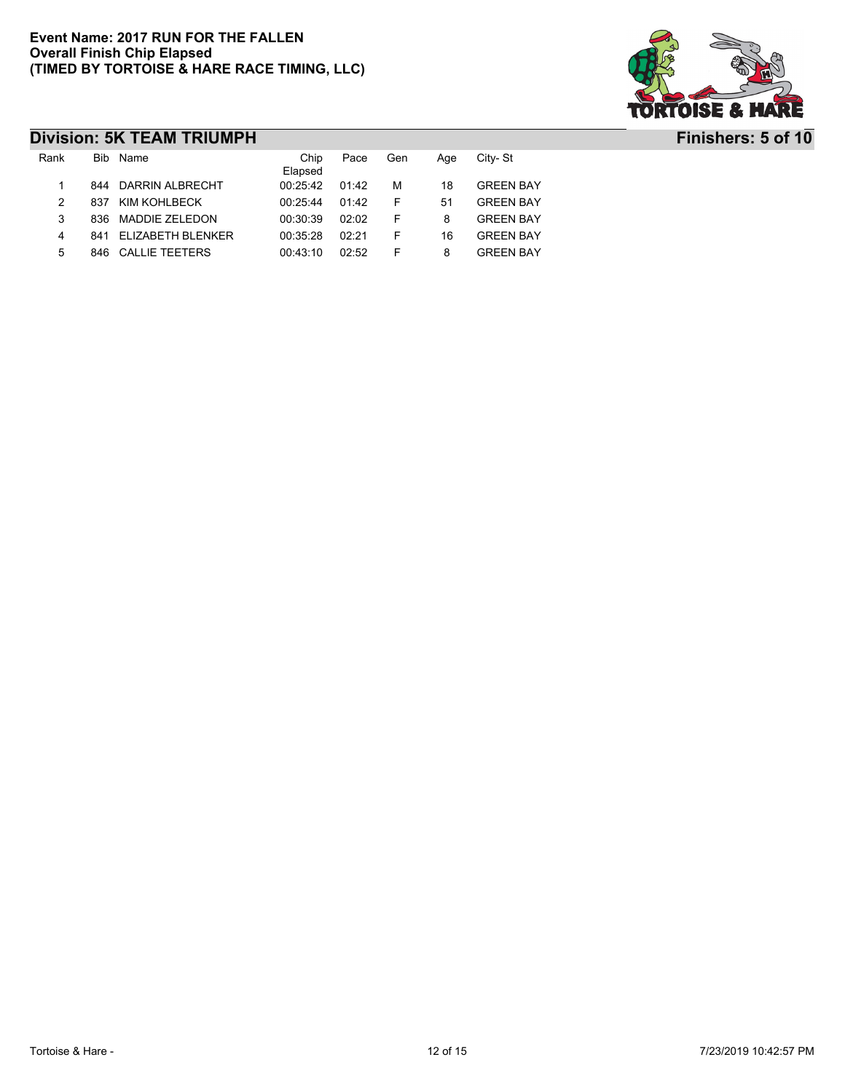

## **Division: 5K TEAM TRIUMPH Finishers: 5 of 10**

| Rank | Bib Name              | Chip<br>Elapsed | Pace  | Gen | Aae | City-St          |
|------|-----------------------|-----------------|-------|-----|-----|------------------|
|      | 844 DARRIN ALBRECHT   | 00:25:42        | 01.42 | м   | 18  | <b>GREEN BAY</b> |
| 2    | 837 KIM KOHLBECK      | 00.25.44        | 01.42 | F   | 51  | <b>GREEN BAY</b> |
|      | 836 MADDIE ZELEDON    | 00:30:39        | 02.02 | F   | 8   | <b>GREEN BAY</b> |
| 4    | 841 ELIZABETH BLENKER | 00:35:28        | 02.21 | F   | 16  | <b>GREEN BAY</b> |
| 5    | 846 CALLIE TEETERS    | 00.43.10        | 02.52 | F   | 8   | <b>GREEN BAY</b> |
|      |                       |                 |       |     |     |                  |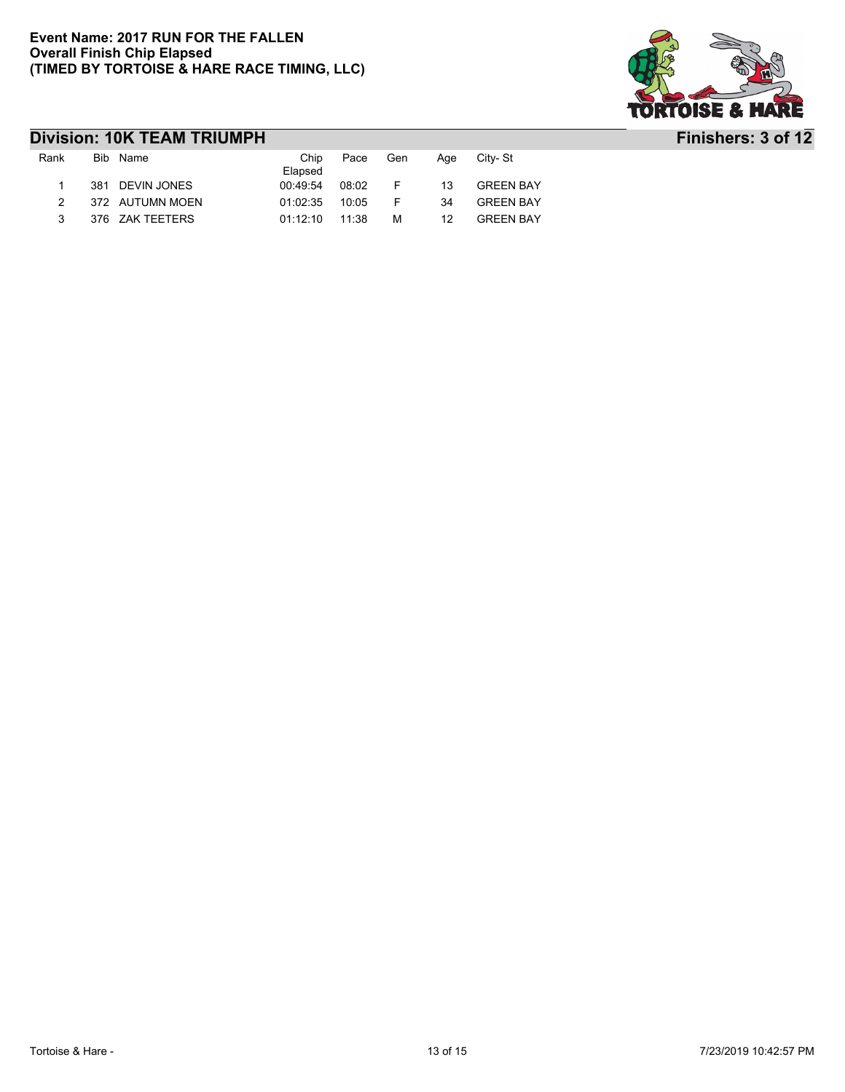

## **Division: 10K TEAM TRIUMPH Finishers: 3 of 12**

| Rank          | Bib Name        | Chip               | Pace Gen |         | Aae             | Citv- St         |
|---------------|-----------------|--------------------|----------|---------|-----------------|------------------|
|               |                 | Elapsed            |          |         |                 |                  |
|               | 381 DEVIN JONES | 00.49.54           |          | 08:02 F | 13              | <b>GREEN BAY</b> |
| $\mathcal{P}$ | 372 AUTUMN MOEN | 01:02:35 10:05 F   |          |         | .34             | <b>GREEN BAY</b> |
| $\mathcal{R}$ | 376 ZAK TEETERS | $01.12.10$ $11.38$ |          | м       | 12 <sup>1</sup> | <b>GREEN BAY</b> |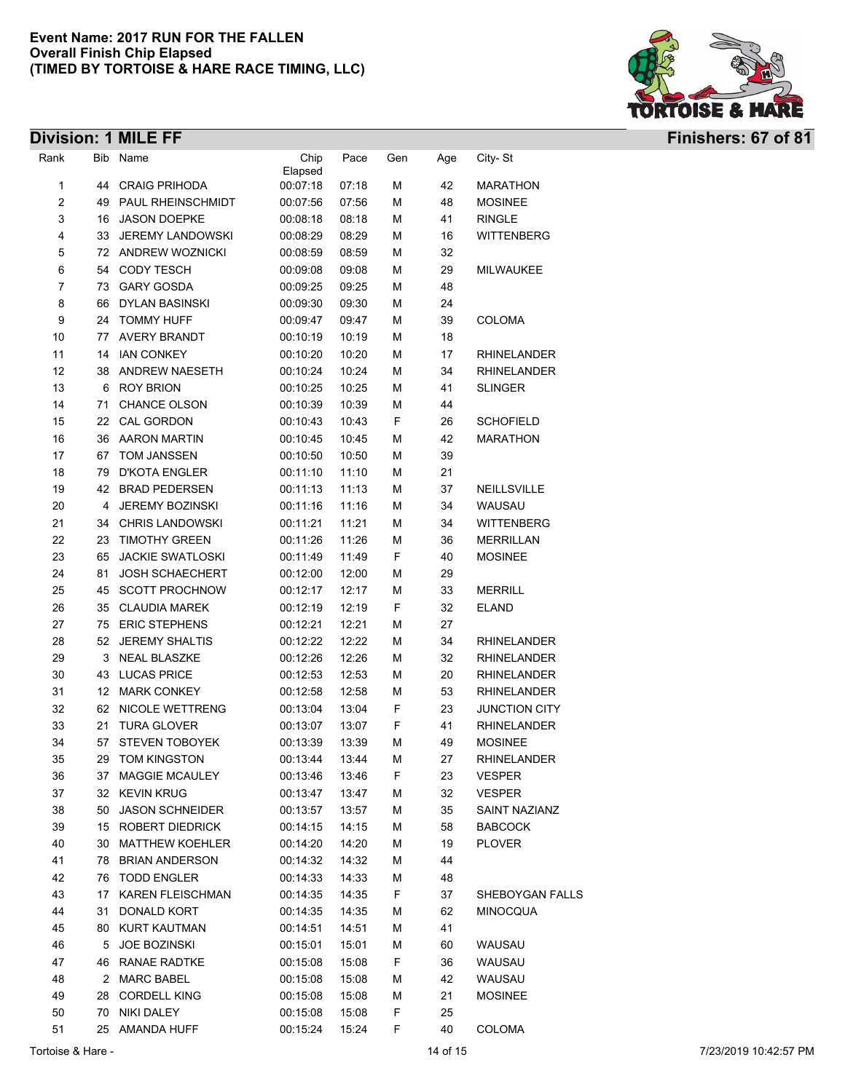# **Division: 1 MILE FF Finishers: 67 of 81**



| Rank |    | Bib Name                | Chip     | Pace  | Gen | Age | City-St              |
|------|----|-------------------------|----------|-------|-----|-----|----------------------|
|      |    |                         | Elapsed  |       |     |     |                      |
| 1    |    | 44 CRAIG PRIHODA        | 00:07:18 | 07:18 | М   | 42  | <b>MARATHON</b>      |
| 2    |    | 49 PAUL RHEINSCHMIDT    | 00:07:56 | 07:56 | М   | 48  | <b>MOSINEE</b>       |
| 3    | 16 | <b>JASON DOEPKE</b>     | 00:08:18 | 08:18 | М   | 41  | <b>RINGLE</b>        |
| 4    | 33 | JEREMY LANDOWSKI        | 00:08:29 | 08:29 | М   | 16  | <b>WITTENBERG</b>    |
| 5    |    | 72 ANDREW WOZNICKI      | 00:08:59 | 08:59 | М   | 32  |                      |
| 6    | 54 | <b>CODY TESCH</b>       | 00:09:08 | 09:08 | М   | 29  | MILWAUKEE            |
| 7    |    | 73 GARY GOSDA           | 00:09:25 | 09:25 | М   | 48  |                      |
| 8    | 66 | <b>DYLAN BASINSKI</b>   | 00:09:30 | 09:30 | М   | 24  |                      |
| 9    |    | 24 TOMMY HUFF           | 00:09:47 | 09:47 | М   | 39  | <b>COLOMA</b>        |
| 10   |    | 77 AVERY BRANDT         | 00:10:19 | 10:19 | М   | 18  |                      |
| 11   | 14 | <b>IAN CONKEY</b>       | 00:10:20 | 10:20 | М   | 17  | RHINELANDER          |
| 12   |    | 38 ANDREW NAESETH       | 00:10:24 | 10:24 | М   | 34  | RHINELANDER          |
| 13   |    | 6 ROY BRION             | 00:10:25 | 10:25 | М   | 41  | <b>SLINGER</b>       |
| 14   | 71 | <b>CHANCE OLSON</b>     | 00:10:39 | 10:39 | М   | 44  |                      |
| 15   |    | 22 CAL GORDON           | 00:10:43 | 10:43 | F   | 26  | <b>SCHOFIELD</b>     |
| 16   |    | 36 AARON MARTIN         | 00:10:45 | 10:45 | М   | 42  | <b>MARATHON</b>      |
| 17   |    | 67 TOM JANSSEN          | 00:10:50 | 10:50 | М   | 39  |                      |
| 18   | 79 | <b>D'KOTA ENGLER</b>    | 00:11:10 | 11:10 | М   | 21  |                      |
| 19   |    | 42 BRAD PEDERSEN        | 00:11:13 | 11:13 | М   | 37  | NEILLSVILLE          |
| 20   | 4  | JEREMY BOZINSKI         | 00:11:16 | 11:16 | М   | 34  | WAUSAU               |
| 21   |    | 34 CHRIS LANDOWSKI      | 00:11:21 | 11:21 | М   | 34  | <b>WITTENBERG</b>    |
| 22   |    | 23 TIMOTHY GREEN        | 00:11:26 | 11:26 | М   | 36  | <b>MERRILLAN</b>     |
| 23   | 65 | <b>JACKIE SWATLOSKI</b> | 00:11:49 | 11:49 | F   | 40  | <b>MOSINEE</b>       |
| 24   | 81 | <b>JOSH SCHAECHERT</b>  | 00:12:00 | 12:00 | М   | 29  |                      |
| 25   |    | 45 SCOTT PROCHNOW       | 00:12:17 | 12:17 | М   | 33  | <b>MERRILL</b>       |
| 26   |    | 35 CLAUDIA MAREK        | 00:12:19 | 12:19 | F   | 32  | <b>ELAND</b>         |
| 27   |    | 75 ERIC STEPHENS        | 00:12:21 | 12:21 | М   | 27  |                      |
| 28   |    | 52 JEREMY SHALTIS       | 00:12:22 | 12:22 | М   | 34  | RHINELANDER          |
| 29   |    | 3 NEAL BLASZKE          | 00:12:26 | 12:26 | М   | 32  | <b>RHINELANDER</b>   |
| 30   |    | 43 LUCAS PRICE          | 00:12:53 | 12:53 | М   | 20  | RHINELANDER          |
| 31   |    | 12 MARK CONKEY          | 00:12:58 | 12:58 | м   | 53  | <b>RHINELANDER</b>   |
| 32   |    | 62 NICOLE WETTRENG      | 00:13:04 | 13:04 | F   | 23  | <b>JUNCTION CITY</b> |
| 33   |    | 21 TURA GLOVER          | 00:13:07 | 13:07 | F   | 41  | RHINELANDER          |
| 34   | 57 | <b>STEVEN TOBOYEK</b>   | 00:13:39 | 13:39 | М   | 49  | <b>MOSINEE</b>       |
| 35   | 29 | <b>TOM KINGSTON</b>     | 00:13:44 | 13:44 | м   | 27  | <b>RHINELANDER</b>   |
| 36   |    | 37 MAGGIE MCAULEY       | 00:13:46 | 13:46 | F   | 23  | <b>VESPER</b>        |
| 37   |    | 32 KEVIN KRUG           | 00:13:47 | 13:47 | M   | 32  | <b>VESPER</b>        |
| 38   |    | 50 JASON SCHNEIDER      | 00:13:57 | 13:57 | М   | 35  | SAINT NAZIANZ        |
| 39   |    | 15 ROBERT DIEDRICK      | 00:14:15 | 14:15 | M   | 58  | <b>BABCOCK</b>       |
| 40   |    | 30 MATTHEW KOEHLER      | 00:14:20 | 14:20 | M   | 19  | <b>PLOVER</b>        |
| 41   |    | 78 BRIAN ANDERSON       | 00:14:32 | 14:32 | М   | 44  |                      |
| 42   |    | 76 TODD ENGLER          | 00:14:33 | 14:33 | M   | 48  |                      |
| 43   |    | 17 KAREN FLEISCHMAN     | 00:14:35 | 14:35 | F   | 37  | SHEBOYGAN FALLS      |
| 44   |    | 31 DONALD KORT          | 00:14:35 | 14:35 | M   | 62  | MINOCQUA             |
| 45   |    | 80 KURT KAUTMAN         | 00:14:51 | 14:51 | М   | 41  |                      |
| 46   |    | 5 JOE BOZINSKI          | 00:15:01 | 15:01 | M   | 60  | WAUSAU               |
| 47   |    | 46 RANAE RADTKE         | 00:15:08 | 15:08 | F   | 36  | WAUSAU               |
| 48   |    | 2 MARC BABEL            | 00:15:08 | 15:08 | M   | 42  | WAUSAU               |
| 49   |    | 28 CORDELL KING         | 00:15:08 | 15:08 | M   | 21  | <b>MOSINEE</b>       |
| 50   |    | 70 NIKI DALEY           | 00:15:08 | 15:08 | F   | 25  |                      |
| 51   |    | 25 AMANDA HUFF          | 00:15:24 | 15:24 | F   | 40  | COLOMA               |
|      |    |                         |          |       |     |     |                      |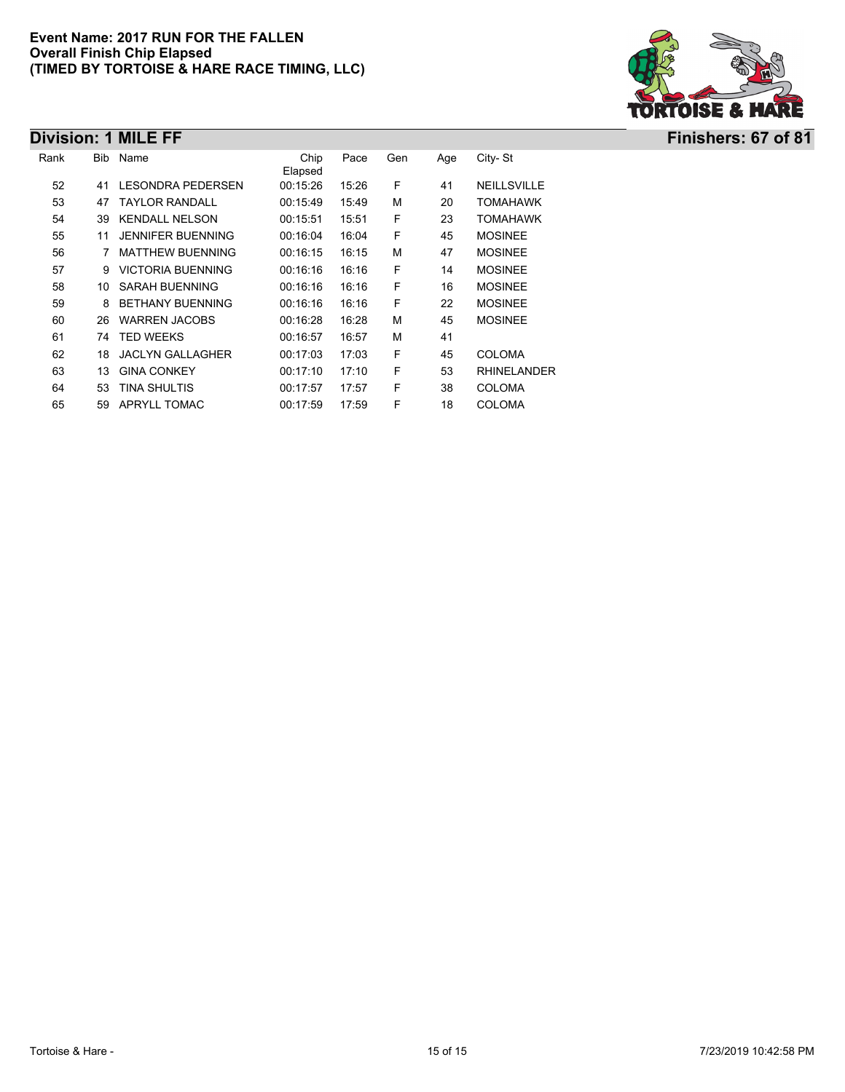# TORTOISE & HARE

## **Division: 1 MILE FF Finishers: 67 of 81**

| Rank | Bib | Name                     | Chip<br>Elapsed | Pace  | Gen | Age | City-St            |
|------|-----|--------------------------|-----------------|-------|-----|-----|--------------------|
| 52   | 41  | <b>LESONDRA PEDERSEN</b> | 00:15:26        | 15:26 | F   | 41  | <b>NEILLSVILLE</b> |
| 53   | 47  | <b>TAYLOR RANDALL</b>    | 00:15:49        | 15:49 | М   | 20  | <b>TOMAHAWK</b>    |
| 54   | 39  | <b>KENDALL NELSON</b>    | 00:15:51        | 15:51 | F   | 23  | <b>TOMAHAWK</b>    |
| 55   | 11  | JENNIFER BUENNING        | 00:16:04        | 16:04 | F   | 45  | <b>MOSINEE</b>     |
| 56   |     | <b>MATTHEW BUENNING</b>  | 00:16:15        | 16:15 | M   | 47  | <b>MOSINEE</b>     |
| 57   | 9   | <b>VICTORIA BUENNING</b> | 00:16:16        | 16:16 | F   | 14  | <b>MOSINEE</b>     |
| 58   | 10  | <b>SARAH BUENNING</b>    | 00:16:16        | 16:16 | F   | 16  | <b>MOSINEE</b>     |
| 59   | 8   | <b>BETHANY BUENNING</b>  | 00:16:16        | 16:16 | F   | 22  | <b>MOSINEE</b>     |
| 60   | 26  | <b>WARREN JACOBS</b>     | 00:16:28        | 16:28 | М   | 45  | <b>MOSINEE</b>     |
| 61   | 74  | <b>TED WEEKS</b>         | 00:16:57        | 16:57 | M   | 41  |                    |
| 62   | 18  | <b>JACLYN GALLAGHER</b>  | 00:17:03        | 17:03 | F   | 45  | COLOMA             |
| 63   | 13  | <b>GINA CONKEY</b>       | 00:17:10        | 17:10 | F   | 53  | <b>RHINELANDER</b> |
| 64   | 53  | TINA SHULTIS             | 00:17:57        | 17:57 | F   | 38  | <b>COLOMA</b>      |
| 65   | 59  | <b>APRYLL TOMAC</b>      | 00:17:59        | 17:59 | F   | 18  | <b>COLOMA</b>      |
|      |     |                          |                 |       |     |     |                    |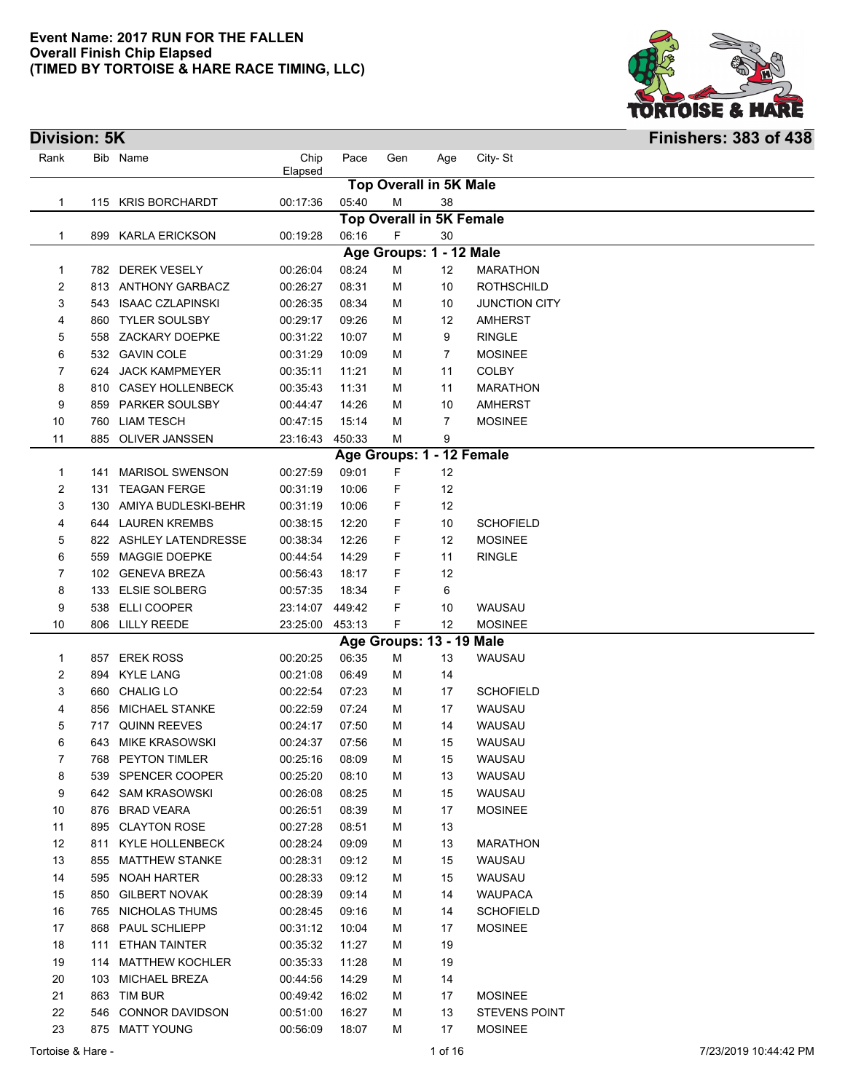

| <b>Division: 5K</b>     |                                     |                      |                |        |                                 |                      | <b>Finishers: 383 of 438</b> |
|-------------------------|-------------------------------------|----------------------|----------------|--------|---------------------------------|----------------------|------------------------------|
| Rank                    | Bib Name                            | Chip<br>Elapsed      | Pace           | Gen    | Age                             | City-St              |                              |
|                         |                                     |                      |                |        | <b>Top Overall in 5K Male</b>   |                      |                              |
| 1                       | 115 KRIS BORCHARDT                  | 00:17:36             | 05:40          | М      | 38                              |                      |                              |
|                         |                                     |                      |                |        | <b>Top Overall in 5K Female</b> |                      |                              |
| 1                       | 899 KARLA ERICKSON                  | 00:19:28             | 06:16          | F      | 30                              |                      |                              |
|                         |                                     |                      |                |        | Age Groups: 1 - 12 Male         |                      |                              |
| $\mathbf{1}$            | 782 DEREK VESELY                    | 00:26:04             | 08:24          | м      | 12                              | <b>MARATHON</b>      |                              |
| 2                       | 813 ANTHONY GARBACZ                 | 00:26:27             | 08:31          | M      | 10                              | <b>ROTHSCHILD</b>    |                              |
| 3                       | 543 ISAAC CZLAPINSKI                | 00:26:35             | 08:34          | м      | 10                              | <b>JUNCTION CITY</b> |                              |
| 4                       | 860 TYLER SOULSBY                   | 00:29:17             | 09:26          | м      | 12                              | <b>AMHERST</b>       |                              |
| 5                       | 558 ZACKARY DOEPKE                  | 00:31:22             | 10:07          | м      | 9                               | <b>RINGLE</b>        |                              |
| 6                       | 532 GAVIN COLE                      | 00:31:29             | 10:09          | м      | 7                               | <b>MOSINEE</b>       |                              |
| 7                       | 624 JACK KAMPMEYER                  | 00:35:11             | 11:21          | M      | 11                              | <b>COLBY</b>         |                              |
| 8                       | 810 CASEY HOLLENBECK                | 00:35:43             | 11:31          | M      | 11                              | <b>MARATHON</b>      |                              |
| 9                       | 859 PARKER SOULSBY                  | 00:44:47             | 14:26          | M      | 10                              | <b>AMHERST</b>       |                              |
| 10                      | 760 LIAM TESCH                      | 00:47:15             | 15:14          | M      | 7                               | <b>MOSINEE</b>       |                              |
| 11                      | 885 OLIVER JANSSEN                  | 23:16:43 450:33      |                | М      | 9                               |                      |                              |
|                         |                                     |                      |                |        | Age Groups: 1 - 12 Female       |                      |                              |
| 1                       | 141 MARISOL SWENSON                 | 00:27:59             | 09:01          | F      | 12                              |                      |                              |
| $\overline{\mathbf{c}}$ | 131 TEAGAN FERGE                    | 00:31:19             | 10:06          | F      | 12                              |                      |                              |
| 3                       | 130 AMIYA BUDLESKI-BEHR             | 00:31:19             | 10:06          | F      | 12                              |                      |                              |
| 4                       | 644 LAUREN KREMBS                   | 00:38:15             | 12:20          | F      | 10                              | <b>SCHOFIELD</b>     |                              |
| 5                       | 822 ASHLEY LATENDRESSE              | 00:38:34             | 12:26          | F      | 12                              | <b>MOSINEE</b>       |                              |
| 6                       | 559 MAGGIE DOEPKE                   | 00:44:54             | 14:29          | F      | 11                              | <b>RINGLE</b>        |                              |
| $\overline{7}$          | 102 GENEVA BREZA                    | 00:56:43             | 18:17          | F      | 12                              |                      |                              |
| 8                       | 133 ELSIE SOLBERG                   | 00:57:35             | 18:34          | F      | 6                               |                      |                              |
| 9                       | 538 ELLI COOPER                     | 23:14:07             | 449:42         | F      | 10                              | WAUSAU               |                              |
| 10                      | 806 LILLY REEDE                     | 23:25:00 453:13      |                | F      | 12                              | <b>MOSINEE</b>       |                              |
|                         |                                     |                      |                |        | Age Groups: 13 - 19 Male        |                      |                              |
| 1                       | 857 EREK ROSS                       | 00:20:25             | 06:35          | M      | 13                              | WAUSAU               |                              |
| $\overline{\mathbf{c}}$ | 894 KYLE LANG                       | 00:21:08             | 06:49          | M      | 14                              |                      |                              |
| 3                       | 660 CHALIG LO                       | 00:22:54             | 07:23          | M      | 17                              | <b>SCHOFIELD</b>     |                              |
| 4                       | 856 MICHAEL STANKE                  | 00:22:59             | 07:24          | м      | 17                              | WAUSAU               |                              |
| 5                       | 717 QUINN REEVES                    | 00:24:17             | 07:50          | м      | 14                              | WAUSAU               |                              |
| 6                       | 643 MIKE KRASOWSKI                  | 00:24:37             | 07:56          | м      | 15                              | WAUSAU               |                              |
| 7                       | 768 PEYTON TIMLER                   | 00:25:16             | 08:09          | M      | 15                              | WAUSAU               |                              |
| 8                       | 539 SPENCER COOPER                  | 00:25:20             | 08:10          | M      | 13                              | WAUSAU               |                              |
| 9<br>10                 | 642 SAM KRASOWSKI<br>876 BRAD VEARA | 00:26:08<br>00:26:51 | 08:25<br>08:39 | M      | 15                              | WAUSAU               |                              |
| 11                      | 895 CLAYTON ROSE                    | 00:27:28             | 08:51          | M      | 17<br>13                        | <b>MOSINEE</b>       |                              |
| 12                      | 811 KYLE HOLLENBECK                 | 00:28:24             | 09:09          | M      | 13                              | <b>MARATHON</b>      |                              |
| 13                      | 855 MATTHEW STANKE                  | 00:28:31             | 09:12          | M      | 15                              | WAUSAU               |                              |
| 14                      | 595 NOAH HARTER                     | 00:28:33             | 09:12          | M<br>M | 15                              | WAUSAU               |                              |
| 15                      | 850 GILBERT NOVAK                   | 00:28:39             | 09:14          | M      | 14                              | <b>WAUPACA</b>       |                              |
| 16                      | 765 NICHOLAS THUMS                  | 00:28:45             | 09:16          | M      | 14                              | <b>SCHOFIELD</b>     |                              |
| 17                      | 868 PAUL SCHLIEPP                   | 00:31:12             | 10:04          | M      | 17                              | <b>MOSINEE</b>       |                              |
| 18                      | 111 ETHAN TAINTER                   | 00:35:32             | 11:27          | M      | 19                              |                      |                              |
| 19                      | 114 MATTHEW KOCHLER                 | 00:35:33             | 11:28          | M      | 19                              |                      |                              |
| 20                      | 103 MICHAEL BREZA                   | 00:44:56             | 14:29          | M      | 14                              |                      |                              |
| 21                      | 863 TIM BUR                         | 00:49:42             | 16:02          | M      | 17                              | <b>MOSINEE</b>       |                              |
| 22                      | 546 CONNOR DAVIDSON                 | 00:51:00             | 16:27          | M      | 13                              | <b>STEVENS POINT</b> |                              |
| 23                      | 875 MATT YOUNG                      | 00:56:09             | 18:07          | м      | 17                              | <b>MOSINEE</b>       |                              |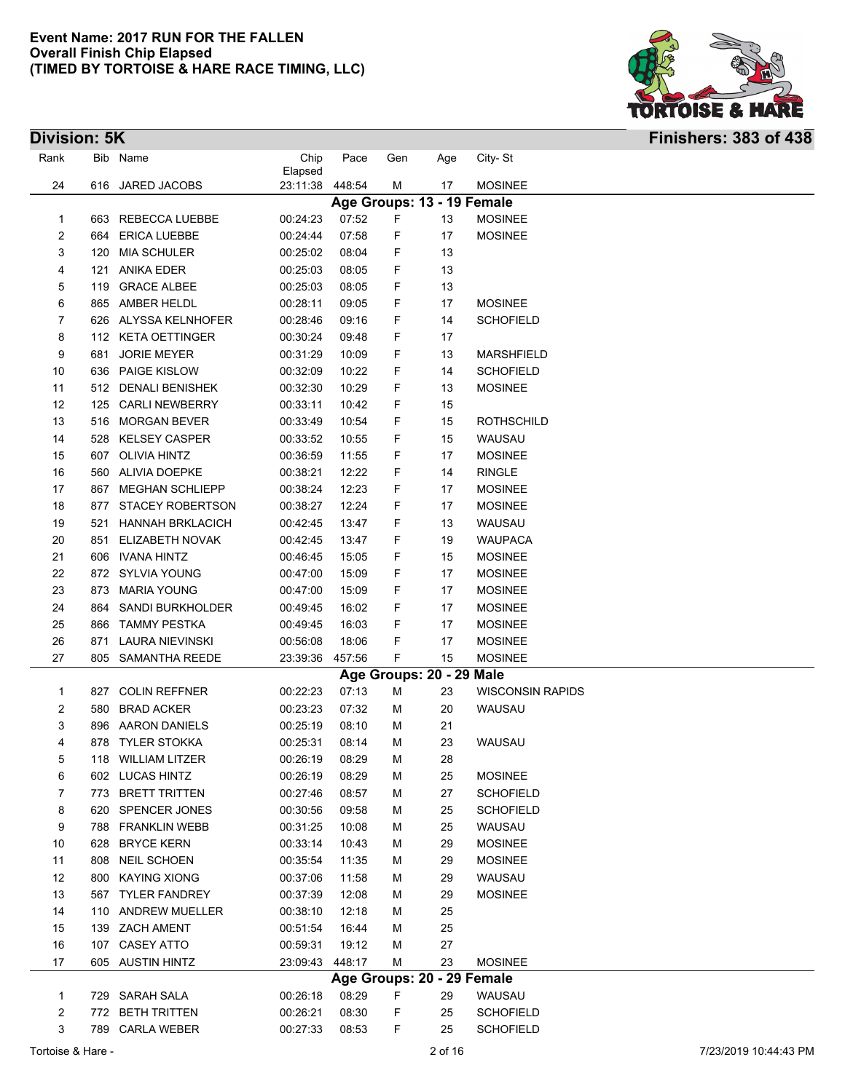

| Rank |     | Bib Name                | Chip<br>Elapsed | Pace   | Gen | Age                        | City-St                 |
|------|-----|-------------------------|-----------------|--------|-----|----------------------------|-------------------------|
| 24   |     | 616 JARED JACOBS        | 23:11:38 448:54 |        | М   | 17                         | <b>MOSINEE</b>          |
|      |     |                         |                 |        |     | Age Groups: 13 - 19 Female |                         |
| 1    | 663 | REBECCA LUEBBE          | 00:24:23        | 07:52  | F   | 13                         | <b>MOSINEE</b>          |
| 2    | 664 | <b>ERICA LUEBBE</b>     | 00:24:44        | 07:58  | F   | 17                         | <b>MOSINEE</b>          |
| 3    | 120 | <b>MIA SCHULER</b>      | 00:25:02        | 08:04  | F   | 13                         |                         |
| 4    | 121 | <b>ANIKA EDER</b>       | 00:25:03        | 08:05  | F   | 13                         |                         |
| 5    | 119 | <b>GRACE ALBEE</b>      | 00:25:03        | 08:05  | F   | 13                         |                         |
| 6    |     | 865 AMBER HELDL         | 00:28:11        | 09:05  | F   | 17                         | <b>MOSINEE</b>          |
| 7    |     | 626 ALYSSA KELNHOFER    | 00:28:46        | 09:16  | F   | 14                         | <b>SCHOFIELD</b>        |
| 8    |     | 112 KETA OETTINGER      | 00:30:24        | 09:48  | F   | 17                         |                         |
| 9    | 681 | <b>JORIE MEYER</b>      | 00:31:29        | 10:09  | F   | 13                         | <b>MARSHFIELD</b>       |
| 10   |     | 636 PAIGE KISLOW        | 00:32:09        | 10:22  | F   | 14                         | <b>SCHOFIELD</b>        |
| 11   |     | 512 DENALI BENISHEK     | 00:32:30        | 10:29  | F   | 13                         | <b>MOSINEE</b>          |
| 12   |     | 125 CARLI NEWBERRY      | 00:33:11        | 10:42  | F   | 15                         |                         |
| 13   |     | 516 MORGAN BEVER        | 00:33:49        | 10:54  | F   | 15                         | <b>ROTHSCHILD</b>       |
| 14   |     | 528 KELSEY CASPER       | 00:33:52        | 10:55  | F   | 15                         | WAUSAU                  |
| 15   |     | 607 OLIVIA HINTZ        | 00:36:59        | 11:55  | F   | 17                         | <b>MOSINEE</b>          |
| 16   |     | 560 ALIVIA DOEPKE       | 00:38:21        | 12:22  | F   | 14                         | <b>RINGLE</b>           |
| 17   | 867 | <b>MEGHAN SCHLIEPP</b>  | 00:38:24        | 12:23  | F   | 17                         | <b>MOSINEE</b>          |
| 18   |     | 877 STACEY ROBERTSON    | 00:38:27        | 12:24  | F   | 17                         | <b>MOSINEE</b>          |
| 19   | 521 | <b>HANNAH BRKLACICH</b> | 00:42:45        | 13:47  | F   | 13                         | WAUSAU                  |
| 20   | 851 | ELIZABETH NOVAK         | 00:42:45        | 13:47  | F   | 19                         | <b>WAUPACA</b>          |
| 21   |     | 606 IVANA HINTZ         | 00:46:45        | 15:05  | F   | 15                         | <b>MOSINEE</b>          |
| 22   |     | 872 SYLVIA YOUNG        | 00:47:00        | 15:09  | F   | 17                         | <b>MOSINEE</b>          |
| 23   |     | 873 MARIA YOUNG         | 00:47:00        | 15:09  | F   | 17                         | <b>MOSINEE</b>          |
| 24   |     | 864 SANDI BURKHOLDER    | 00:49:45        | 16:02  | F   | 17                         | <b>MOSINEE</b>          |
| 25   |     | 866 TAMMY PESTKA        | 00:49:45        | 16:03  | F   | 17                         | <b>MOSINEE</b>          |
| 26   | 871 | LAURA NIEVINSKI         | 00:56:08        | 18:06  | F   | 17                         | <b>MOSINEE</b>          |
| 27   | 805 | SAMANTHA REEDE          | 23:39:36        | 457:56 | F   | 15                         | <b>MOSINEE</b>          |
|      |     |                         |                 |        |     | Age Groups: 20 - 29 Male   |                         |
| 1    |     | 827 COLIN REFFNER       | 00:22:23        | 07:13  | M   | 23                         | <b>WISCONSIN RAPIDS</b> |
| 2    | 580 | <b>BRAD ACKER</b>       | 00:23:23        | 07:32  | M   | 20                         | WAUSAU                  |
| 3    |     | 896 AARON DANIELS       | 00:25:19        | 08:10  | M   | 21                         |                         |
| 4    |     | 878 TYLER STOKKA        | 00:25:31        | 08:14  | м   | 23                         | WAUSAU                  |
| 5    |     | 118 WILLIAM LITZER      | 00:26:19        | 08:29  | м   | 28                         |                         |
| 6    |     | 602 LUCAS HINTZ         | 00:26:19        | 08:29  | M   | 25                         | <b>MOSINEE</b>          |
| 7    |     | 773 BRETT TRITTEN       | 00:27:46        | 08:57  | M   | 27                         | <b>SCHOFIELD</b>        |
| 8    |     | 620 SPENCER JONES       | 00:30:56        | 09:58  | M   | 25                         | <b>SCHOFIELD</b>        |
| 9    |     | 788 FRANKLIN WEBB       | 00:31:25        | 10:08  | M   | 25                         | WAUSAU                  |
| 10   |     | 628 BRYCE KERN          | 00:33:14        | 10:43  | M   | 29                         | <b>MOSINEE</b>          |
| 11   |     | 808 NEIL SCHOEN         | 00:35:54        | 11:35  | M   | 29                         | <b>MOSINEE</b>          |
| 12   |     | 800 KAYING XIONG        | 00:37:06        | 11:58  | M   | 29                         | WAUSAU                  |
| 13   |     | 567 TYLER FANDREY       | 00:37:39        | 12:08  | м   | 29                         | <b>MOSINEE</b>          |
| 14   |     | 110 ANDREW MUELLER      | 00:38:10        | 12:18  | м   | 25                         |                         |
| 15   |     | 139 ZACH AMENT          | 00:51:54        | 16:44  | м   | 25                         |                         |
| 16   |     | 107 CASEY ATTO          | 00:59:31        | 19:12  | м   | 27                         |                         |
| 17   |     | 605 AUSTIN HINTZ        | 23:09:43 448:17 |        | м   | 23                         | <b>MOSINEE</b>          |
|      |     |                         |                 |        |     | Age Groups: 20 - 29 Female |                         |
| 1    |     | 729 SARAH SALA          | 00:26:18        | 08:29  | F   | 29                         | WAUSAU                  |
| 2    |     | 772 BETH TRITTEN        | 00:26:21        | 08:30  | F   | 25                         | <b>SCHOFIELD</b>        |
| 3    |     | 789 CARLA WEBER         | 00:27:33        | 08:53  | F   | 25                         | <b>SCHOFIELD</b>        |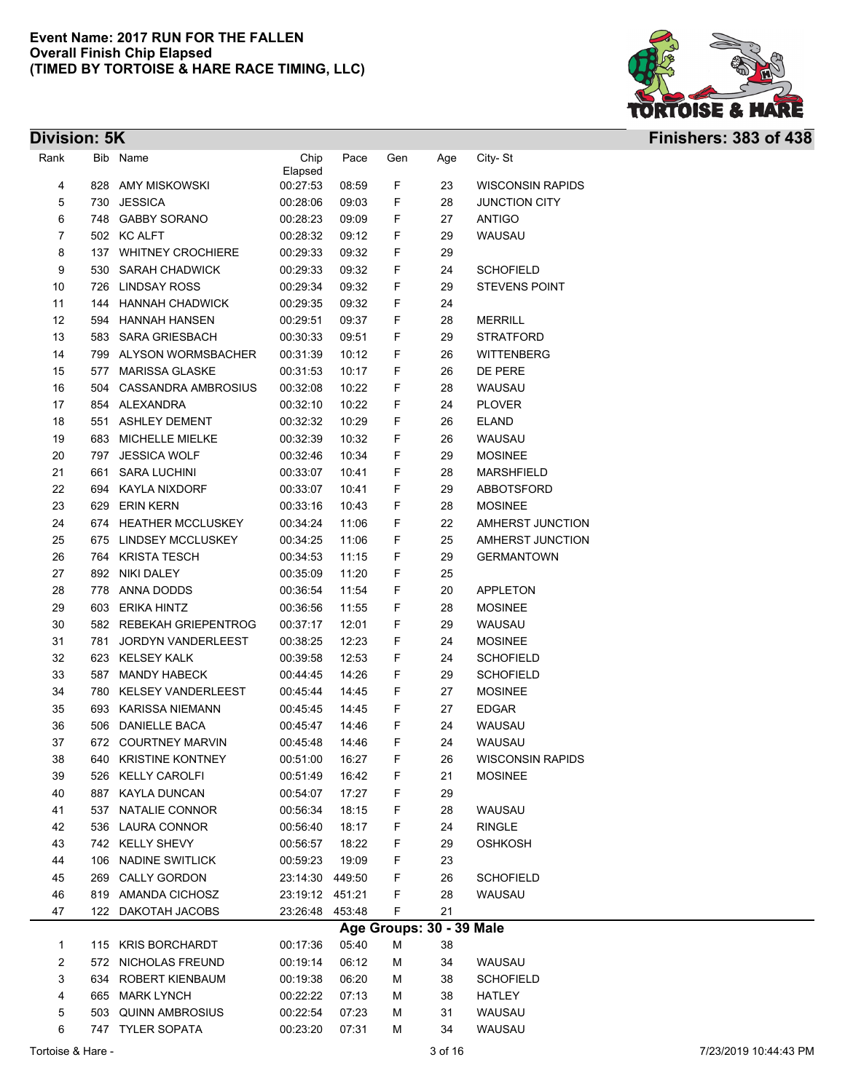

| Rank |     | Bib Name                | Chip<br>Elapsed | Pace   | Gen | Age                      | City-St                 |  |
|------|-----|-------------------------|-----------------|--------|-----|--------------------------|-------------------------|--|
| 4    |     | 828 AMY MISKOWSKI       | 00:27:53        | 08:59  | F   | 23                       | <b>WISCONSIN RAPIDS</b> |  |
| 5    |     | 730 JESSICA             | 00:28:06        | 09:03  | F   | 28                       | <b>JUNCTION CITY</b>    |  |
| 6    |     | 748 GABBY SORANO        | 00:28:23        | 09:09  | F   | 27                       | <b>ANTIGO</b>           |  |
| 7    |     | 502 KC ALFT             | 00:28:32        | 09:12  | F   | 29                       | WAUSAU                  |  |
| 8    |     | 137 WHITNEY CROCHIERE   | 00:29:33        | 09:32  | F   | 29                       |                         |  |
| 9    |     | 530 SARAH CHADWICK      | 00:29:33        | 09:32  | F   | 24                       | SCHOFIELD               |  |
| 10   |     | 726 LINDSAY ROSS        | 00:29:34        | 09:32  | F   | 29                       | <b>STEVENS POINT</b>    |  |
| 11   |     | 144 HANNAH CHADWICK     | 00:29:35        | 09:32  | F   | 24                       |                         |  |
| 12   | 594 | HANNAH HANSEN           | 00:29:51        | 09:37  | F   | 28                       | <b>MERRILL</b>          |  |
| 13   |     | 583 SARA GRIESBACH      | 00:30:33        | 09:51  | F   | 29                       | <b>STRATFORD</b>        |  |
| 14   |     | 799 ALYSON WORMSBACHER  | 00:31:39        | 10:12  | F   | 26                       | WITTENBERG              |  |
| 15   |     | 577 MARISSA GLASKE      | 00:31:53        | 10:17  | F   | 26                       | DE PERE                 |  |
| 16   |     | 504 CASSANDRA AMBROSIUS | 00:32:08        | 10:22  | F   | 28                       | WAUSAU                  |  |
| 17   |     | 854 ALEXANDRA           | 00:32:10        | 10:22  | F   | 24                       | <b>PLOVER</b>           |  |
| 18   |     | 551 ASHLEY DEMENT       | 00:32:32        | 10:29  | F   | 26                       | <b>ELAND</b>            |  |
| 19   |     | 683 MICHELLE MIELKE     | 00:32:39        | 10:32  | F   | 26                       | WAUSAU                  |  |
| 20   |     | 797 JESSICA WOLF        | 00:32:46        | 10:34  | F   | 29                       | <b>MOSINEE</b>          |  |
| 21   |     | 661 SARA LUCHINI        | 00:33:07        | 10:41  | F   | 28                       | <b>MARSHFIELD</b>       |  |
| 22   |     | 694 KAYLA NIXDORF       | 00:33:07        | 10:41  | F   | 29                       | ABBOTSFORD              |  |
| 23   |     | 629 ERIN KERN           | 00:33:16        | 10:43  | F   | 28                       | <b>MOSINEE</b>          |  |
| 24   |     | 674 HEATHER MCCLUSKEY   | 00:34:24        | 11:06  | F   | 22                       | AMHERST JUNCTION        |  |
| 25   |     | 675 LINDSEY MCCLUSKEY   | 00:34:25        | 11:06  | F   | 25                       | AMHERST JUNCTION        |  |
| 26   |     | 764 KRISTA TESCH        | 00:34:53        | 11:15  | F   | 29                       | <b>GERMANTOWN</b>       |  |
| 27   |     | 892 NIKI DALEY          | 00:35:09        | 11:20  | F   | 25                       |                         |  |
| 28   |     | 778 ANNA DODDS          | 00:36:54        | 11:54  | F   | 20                       | APPLETON                |  |
| 29   |     | 603 ERIKA HINTZ         | 00:36:56        | 11:55  | F   | 28                       | <b>MOSINEE</b>          |  |
| 30   |     | 582 REBEKAH GRIEPENTROG | 00:37:17        | 12:01  | F   | 29                       | WAUSAU                  |  |
| 31   |     | 781 JORDYN VANDERLEEST  | 00:38:25        | 12:23  | F   | 24                       | <b>MOSINEE</b>          |  |
| 32   |     | 623 KELSEY KALK         | 00:39:58        | 12:53  | F   | 24                       | SCHOFIELD               |  |
| 33   |     | 587 MANDY HABECK        | 00:44:45        | 14:26  | F   | 29                       | SCHOFIELD               |  |
| 34   |     | 780 KELSEY VANDERLEEST  | 00:45:44        | 14:45  | F   | 27                       | <b>MOSINEE</b>          |  |
| 35   | 693 | KARISSA NIEMANN         | 00:45:45        | 14:45  | F   | 27                       | <b>EDGAR</b>            |  |
| 36   | 506 | DANIELLE BACA           | 00:45:47        | 14:46  | F   | 24                       | WAUSAU                  |  |
| 37   |     | 672 COURTNEY MARVIN     | 00:45:48        | 14:46  | F   | 24                       | WAUSAU                  |  |
| 38   |     | 640 KRISTINE KONTNEY    | 00:51:00 16:27  |        | F   | 26                       | <b>WISCONSIN RAPIDS</b> |  |
| 39   |     | 526 KELLY CAROLFI       | 00:51:49        | 16:42  | F   | 21                       | <b>MOSINEE</b>          |  |
| 40   |     | 887 KAYLA DUNCAN        | 00:54:07        | 17:27  | F   | 29                       |                         |  |
| 41   |     | 537 NATALIE CONNOR      | 00:56:34        | 18:15  | F   | 28                       | WAUSAU                  |  |
| 42   |     | 536 LAURA CONNOR        | 00:56:40        | 18:17  | F   | 24                       | <b>RINGLE</b>           |  |
| 43   |     | 742 KELLY SHEVY         | 00:56:57        | 18:22  | F   | 29                       | <b>OSHKOSH</b>          |  |
| 44   |     | 106 NADINE SWITLICK     | 00:59:23        | 19:09  | F   | 23                       |                         |  |
| 45   |     | 269 CALLY GORDON        | 23:14:30        | 449:50 | F   | 26                       | <b>SCHOFIELD</b>        |  |
| 46   |     | 819 AMANDA CICHOSZ      | 23:19:12        | 451:21 | F   | 28                       | WAUSAU                  |  |
| 47   |     | 122 DAKOTAH JACOBS      | 23:26:48        | 453:48 | F   | 21                       |                         |  |
|      |     |                         |                 |        |     | Age Groups: 30 - 39 Male |                         |  |
| 1    |     | 115 KRIS BORCHARDT      | 00:17:36        | 05:40  | М   | 38                       |                         |  |
| 2    |     | 572 NICHOLAS FREUND     | 00:19:14        | 06:12  | M   | 34                       | WAUSAU                  |  |
| 3    |     | 634 ROBERT KIENBAUM     | 00:19:38        | 06:20  | M   | 38                       | <b>SCHOFIELD</b>        |  |
| 4    |     | 665 MARK LYNCH          | 00:22:22        | 07:13  | M   | 38                       | <b>HATLEY</b>           |  |
| 5    |     | 503 QUINN AMBROSIUS     | 00:22:54        | 07:23  | M   | 31                       | WAUSAU                  |  |
| 6    |     | 747 TYLER SOPATA        | 00:23:20        | 07:31  | М   | 34                       | WAUSAU                  |  |
|      |     |                         |                 |        |     |                          |                         |  |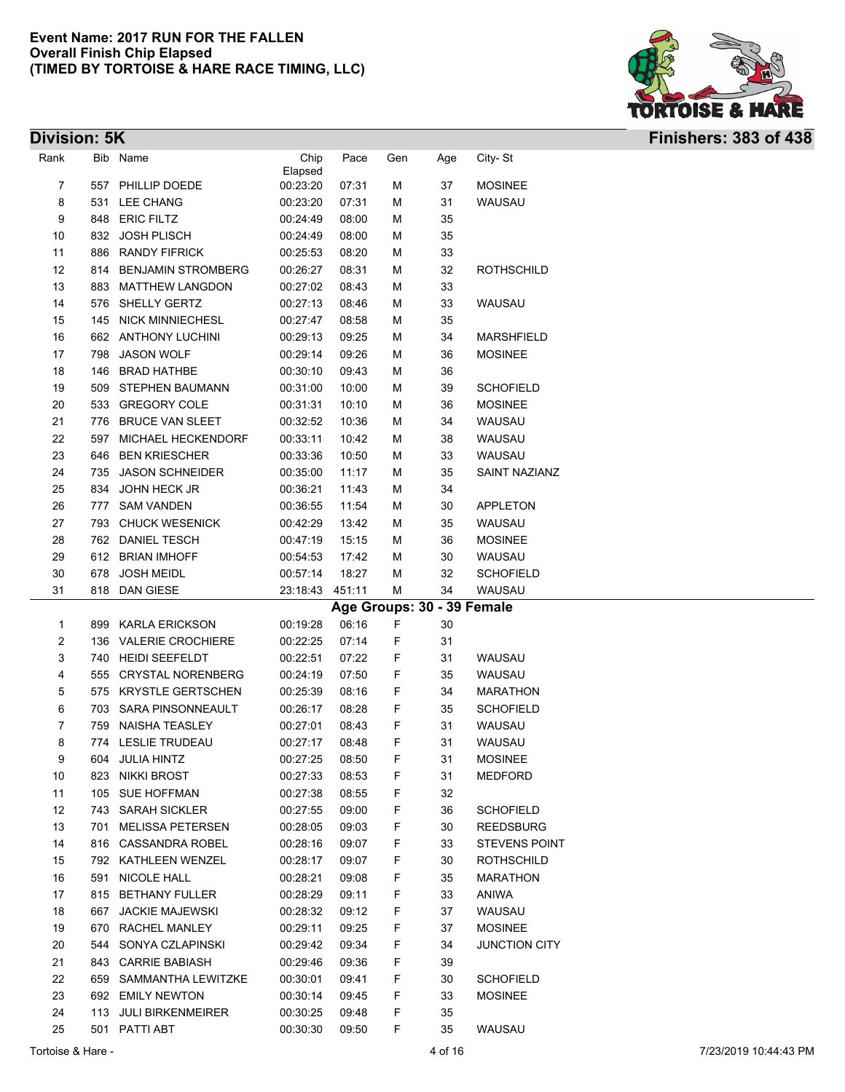

| Rank |     | Bib Name                          | Chip            | Pace           | Gen | Age                        | City-St              |  |
|------|-----|-----------------------------------|-----------------|----------------|-----|----------------------------|----------------------|--|
|      |     |                                   | Elapsed         |                |     |                            | <b>MOSINEE</b>       |  |
| 7    |     | 557 PHILLIP DOEDE                 | 00:23:20        | 07:31          | M   | 37                         |                      |  |
| 8    |     | 531 LEE CHANG                     | 00:23:20        | 07:31          | M   | 31                         | WAUSAU               |  |
| 9    |     | 848 ERIC FILTZ<br>832 JOSH PLISCH | 00:24:49        | 08:00<br>08:00 | M   | 35<br>35                   |                      |  |
| 10   |     | 886 RANDY FIFRICK                 | 00:24:49        |                | M   | 33                         |                      |  |
| 11   |     |                                   | 00:25:53        | 08:20          | M   |                            |                      |  |
| 12   |     | 814 BENJAMIN STROMBERG            | 00:26:27        | 08:31          | M   | 32                         | <b>ROTHSCHILD</b>    |  |
| 13   |     | 883 MATTHEW LANGDON               | 00:27:02        | 08:43          | М   | 33                         |                      |  |
| 14   |     | 576 SHELLY GERTZ                  | 00:27:13        | 08:46          | М   | 33                         | WAUSAU               |  |
| 15   |     | 145 NICK MINNIECHESL              | 00:27:47        | 08:58          | М   | 35                         |                      |  |
| 16   |     | 662 ANTHONY LUCHINI               | 00:29:13        | 09:25          | M   | 34                         | <b>MARSHFIELD</b>    |  |
| 17   |     | 798 JASON WOLF                    | 00:29:14        | 09:26          | M   | 36                         | <b>MOSINEE</b>       |  |
| 18   |     | 146 BRAD HATHBE                   | 00:30:10        | 09:43          | м   | 36                         |                      |  |
| 19   |     | 509 STEPHEN BAUMANN               | 00:31:00        | 10:00          | M   | 39                         | <b>SCHOFIELD</b>     |  |
| 20   |     | 533 GREGORY COLE                  | 00:31:31        | 10:10          | M   | 36                         | <b>MOSINEE</b>       |  |
| 21   |     | 776 BRUCE VAN SLEET               | 00:32:52        | 10:36          | M   | 34                         | WAUSAU               |  |
| 22   |     | 597 MICHAEL HECKENDORF            | 00:33:11        | 10:42          | M   | 38                         | WAUSAU               |  |
| 23   |     | 646 BEN KRIESCHER                 | 00:33:36        | 10:50          | M   | 33                         | WAUSAU               |  |
| 24   |     | 735 JASON SCHNEIDER               | 00:35:00        | 11:17          | M   | 35                         | SAINT NAZIANZ        |  |
| 25   |     | 834 JOHN HECK JR                  | 00:36:21        | 11:43          | M   | 34                         |                      |  |
| 26   |     | 777 SAM VANDEN                    | 00:36:55        | 11:54          | M   | 30                         | APPLETON             |  |
| 27   |     | 793 CHUCK WESENICK                | 00:42:29        | 13:42          | M   | 35                         | WAUSAU               |  |
| 28   |     | 762 DANIEL TESCH                  | 00:47:19        | 15:15          | M   | 36                         | <b>MOSINEE</b>       |  |
| 29   |     | 612 BRIAN IMHOFF                  | 00:54:53        | 17:42          | м   | 30                         | WAUSAU               |  |
| 30   |     | 678 JOSH MEIDL                    | 00:57:14        | 18:27          | M   | 32                         | <b>SCHOFIELD</b>     |  |
| 31   |     | 818 DAN GIESE                     | 23:18:43 451:11 |                | м   | 34                         | WAUSAU               |  |
|      |     |                                   |                 |                |     | Age Groups: 30 - 39 Female |                      |  |
|      |     | 899 KARLA ERICKSON                |                 |                |     | 30                         |                      |  |
| 1    |     |                                   | 00:19:28        | 06:16          | F   |                            |                      |  |
| 2    |     | 136 VALERIE CROCHIERE             | 00:22:25        | 07:14          | F   | 31                         |                      |  |
| 3    |     | 740 HEIDI SEEFELDT                | 00:22:51        | 07:22          | F   | 31                         | WAUSAU               |  |
| 4    |     | 555 CRYSTAL NORENBERG             | 00:24:19        | 07:50          | F   | 35                         | WAUSAU               |  |
| 5    |     | 575 KRYSTLE GERTSCHEN             | 00:25:39        | 08:16          | F   | 34                         | <b>MARATHON</b>      |  |
| 6    |     | 703 SARA PINSONNEAULT             | 00:26:17        | 08:28          | F   | 35                         | <b>SCHOFIELD</b>     |  |
| 7    |     | 759 NAISHA TEASLEY                | 00:27:01        | 08:43          | F   | 31                         | WAUSAU               |  |
| 8    |     | 774 LESLIE TRUDEAU                | 00:27:17        | 08:48          | F   | 31                         | WAUSAU               |  |
| 9    |     | 604 JULIA HINTZ                   | 00:27:25        | 08:50          | F   | 31                         | <b>MOSINEE</b>       |  |
| 10   |     | 823 NIKKI BROST                   | 00:27:33        | 08:53          | F   | 31                         | MEDFORD              |  |
| 11   |     | 105 SUE HOFFMAN                   | 00:27:38        | 08:55          | F   | 32                         |                      |  |
| 12   |     | 743 SARAH SICKLER                 | 00:27:55        | 09:00          | F   | 36                         | <b>SCHOFIELD</b>     |  |
| 13   |     | 701 MELISSA PETERSEN              | 00:28:05        | 09:03          | F.  | 30                         | <b>REEDSBURG</b>     |  |
| 14   |     | 816 CASSANDRA ROBEL               | 00:28:16        | 09:07          | F.  | 33                         | <b>STEVENS POINT</b> |  |
| 15   |     | 792 KATHLEEN WENZEL               | 00:28:17        | 09:07          | F   | 30                         | <b>ROTHSCHILD</b>    |  |
| 16   | 591 | NICOLE HALL                       | 00:28:21        | 09:08          | F   | 35                         | <b>MARATHON</b>      |  |
| 17   |     | 815 BETHANY FULLER                | 00:28:29        | 09:11          | F   | 33                         | ANIWA                |  |
| 18   |     | 667 JACKIE MAJEWSKI               | 00:28:32        | 09:12          | F   | 37                         | WAUSAU               |  |
| 19   |     | 670 RACHEL MANLEY                 | 00:29:11        | 09:25          | F   | 37                         | <b>MOSINEE</b>       |  |
| 20   | 544 | SONYA CZLAPINSKI                  | 00:29:42        | 09:34          | F   | 34                         | JUNCTION CITY        |  |
| 21   |     | 843 CARRIE BABIASH                | 00:29:46        | 09:36          | F   | 39                         |                      |  |
| 22   |     | 659 SAMMANTHA LEWITZKE            | 00:30:01        | 09:41          | F   | 30                         | <b>SCHOFIELD</b>     |  |
| 23   |     | 692 EMILY NEWTON                  | 00:30:14        | 09:45          | F   | 33                         | <b>MOSINEE</b>       |  |
| 24   |     | 113 JULI BIRKENMEIRER             | 00:30:25        | 09:48          | F   | 35                         |                      |  |
| 25   |     | 501 PATTI ABT                     | 00:30:30        | 09:50          | F   | 35                         | WAUSAU               |  |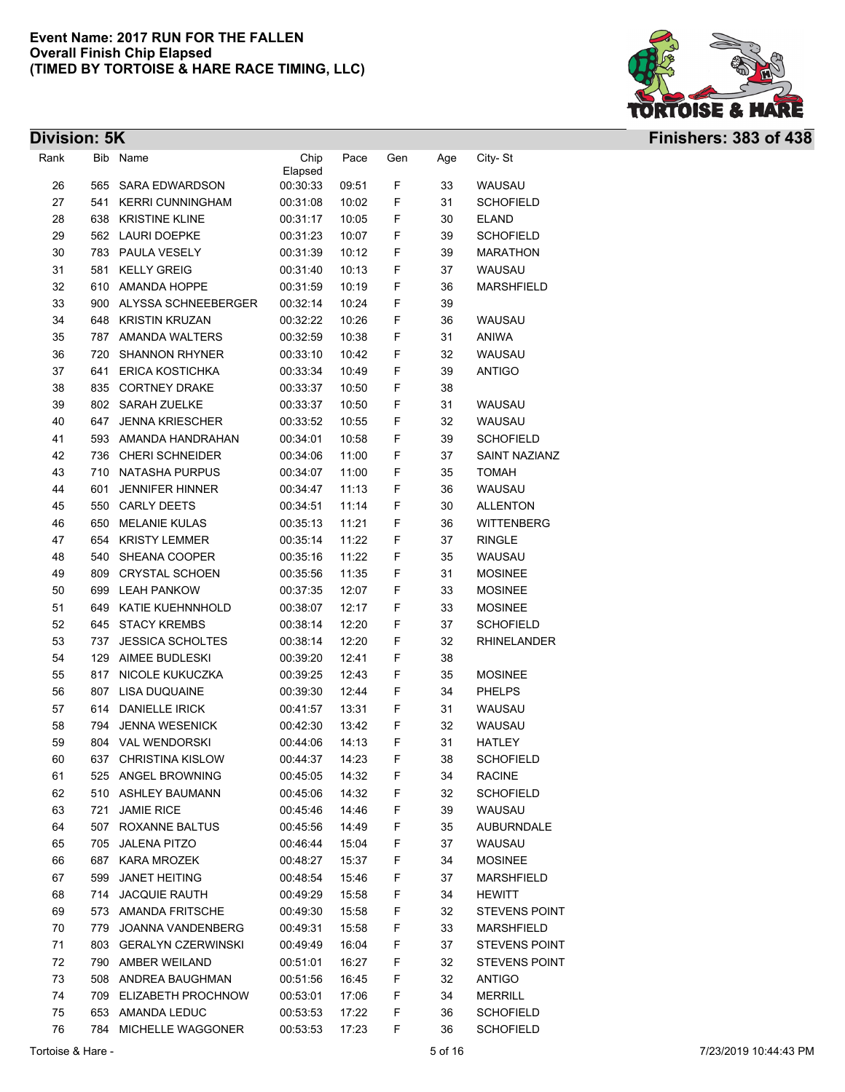

| <b>Division: 5K</b> |     |                         |                 |                |     |     |                      | <b>Finishers: 383 of 438</b> |
|---------------------|-----|-------------------------|-----------------|----------------|-----|-----|----------------------|------------------------------|
| Rank                |     | Bib Name                | Chip<br>Elapsed | Pace           | Gen | Age | City-St              |                              |
| 26                  |     | 565 SARA EDWARDSON      | 00:30:33        | 09:51          | F   | 33  | WAUSAU               |                              |
| 27                  | 541 | <b>KERRI CUNNINGHAM</b> | 00:31:08        | 10:02          | F   | 31  | <b>SCHOFIELD</b>     |                              |
| 28                  |     | 638 KRISTINE KLINE      | 00:31:17        | 10:05          | F   | 30  | <b>ELAND</b>         |                              |
| 29                  |     | 562 LAURI DOEPKE        | 00:31:23        | 10:07          | F   | 39  | <b>SCHOFIELD</b>     |                              |
| 30                  |     | 783 PAULA VESELY        | 00:31:39        | 10:12          | F   | 39  | <b>MARATHON</b>      |                              |
| 31                  | 581 | <b>KELLY GREIG</b>      | 00:31:40        | 10:13          | F   | 37  | WAUSAU               |                              |
| 32                  |     | 610 AMANDA HOPPE        | 00:31:59        | 10:19          | F   | 36  | MARSHFIELD           |                              |
| 33                  |     | 900 ALYSSA SCHNEEBERGER | 00:32:14        | 10:24          | F   | 39  |                      |                              |
| 34                  |     | 648 KRISTIN KRUZAN      | 00:32:22        | 10:26          | F   | 36  | WAUSAU               |                              |
| 35                  |     | 787 AMANDA WALTERS      | 00:32:59        | 10:38          | F   | 31  | ANIWA                |                              |
| 36                  |     | 720 SHANNON RHYNER      | 00:33:10        | 10:42          | F   | 32  | WAUSAU               |                              |
| 37                  |     | 641 ERICA KOSTICHKA     | 00:33:34        | 10:49          | F   | 39  | <b>ANTIGO</b>        |                              |
| 38                  |     | 835 CORTNEY DRAKE       | 00:33:37        | 10:50          | F   | 38  |                      |                              |
| 39                  |     | 802 SARAH ZUELKE        | 00:33:37        | 10:50          | F   | 31  | WAUSAU               |                              |
| 40                  |     | 647 JENNA KRIESCHER     | 00:33:52        | 10:55          | F   | 32  | WAUSAU               |                              |
| 41                  |     | 593 AMANDA HANDRAHAN    | 00:34:01        | 10:58          | F   | 39  | <b>SCHOFIELD</b>     |                              |
| 42                  |     | 736 CHERI SCHNEIDER     | 00:34:06        | 11:00          | F   | 37  | SAINT NAZIANZ        |                              |
| 43                  |     | 710 NATASHA PURPUS      | 00:34:07        | 11:00          | F   | 35  | <b>TOMAH</b>         |                              |
| 44                  | 601 | <b>JENNIFER HINNER</b>  | 00:34:47        | 11:13          | F   | 36  | WAUSAU               |                              |
| 45                  |     | 550 CARLY DEETS         | 00:34:51        | 11:14          | F   | 30  | <b>ALLENTON</b>      |                              |
| 46                  | 650 | <b>MELANIE KULAS</b>    | 00:35:13        | 11:21          | F   | 36  | WITTENBERG           |                              |
| 47                  |     | 654 KRISTY LEMMER       | 00:35:14        | 11:22          | F   | 37  | <b>RINGLE</b>        |                              |
| 48                  |     | 540 SHEANA COOPER       | 00:35:16        | 11:22          | F   | 35  | WAUSAU               |                              |
| 49                  | 809 | <b>CRYSTAL SCHOEN</b>   | 00:35:56        | 11:35          | F   | 31  | <b>MOSINEE</b>       |                              |
| 50                  |     | 699 LEAH PANKOW         | 00:37:35        | 12:07          | F   | 33  | <b>MOSINEE</b>       |                              |
| 51                  |     | 649 KATIE KUEHNNHOLD    | 00:38:07        | 12:17          | F   | 33  | <b>MOSINEE</b>       |                              |
| 52                  |     | 645 STACY KREMBS        | 00:38:14        | 12:20          | F   | 37  | <b>SCHOFIELD</b>     |                              |
| 53                  | 737 | <b>JESSICA SCHOLTES</b> | 00:38:14        | 12:20          | F   | 32  | RHINELANDER          |                              |
| 54                  |     | 129 AIMEE BUDLESKI      | 00:39:20        | 12:41          | F   | 38  |                      |                              |
| 55                  |     | 817 NICOLE KUKUCZKA     | 00:39:25        | 12:43          | F   | 35  | <b>MOSINEE</b>       |                              |
| 56                  |     | 807 LISA DUQUAINE       | 00:39:30        | 12:44          | F   | 34  | <b>PHELPS</b>        |                              |
| 57                  |     | 614 DANIELLE IRICK      | 00:41:57        | 13:31          | F   | 31  | WAUSAU               |                              |
| 58                  |     | 794 JENNA WESENICK      | 00:42:30        | 13:42          | F   | 32  | WAUSAU               |                              |
| 59                  |     | 804 VAL WENDORSKI       | 00:44:06        | 14:13          | F.  | 31  | HATLEY               |                              |
| 60                  |     | 637 CHRISTINA KISLOW    | 00:44:37        | 14:23          | F   | 38  | <b>SCHOFIELD</b>     |                              |
| 61                  |     | 525 ANGEL BROWNING      | 00:45:05        | 14:32          | F   | 34  | <b>RACINE</b>        |                              |
| 62                  |     | 510 ASHLEY BAUMANN      | 00:45:06        | 14:32          | F   | 32  | <b>SCHOFIELD</b>     |                              |
| 63                  |     | 721 JAMIE RICE          | 00:45:46        | 14:46          | F   | 39  | WAUSAU               |                              |
| 64                  |     | 507 ROXANNE BALTUS      | 00:45:56        | 14:49          | F   | 35  | AUBURNDALE           |                              |
| 65                  |     | 705 JALENA PITZO        | 00:46:44        | 15:04          | F   | 37  | WAUSAU               |                              |
| 66                  |     | 687 KARA MROZEK         | 00:48:27        | 15:37          | F   | 34  | <b>MOSINEE</b>       |                              |
| 67                  |     | 599 JANET HEITING       | 00:48:54        | 15:46          | F   | 37  | MARSHFIELD           |                              |
| 68                  |     | 714 JACQUIE RAUTH       | 00:49:29        | 15:58          | F   | 34  | <b>HEWITT</b>        |                              |
| 69                  |     | 573 AMANDA FRITSCHE     | 00:49:30        | 15:58          | F   | 32  | <b>STEVENS POINT</b> |                              |
| 70                  |     | 779 JOANNA VANDENBERG   | 00:49:31        | 15:58          | F   | 33  | <b>MARSHFIELD</b>    |                              |
| 71                  |     | 803 GERALYN CZERWINSKI  | 00:49:49        | 16:04          | F   | 37  | <b>STEVENS POINT</b> |                              |
| 72                  |     | 790 AMBER WEILAND       | 00:51:01        | 16:27          | F   | 32  | <b>STEVENS POINT</b> |                              |
| 73                  |     | 508 ANDREA BAUGHMAN     | 00:51:56        | 16:45          | F   | 32  | ANTIGO               |                              |
| 74<br>75            |     | 709 ELIZABETH PROCHNOW  | 00:53:01        | 17:06<br>17:22 | F   | 34  | <b>MERRILL</b>       |                              |
|                     |     | 653 AMANDA LEDUC        | 00:53:53        |                | F   | 36  | <b>SCHOFIELD</b>     |                              |
| 76                  | 784 | MICHELLE WAGGONER       | 00:53:53        | 17:23          | F.  | 36  | <b>SCHOFIELD</b>     |                              |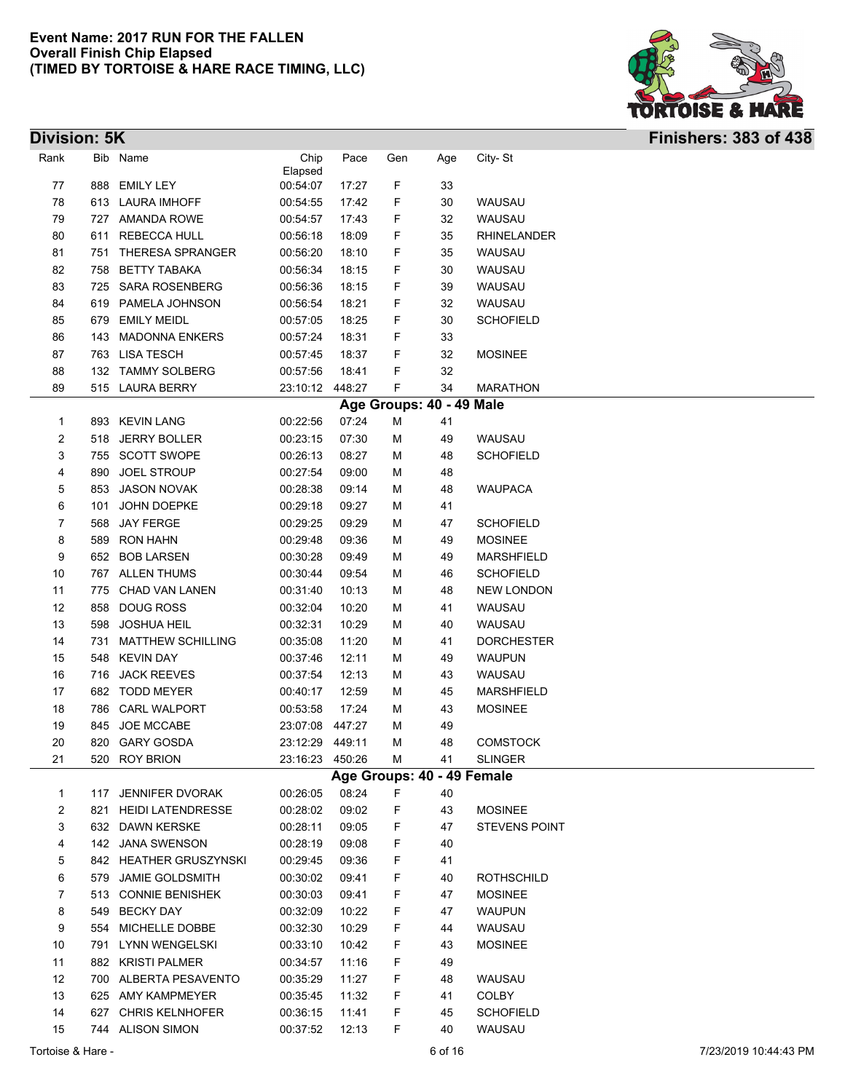

| Rank |     | Bib Name                 | Chip            | Pace   | Gen | Age                        | City-St              |
|------|-----|--------------------------|-----------------|--------|-----|----------------------------|----------------------|
|      |     |                          | Elapsed         |        |     |                            |                      |
| 77   | 888 | EMILY LEY                | 00:54:07        | 17:27  | F   | 33                         |                      |
| 78   |     | 613 LAURA IMHOFF         | 00:54:55        | 17:42  | F   | 30                         | WAUSAU               |
| 79   |     | 727 AMANDA ROWE          | 00:54:57        | 17:43  | F   | 32                         | WAUSAU               |
| 80   | 611 | <b>REBECCA HULL</b>      | 00:56:18        | 18:09  | F   | 35                         | RHINELANDER          |
| 81   |     | 751 THERESA SPRANGER     | 00:56:20        | 18:10  | F   | 35                         | WAUSAU               |
| 82   | 758 | BETTY TABAKA             | 00:56:34        | 18:15  | F   | 30                         | WAUSAU               |
| 83   |     | 725 SARA ROSENBERG       | 00:56:36        | 18:15  | F   | 39                         | WAUSAU               |
| 84   |     | 619 PAMELA JOHNSON       | 00:56:54        | 18:21  | F   | 32                         | WAUSAU               |
| 85   | 679 | <b>EMILY MEIDL</b>       | 00:57:05        | 18:25  | F   | 30                         | <b>SCHOFIELD</b>     |
| 86   |     | 143 MADONNA ENKERS       | 00:57:24        | 18:31  | F   | 33                         |                      |
| 87   |     | 763 LISA TESCH           | 00:57:45        | 18:37  | F   | 32                         | <b>MOSINEE</b>       |
| 88   |     | 132 TAMMY SOLBERG        | 00:57:56        | 18:41  | F   | 32                         |                      |
| 89   |     | 515 LAURA BERRY          | 23:10:12 448:27 |        | F   | 34                         | <b>MARATHON</b>      |
|      |     |                          |                 |        |     | Age Groups: 40 - 49 Male   |                      |
| 1    |     | 893 KEVIN LANG           | 00:22:56        | 07:24  | М   | 41                         |                      |
| 2    |     | 518 JERRY BOLLER         | 00:23:15        | 07:30  | М   | 49                         | WAUSAU               |
| 3    |     | 755 SCOTT SWOPE          | 00:26:13        | 08:27  | М   | 48                         | <b>SCHOFIELD</b>     |
| 4    | 890 | <b>JOEL STROUP</b>       | 00:27:54        | 09:00  | М   | 48                         |                      |
| 5    |     | 853 JASON NOVAK          | 00:28:38        | 09:14  | М   | 48                         | <b>WAUPACA</b>       |
| 6    | 101 | JOHN DOEPKE              | 00:29:18        | 09:27  | M   | 41                         |                      |
| 7    |     | 568 JAY FERGE            | 00:29:25        | 09:29  | М   | 47                         | <b>SCHOFIELD</b>     |
| 8    |     | 589 RON HAHN             | 00:29:48        | 09:36  | М   | 49                         | <b>MOSINEE</b>       |
| 9    | 652 | <b>BOB LARSEN</b>        | 00:30:28        | 09:49  | М   | 49                         | <b>MARSHFIELD</b>    |
| 10   |     | 767 ALLEN THUMS          | 00:30:44        | 09:54  | M   | 46                         | <b>SCHOFIELD</b>     |
| 11   |     | 775 CHAD VAN LANEN       | 00:31:40        | 10:13  | М   | 48                         | <b>NEW LONDON</b>    |
| 12   |     | 858 DOUG ROSS            | 00:32:04        | 10:20  | М   | 41                         | WAUSAU               |
| 13   |     | 598 JOSHUA HEIL          | 00:32:31        | 10:29  | М   | 40                         | WAUSAU               |
| 14   |     | 731 MATTHEW SCHILLING    | 00:35:08        | 11:20  | М   | 41                         | <b>DORCHESTER</b>    |
| 15   |     | 548 KEVIN DAY            | 00:37:46        | 12:11  | М   | 49                         | <b>WAUPUN</b>        |
| 16   |     | 716 JACK REEVES          | 00:37:54        | 12:13  | М   | 43                         | WAUSAU               |
| 17   |     | 682 TODD MEYER           | 00:40:17        | 12:59  | М   | 45                         | <b>MARSHFIELD</b>    |
| 18   | 786 | CARL WALPORT             | 00:53:58        | 17:24  | М   | 43                         | <b>MOSINEE</b>       |
| 19   |     | 845 JOE MCCABE           | 23:07:08        | 447:27 | М   | 49                         |                      |
| 20   | 820 | <b>GARY GOSDA</b>        | 23:12:29 449:11 |        | М   | 48                         | <b>COMSTOCK</b>      |
| 21   |     | 520 ROY BRION            | 23:16:23 450:26 |        | м   | 41                         | <b>SLINGER</b>       |
|      |     |                          |                 |        |     | Age Groups: 40 - 49 Female |                      |
| 1    |     | 117 JENNIFER DVORAK      | 00:26:05        | 08:24  | F   | 40                         |                      |
| 2    | 821 | <b>HEIDI LATENDRESSE</b> | 00:28:02        | 09:02  | F   | 43                         | <b>MOSINEE</b>       |
| 3    |     | 632 DAWN KERSKE          | 00:28:11        | 09:05  | F   | 47                         | <b>STEVENS POINT</b> |
| 4    |     | 142 JANA SWENSON         | 00:28:19        | 09:08  | F   | 40                         |                      |
|      |     | 842 HEATHER GRUSZYNSKI   | 00:29:45        | 09:36  | F   |                            |                      |
| 5    |     | 579 JAMIE GOLDSMITH      | 00:30:02        | 09:41  |     | 41                         |                      |
| 6    |     |                          |                 |        | F   | 40                         | ROTHSCHILD           |
| 7    |     | 513 CONNIE BENISHEK      | 00:30:03        | 09:41  | F   | 47                         | <b>MOSINEE</b>       |
| 8    | 549 | <b>BECKY DAY</b>         | 00:32:09        | 10:22  | F   | 47                         | <b>WAUPUN</b>        |
| 9    | 554 | MICHELLE DOBBE           | 00:32:30        | 10:29  | F   | 44                         | WAUSAU               |
| 10   | 791 | <b>LYNN WENGELSKI</b>    | 00:33:10        | 10:42  | F   | 43                         | <b>MOSINEE</b>       |
| 11   |     | 882 KRISTI PALMER        | 00:34:57        | 11:16  | F   | 49                         |                      |
| 12   |     | 700 ALBERTA PESAVENTO    | 00:35:29        | 11:27  | F   | 48                         | WAUSAU               |
| 13   |     | 625 AMY KAMPMEYER        | 00:35:45        | 11:32  | F   | 41                         | <b>COLBY</b>         |
| 14   |     | 627 CHRIS KELNHOFER      | 00:36:15        | 11:41  | F   | 45                         | <b>SCHOFIELD</b>     |
| 15   |     | 744 ALISON SIMON         | 00:37:52        | 12:13  | F   | 40                         | WAUSAU               |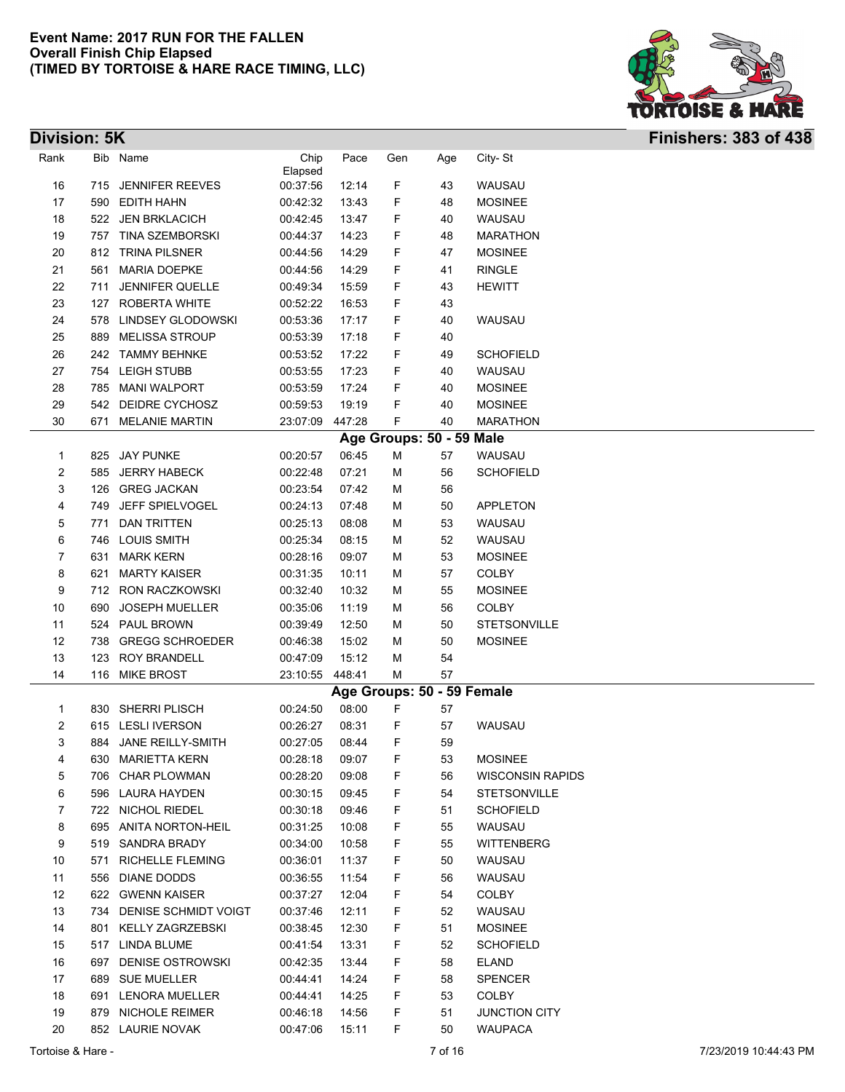

| Rank |     | Bib Name                 | Chip<br>Elapsed | Pace   | Gen                        | Age | City-St                 |  |
|------|-----|--------------------------|-----------------|--------|----------------------------|-----|-------------------------|--|
| 16   |     | 715 JENNIFER REEVES      | 00:37:56        | 12:14  | F                          | 43  | WAUSAU                  |  |
| 17   |     | 590 EDITH HAHN           | 00:42:32        | 13:43  | F                          | 48  | <b>MOSINEE</b>          |  |
| 18   |     | 522 JEN BRKLACICH        | 00:42:45        | 13:47  | F                          | 40  | WAUSAU                  |  |
| 19   |     | 757 TINA SZEMBORSKI      | 00:44:37        | 14:23  | F                          | 48  | <b>MARATHON</b>         |  |
| 20   |     | 812 TRINA PILSNER        | 00:44:56        | 14:29  | F                          | 47  | <b>MOSINEE</b>          |  |
| 21   |     | 561 MARIA DOEPKE         | 00:44:56        | 14:29  | F                          | 41  | <b>RINGLE</b>           |  |
| 22   |     | 711 JENNIFER QUELLE      | 00:49:34        | 15:59  | F                          | 43  | <b>HEWITT</b>           |  |
| 23   |     | 127 ROBERTA WHITE        | 00:52:22        | 16:53  | F                          | 43  |                         |  |
| 24   |     | 578 LINDSEY GLODOWSKI    | 00:53:36        | 17:17  | F                          | 40  | WAUSAU                  |  |
| 25   | 889 | <b>MELISSA STROUP</b>    | 00:53:39        | 17:18  | F                          | 40  |                         |  |
| 26   |     | 242 TAMMY BEHNKE         | 00:53:52        | 17:22  | F                          | 49  | <b>SCHOFIELD</b>        |  |
| 27   |     | 754 LEIGH STUBB          | 00:53:55        | 17:23  | F                          | 40  | WAUSAU                  |  |
| 28   |     | 785 MANI WALPORT         | 00:53:59        | 17:24  | F                          | 40  | <b>MOSINEE</b>          |  |
| 29   |     | 542 DEIDRE CYCHOSZ       | 00:59:53        | 19:19  | F                          | 40  | <b>MOSINEE</b>          |  |
| 30   | 671 | <b>MELANIE MARTIN</b>    | 23:07:09        | 447:28 | F                          | 40  | <b>MARATHON</b>         |  |
|      |     |                          |                 |        | Age Groups: 50 - 59 Male   |     |                         |  |
| 1    |     | 825 JAY PUNKE            | 00:20:57        | 06:45  | М                          | 57  | WAUSAU                  |  |
| 2    |     | 585 JERRY HABECK         | 00:22:48        | 07:21  | М                          | 56  | <b>SCHOFIELD</b>        |  |
| 3    |     | 126 GREG JACKAN          | 00:23:54        | 07:42  | М                          | 56  |                         |  |
| 4    |     | 749 JEFF SPIELVOGEL      | 00:24:13        | 07:48  | М                          | 50  | APPLETON                |  |
| 5    |     | 771 DAN TRITTEN          | 00:25:13        | 08:08  | М                          | 53  | WAUSAU                  |  |
| 6    |     | 746 LOUIS SMITH          | 00:25:34        | 08:15  | М                          | 52  | WAUSAU                  |  |
| 7    |     | 631 MARK KERN            | 00:28:16        | 09:07  | М                          | 53  | <b>MOSINEE</b>          |  |
| 8    |     | 621 MARTY KAISER         | 00:31:35        | 10:11  | М                          | 57  | <b>COLBY</b>            |  |
| 9    |     | 712 RON RACZKOWSKI       | 00:32:40        | 10:32  | М                          | 55  | <b>MOSINEE</b>          |  |
| 10   |     | 690 JOSEPH MUELLER       | 00:35:06        | 11:19  | М                          | 56  | <b>COLBY</b>            |  |
| 11   |     | 524 PAUL BROWN           | 00:39:49        | 12:50  | М                          | 50  | <b>STETSONVILLE</b>     |  |
| 12   |     | 738 GREGG SCHROEDER      | 00:46:38        | 15:02  | М                          | 50  | <b>MOSINEE</b>          |  |
| 13   |     | 123 ROY BRANDELL         | 00:47:09        | 15:12  | M                          | 54  |                         |  |
| 14   |     | 116 MIKE BROST           | 23:10:55        | 448:41 | М                          | 57  |                         |  |
|      |     |                          |                 |        | Age Groups: 50 - 59 Female |     |                         |  |
| 1    |     | 830 SHERRI PLISCH        | 00:24:50        | 08:00  | F                          | 57  |                         |  |
| 2    |     | 615 LESLI IVERSON        | 00:26:27        | 08:31  | F                          | 57  | WAUSAU                  |  |
| 3    |     | 884 JANE REILLY-SMITH    | 00:27:05        | 08:44  | F                          | 59  |                         |  |
| 4    |     | 630 MARIETTA KERN        | 00:28:18        | 09:07  | F                          | 53  | <b>MOSINEE</b>          |  |
| 5    |     | 706 CHAR PLOWMAN         | 00:28:20        | 09:08  | F                          | 56  | <b>WISCONSIN RAPIDS</b> |  |
| 6    |     | 596 LAURA HAYDEN         | 00:30:15        | 09:45  | F                          | 54  | <b>STETSONVILLE</b>     |  |
| 7    |     | 722 NICHOL RIEDEL        | 00:30:18        | 09:46  | F                          | 51  | <b>SCHOFIELD</b>        |  |
| 8    |     | 695 ANITA NORTON-HEIL    | 00:31:25        | 10:08  | F                          | 55  | WAUSAU                  |  |
| 9    |     | 519 SANDRA BRADY         | 00:34:00        | 10:58  | F                          | 55  | <b>WITTENBERG</b>       |  |
| 10   | 571 | <b>RICHELLE FLEMING</b>  | 00:36:01        | 11:37  | F                          | 50  | WAUSAU                  |  |
| 11   | 556 | DIANE DODDS              | 00:36:55        | 11:54  | F                          | 56  | WAUSAU                  |  |
| 12   |     | 622 GWENN KAISER         | 00:37:27        | 12:04  | F                          | 54  | <b>COLBY</b>            |  |
| 13   |     | 734 DENISE SCHMIDT VOIGT | 00:37:46        | 12:11  | F                          | 52  | WAUSAU                  |  |
| 14   |     | 801 KELLY ZAGRZEBSKI     | 00:38:45        | 12:30  | F                          | 51  | <b>MOSINEE</b>          |  |
| 15   |     | 517 LINDA BLUME          | 00:41:54        | 13:31  | F                          | 52  | <b>SCHOFIELD</b>        |  |
| 16   |     | 697 DENISE OSTROWSKI     | 00:42:35        | 13:44  | F                          | 58  | ELAND                   |  |
| 17   |     | 689 SUE MUELLER          | 00:44:41        | 14:24  | F                          | 58  | <b>SPENCER</b>          |  |
| 18   |     | 691 LENORA MUELLER       | 00:44:41        | 14:25  | F                          | 53  | <b>COLBY</b>            |  |
| 19   |     | 879 NICHOLE REIMER       | 00:46:18        | 14:56  | F                          | 51  | <b>JUNCTION CITY</b>    |  |
| 20   |     | 852 LAURIE NOVAK         | 00:47:06        | 15:11  | F                          | 50  | <b>WAUPACA</b>          |  |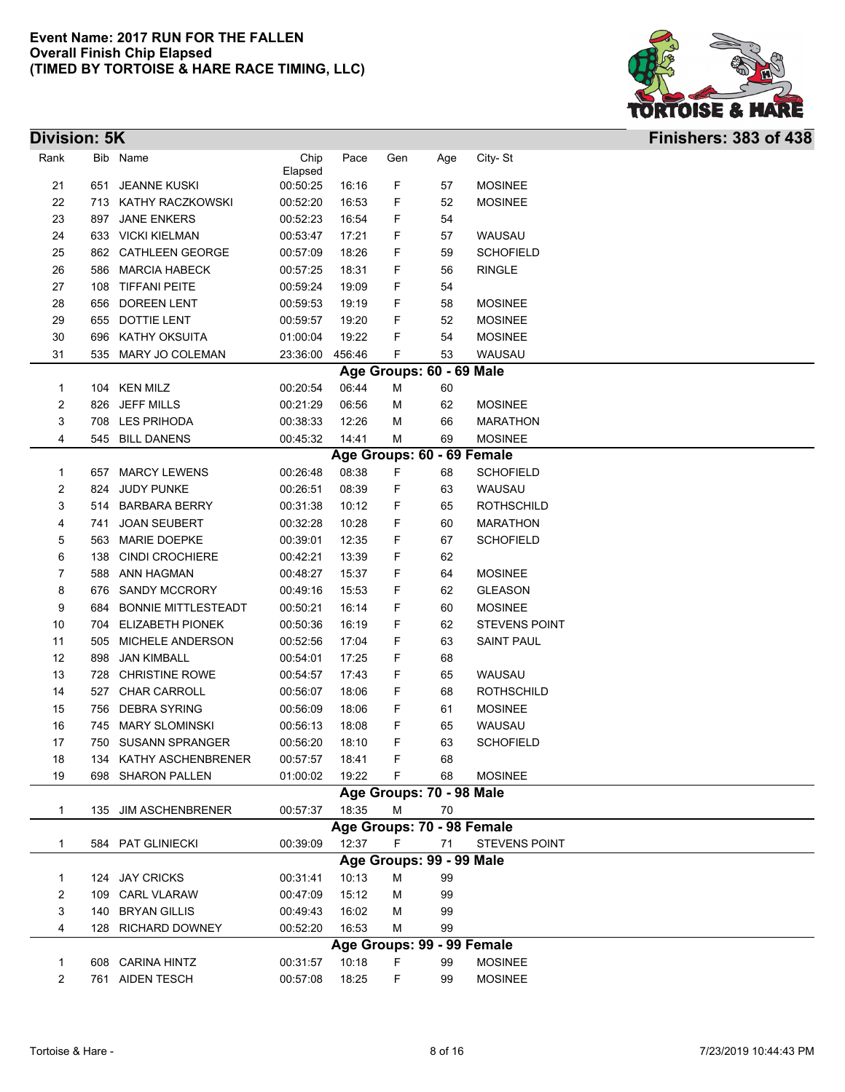

| Rank   |     | Bib Name                | Chip            | Pace  | Gen    | Age                        | City-St              |
|--------|-----|-------------------------|-----------------|-------|--------|----------------------------|----------------------|
|        |     |                         | Elapsed         |       |        |                            |                      |
| 21     |     | 651 JEANNE KUSKI        | 00:50:25        | 16:16 | F      | 57                         | <b>MOSINEE</b>       |
| 22     |     | 713 KATHY RACZKOWSKI    | 00:52:20        | 16:53 | F      | 52                         | <b>MOSINEE</b>       |
| 23     |     | 897 JANE ENKERS         | 00:52:23        | 16:54 | F      | 54                         |                      |
| 24     |     | 633 VICKI KIELMAN       | 00:53:47        | 17:21 | F      | 57                         | WAUSAU               |
| 25     |     | 862 CATHLEEN GEORGE     | 00:57:09        | 18:26 | F      | 59                         | <b>SCHOFIELD</b>     |
| 26     |     | 586 MARCIA HABECK       | 00:57:25        | 18:31 | F      | 56                         | <b>RINGLE</b>        |
| 27     |     | 108 TIFFANI PEITE       | 00:59:24        | 19:09 | F      | 54                         |                      |
| 28     | 656 | <b>DOREEN LENT</b>      | 00:59:53        | 19:19 | F      | 58                         | <b>MOSINEE</b>       |
| 29     |     | 655 DOTTIE LENT         | 00:59:57        | 19:20 | F      | 52                         | <b>MOSINEE</b>       |
| 30     |     | 696 KATHY OKSUITA       | 01:00:04        | 19:22 | F      | 54                         | <b>MOSINEE</b>       |
| 31     |     | 535 MARY JO COLEMAN     | 23:36:00 456:46 |       | F      | 53                         | WAUSAU               |
|        |     | 104 KEN MILZ            | 00:20:54        | 06:44 | м      | Age Groups: 60 - 69 Male   |                      |
| 1<br>2 |     | 826 JEFF MILLS          | 00:21:29        | 06:56 |        | 60<br>62                   | <b>MOSINEE</b>       |
| 3      |     | 708 LES PRIHODA         | 00:38:33        | 12:26 | м      |                            | <b>MARATHON</b>      |
| 4      |     | 545 BILL DANENS         | 00:45:32        | 14:41 | м<br>м | 66<br>69                   | <b>MOSINEE</b>       |
|        |     |                         |                 |       |        | Age Groups: 60 - 69 Female |                      |
| 1      |     | 657 MARCY LEWENS        | 00:26:48        | 08:38 | F.     | 68                         | <b>SCHOFIELD</b>     |
| 2      |     | 824 JUDY PUNKE          | 00:26:51        | 08:39 | F      | 63                         | WAUSAU               |
| 3      |     | 514 BARBARA BERRY       | 00:31:38        | 10:12 | F      | 65                         | <b>ROTHSCHILD</b>    |
| 4      | 741 | <b>JOAN SEUBERT</b>     | 00:32:28        | 10:28 | F      | 60                         | <b>MARATHON</b>      |
| 5      |     | 563 MARIE DOEPKE        | 00:39:01        | 12:35 | F      | 67                         | <b>SCHOFIELD</b>     |
| 6      | 138 | <b>CINDI CROCHIERE</b>  | 00:42:21        | 13:39 | F      | 62                         |                      |
| 7      |     | 588 ANN HAGMAN          | 00:48:27        | 15:37 | F      | 64                         | <b>MOSINEE</b>       |
| 8      |     | 676 SANDY MCCRORY       | 00:49:16        | 15:53 | F      | 62                         | <b>GLEASON</b>       |
| 9      |     | 684 BONNIE MITTLESTEADT | 00:50:21        | 16:14 | F      | 60                         | <b>MOSINEE</b>       |
| 10     |     | 704 ELIZABETH PIONEK    | 00:50:36        | 16:19 | F      | 62                         | <b>STEVENS POINT</b> |
| 11     | 505 | MICHELE ANDERSON        | 00:52:56        | 17:04 | F      | 63                         | <b>SAINT PAUL</b>    |
| 12     | 898 | JAN KIMBALL             | 00:54:01        | 17:25 | F      | 68                         |                      |
| 13     |     | 728 CHRISTINE ROWE      | 00:54:57        | 17:43 | F      | 65                         | WAUSAU               |
| 14     |     | 527 CHAR CARROLL        | 00:56:07        | 18:06 | F      | 68                         | <b>ROTHSCHILD</b>    |
| 15     | 756 | <b>DEBRA SYRING</b>     | 00:56:09        | 18:06 | F      | 61                         | <b>MOSINEE</b>       |
| 16     |     | 745 MARY SLOMINSKI      | 00:56:13        | 18:08 | F      | 65                         | WAUSAU               |
| 17     |     | 750 SUSANN SPRANGER     | 00:56:20        | 18:10 | F      | 63                         | <b>SCHOFIELD</b>     |
| 18     |     | 134 KATHY ASCHENBRENER  | 00:57:57        | 18:41 | F      | 68                         |                      |
| 19     |     | 698 SHARON PALLEN       | 01:00:02        | 19:22 | F      | 68                         | <b>MOSINEE</b>       |
|        |     |                         |                 |       |        | Age Groups: 70 - 98 Male   |                      |
| 1      |     | 135 JIM ASCHENBRENER    | 00:57:37        | 18:35 | м      | 70                         |                      |
|        |     |                         |                 |       |        | Age Groups: 70 - 98 Female |                      |
| 1      |     | 584 PAT GLINIECKI       | 00:39:09        | 12:37 | F      | 71                         | STEVENS POINT        |
|        |     |                         |                 |       |        | Age Groups: 99 - 99 Male   |                      |
| 1      |     | 124 JAY CRICKS          | 00:31:41        | 10:13 | м      | 99                         |                      |
| 2      |     | 109 CARL VLARAW         | 00:47:09        | 15:12 | М      | 99                         |                      |
| 3      | 140 | <b>BRYAN GILLIS</b>     | 00:49:43        | 16:02 | М      | 99                         |                      |
| 4      |     | 128 RICHARD DOWNEY      | 00:52:20        | 16:53 | м      | 99                         |                      |
|        |     |                         |                 |       |        | Age Groups: 99 - 99 Female |                      |
| 1      |     | 608 CARINA HINTZ        | 00:31:57        | 10:18 | F      | 99                         | <b>MOSINEE</b>       |
| 2      |     | 761 AIDEN TESCH         | 00:57:08        | 18:25 | F      | 99                         | <b>MOSINEE</b>       |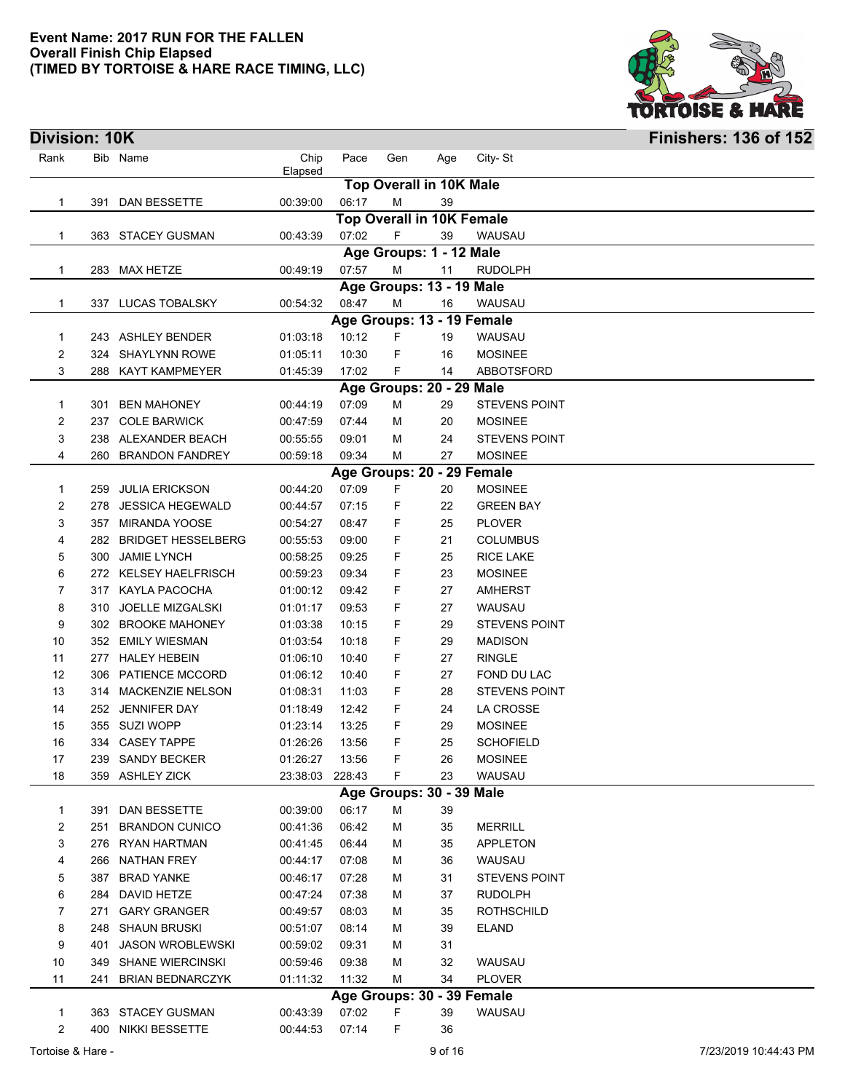

| Division: 10K |                                        |                      |                |                                  |          |                            | <b>Finishers: 136 of 152</b> |
|---------------|----------------------------------------|----------------------|----------------|----------------------------------|----------|----------------------------|------------------------------|
| Rank          | Bib Name                               | Chip                 | Pace           | Gen                              | Age      | City-St                    |                              |
|               |                                        | Elapsed              |                | <b>Top Overall in 10K Male</b>   |          |                            |                              |
| 1             | 391 DAN BESSETTE                       | 00:39:00             | 06:17          | M                                | 39       |                            |                              |
|               |                                        |                      |                | <b>Top Overall in 10K Female</b> |          |                            |                              |
| 1             | 363 STACEY GUSMAN                      | 00:43:39             | 07:02          | F                                | 39       | WAUSAU                     |                              |
|               |                                        |                      |                | Age Groups: 1 - 12 Male          |          |                            |                              |
| 1             | 283 MAX HETZE                          | 00:49:19             | 07:57          | М                                | 11       | <b>RUDOLPH</b>             |                              |
|               |                                        |                      |                | Age Groups: 13 - 19 Male         |          |                            |                              |
| 1             | 337 LUCAS TOBALSKY                     | 00:54:32             | 08:47          | м                                | 16       | WAUSAU                     |                              |
|               |                                        |                      |                | Age Groups: 13 - 19 Female       |          |                            |                              |
| 1             | 243 ASHLEY BENDER                      | 01:03:18             | 10:12          | F                                | 19       | WAUSAU                     |                              |
| 2             | 324 SHAYLYNN ROWE                      | 01:05:11             | 10:30          | F                                | 16       | <b>MOSINEE</b>             |                              |
| 3             | 288 KAYT KAMPMEYER                     | 01:45:39             | 17:02          | F                                | 14       | ABBOTSFORD                 |                              |
|               |                                        |                      |                | Age Groups: 20 - 29 Male         |          |                            |                              |
| 1             | 301 BEN MAHONEY                        | 00:44:19             | 07:09          | м                                | 29       | <b>STEVENS POINT</b>       |                              |
| 2             | 237 COLE BARWICK                       | 00:47:59             | 07:44          | м                                | 20       | <b>MOSINEE</b>             |                              |
| 3             | 238 ALEXANDER BEACH                    | 00:55:55             | 09:01          | M                                | 24       | <b>STEVENS POINT</b>       |                              |
| 4             | 260 BRANDON FANDREY                    | 00:59:18             | 09:34          | M                                | 27       | <b>MOSINEE</b>             |                              |
|               |                                        |                      |                | Age Groups: 20 - 29 Female       |          |                            |                              |
| 1             | 259 JULIA ERICKSON                     | 00:44:20             | 07:09          | F                                | 20       | <b>MOSINEE</b>             |                              |
| 2             | 278 JESSICA HEGEWALD                   | 00:44:57             | 07:15          | F                                | 22       | <b>GREEN BAY</b>           |                              |
| 3             | 357 MIRANDA YOOSE                      | 00:54:27             | 08:47          | F                                | 25       | <b>PLOVER</b>              |                              |
| 4             | 282 BRIDGET HESSELBERG                 | 00:55:53             | 09:00          | F                                | 21       | <b>COLUMBUS</b>            |                              |
| 5             | 300 JAMIE LYNCH                        | 00:58:25             | 09:25          | F                                | 25       | <b>RICE LAKE</b>           |                              |
| 6             | 272 KELSEY HAELFRISCH                  | 00:59:23             | 09:34          | F                                | 23       | <b>MOSINEE</b>             |                              |
| 7             | 317 KAYLA PACOCHA                      | 01:00:12             | 09:42          | F                                | 27       | <b>AMHERST</b>             |                              |
| 8             | 310 JOELLE MIZGALSKI                   | 01:01:17             | 09:53          | F                                | 27       | WAUSAU                     |                              |
| 9             | 302 BROOKE MAHONEY                     | 01:03:38             | 10:15          | F                                | 29       | <b>STEVENS POINT</b>       |                              |
| 10            | 352 EMILY WIESMAN                      | 01:03:54             | 10:18          | F                                | 29       | <b>MADISON</b>             |                              |
| 11            | 277 HALEY HEBEIN                       | 01:06:10             | 10:40          | F                                | 27       | <b>RINGLE</b>              |                              |
| 12            | 306 PATIENCE MCCORD                    | 01:06:12             | 10:40          | F                                | 27       | FOND DU LAC                |                              |
| 13            | 314 MACKENZIE NELSON                   | 01:08:31             | 11:03          | F                                | 28       | <b>STEVENS POINT</b>       |                              |
| 14            | 252 JENNIFER DAY                       | 01:18:49             | 12:42          | F                                | 24       | LA CROSSE                  |                              |
| 15            | 355 SUZI WOPP                          | 01:23:14             | 13:25          | F                                | 29       | <b>MOSINEE</b>             |                              |
| 16            | 334 CASEY TAPPE                        | 01:26:26             | 13:56          | F                                | 25       | <b>SCHOFIELD</b>           |                              |
| 17            | 239 SANDY BECKER                       | 01:26:27             | 13:56          | F                                | 26       | <b>MOSINEE</b>             |                              |
| 18            | 359 ASHLEY ZICK                        | 23:38:03             | 228:43         | F                                | 23       | WAUSAU                     |                              |
|               |                                        |                      |                | Age Groups: 30 - 39 Male         |          |                            |                              |
| 1<br>2        | 391 DAN BESSETTE<br>251 BRANDON CUNICO | 00:39:00             | 06:17<br>06:42 | M                                | 39<br>35 |                            |                              |
| 3             | 276 RYAN HARTMAN                       | 00:41:36             | 06:44          | M                                |          | <b>MERRILL</b><br>APPLETON |                              |
| 4             | 266 NATHAN FREY                        | 00:41:45<br>00:44:17 | 07:08          | M                                | 35       | WAUSAU                     |                              |
| 5             | 387 BRAD YANKE                         | 00:46:17             | 07:28          | M<br>M                           | 36<br>31 | <b>STEVENS POINT</b>       |                              |
| 6             | 284 DAVID HETZE                        | 00:47:24             | 07:38          | M                                | 37       | <b>RUDOLPH</b>             |                              |
| 7             | 271 GARY GRANGER                       | 00:49:57             | 08:03          | M                                | 35       | <b>ROTHSCHILD</b>          |                              |
| 8             | 248 SHAUN BRUSKI                       | 00:51:07             | 08:14          | M                                | 39       | <b>ELAND</b>               |                              |
| 9             | 401 JASON WROBLEWSKI                   | 00:59:02             | 09:31          | M                                | 31       |                            |                              |
| 10            | 349 SHANE WIERCINSKI                   | 00:59:46             | 09:38          | M                                | 32       | WAUSAU                     |                              |
| 11            | 241 BRIAN BEDNARCZYK                   | 01:11:32             | 11:32          | M                                | 34       | <b>PLOVER</b>              |                              |
|               |                                        |                      |                | Age Groups: 30 - 39 Female       |          |                            |                              |
| 1             | 363 STACEY GUSMAN                      | 00:43:39             | 07:02          | F                                | 39       | WAUSAU                     |                              |
| 2             | 400 NIKKI BESSETTE                     | 00:44:53             | 07:14          | F                                | 36       |                            |                              |
|               |                                        |                      |                |                                  |          |                            |                              |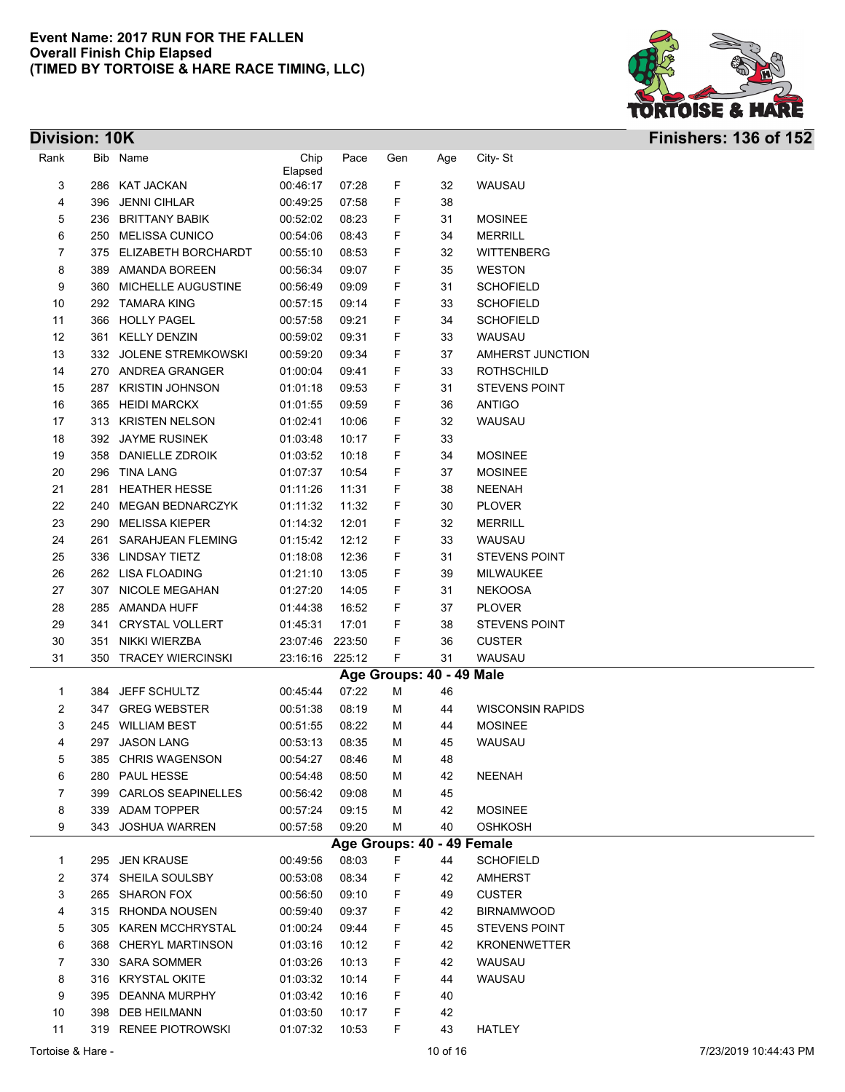

**Division: 10K Finishers: 136 of 152**

| Rank              |     | Bib Name                 | Chip                | Pace   | Gen | Age                        | City-St                 |                       |
|-------------------|-----|--------------------------|---------------------|--------|-----|----------------------------|-------------------------|-----------------------|
| 3                 | 286 | KAT JACKAN               | Elapsed<br>00:46:17 | 07:28  | F   | 32                         | WAUSAU                  |                       |
| 4                 | 396 | <b>JENNI CIHLAR</b>      | 00:49:25            | 07:58  | F   | 38                         |                         |                       |
| 5                 | 236 | <b>BRITTANY BABIK</b>    | 00:52:02            | 08:23  | F   | 31                         | <b>MOSINEE</b>          |                       |
| 6                 | 250 | MELISSA CUNICO           | 00:54:06            | 08:43  | F   | 34                         | <b>MERRILL</b>          |                       |
| 7                 |     | 375 ELIZABETH BORCHARDT  | 00:55:10            | 08:53  | F   | 32                         | <b>WITTENBERG</b>       |                       |
| 8                 |     | 389 AMANDA BOREEN        | 00:56:34            | 09:07  | F   | 35                         | <b>WESTON</b>           |                       |
| 9                 |     | 360 MICHELLE AUGUSTINE   | 00:56:49            | 09:09  | F   | 31                         | <b>SCHOFIELD</b>        |                       |
| 10                |     | 292 TAMARA KING          | 00:57:15            | 09:14  | F   | 33                         | <b>SCHOFIELD</b>        |                       |
| 11                |     | 366 HOLLY PAGEL          | 00:57:58            | 09:21  | F   | 34                         | <b>SCHOFIELD</b>        |                       |
| 12                |     | 361 KELLY DENZIN         | 00:59:02            | 09:31  | F   | 33                         | WAUSAU                  |                       |
| 13                |     | 332 JOLENE STREMKOWSKI   | 00:59:20            | 09:34  | F   | 37                         | AMHERST JUNCTION        |                       |
| 14                |     | 270 ANDREA GRANGER       | 01:00:04            | 09:41  | F   | 33                         | <b>ROTHSCHILD</b>       |                       |
| 15                |     | 287 KRISTIN JOHNSON      | 01:01:18            | 09:53  | F   | 31                         | <b>STEVENS POINT</b>    |                       |
| 16                |     | 365 HEIDI MARCKX         |                     | 09:59  | F   | 36                         | <b>ANTIGO</b>           |                       |
|                   |     | 313 KRISTEN NELSON       | 01:01:55            |        |     |                            |                         |                       |
| 17                |     |                          | 01:02:41            | 10:06  | F   | 32                         | WAUSAU                  |                       |
| 18                |     | 392 JAYME RUSINEK        | 01:03:48            | 10:17  | F   | 33                         |                         |                       |
| 19                |     | 358 DANIELLE ZDROIK      | 01:03:52            | 10:18  | F   | 34                         | <b>MOSINEE</b>          |                       |
| 20                |     | 296 TINA LANG            | 01:07:37            | 10:54  | F   | 37                         | <b>MOSINEE</b>          |                       |
| 21                |     | 281 HEATHER HESSE        | 01:11:26            | 11:31  | F   | 38                         | <b>NEENAH</b>           |                       |
| 22                |     | 240 MEGAN BEDNARCZYK     | 01:11:32            | 11:32  | F   | 30                         | <b>PLOVER</b>           |                       |
| 23                |     | 290 MELISSA KIEPER       | 01:14:32            | 12:01  | F   | 32                         | <b>MERRILL</b>          |                       |
| 24                | 261 | SARAHJEAN FLEMING        | 01:15:42            | 12:12  | F   | 33                         | WAUSAU                  |                       |
| 25                |     | 336 LINDSAY TIETZ        | 01:18:08            | 12:36  | F   | 31                         | <b>STEVENS POINT</b>    |                       |
| 26                |     | 262 LISA FLOADING        | 01:21:10            | 13:05  | F   | 39                         | MILWAUKEE               |                       |
| 27                | 307 | <b>NICOLE MEGAHAN</b>    | 01:27:20            | 14:05  | F   | 31                         | <b>NEKOOSA</b>          |                       |
| 28                |     | 285 AMANDA HUFF          | 01:44:38            | 16:52  | F   | 37                         | <b>PLOVER</b>           |                       |
| 29                | 341 | <b>CRYSTAL VOLLERT</b>   | 01:45:31            | 17:01  | F   | 38                         | <b>STEVENS POINT</b>    |                       |
| 30                | 351 | NIKKI WIERZBA            | 23:07:46            | 223:50 | F   | 36                         | <b>CUSTER</b>           |                       |
| 31                | 350 | <b>TRACEY WIERCINSKI</b> | 23:16:16            | 225:12 | F   | 31                         | WAUSAU                  |                       |
|                   |     |                          |                     |        |     | Age Groups: 40 - 49 Male   |                         |                       |
| $\mathbf{1}$      |     | 384 JEFF SCHULTZ         | 00:45:44            | 07:22  | М   | 46                         |                         |                       |
| 2                 |     | 347 GREG WEBSTER         | 00:51:38            | 08:19  | м   | 44                         | <b>WISCONSIN RAPIDS</b> |                       |
| 3                 |     | 245 WILLIAM BEST         | 00:51:55            | 08:22  | M   | 44                         | <b>MOSINEE</b>          |                       |
| 4                 |     | 297 JASON LANG           | 00:53:13            | 08:35  | M   | 45                         | WAUSAU                  |                       |
| 5                 |     | 385 CHRIS WAGENSON       | 00:54:27            | 08:46  | м   | 48                         |                         |                       |
| 6                 | 280 | <b>PAUL HESSE</b>        | 00:54:48            | 08:50  | M   | 42                         | <b>NEENAH</b>           |                       |
| 7                 |     | 399 CARLOS SEAPINELLES   | 00:56:42            | 09:08  | M   | 45                         |                         |                       |
| 8                 |     | 339 ADAM TOPPER          | 00:57:24            | 09:15  | M   | 42                         | <b>MOSINEE</b>          |                       |
| 9                 |     | 343 JOSHUA WARREN        | 00:57:58            | 09:20  | М   | 40                         | <b>OSHKOSH</b>          |                       |
|                   |     |                          |                     |        |     | Age Groups: 40 - 49 Female |                         |                       |
| 1                 |     | 295 JEN KRAUSE           | 00:49:56            | 08:03  | F   | 44                         | <b>SCHOFIELD</b>        |                       |
| 2                 |     | 374 SHEILA SOULSBY       | 00:53:08            | 08:34  | F   | 42                         | <b>AMHERST</b>          |                       |
| 3                 |     | 265 SHARON FOX           | 00:56:50            | 09:10  | F   | 49                         | <b>CUSTER</b>           |                       |
| 4                 |     | 315 RHONDA NOUSEN        | 00:59:40            | 09:37  | F   | 42                         | <b>BIRNAMWOOD</b>       |                       |
| 5                 |     | 305 KAREN MCCHRYSTAL     | 01:00:24            | 09:44  | F   | 45                         | <b>STEVENS POINT</b>    |                       |
| 6                 |     | 368 CHERYL MARTINSON     | 01:03:16            | 10:12  | F   | 42                         | <b>KRONENWETTER</b>     |                       |
| 7                 |     | 330 SARA SOMMER          | 01:03:26            | 10:13  | F   | 42                         | WAUSAU                  |                       |
| 8                 |     | 316 KRYSTAL OKITE        | 01:03:32            | 10:14  | F   | 44                         | WAUSAU                  |                       |
| 9                 | 395 | <b>DEANNA MURPHY</b>     | 01:03:42            | 10:16  | F   | 40                         |                         |                       |
| 10                | 398 | DEB HEILMANN             | 01:03:50            | 10:17  | F   | 42                         |                         |                       |
| 11                |     | 319 RENEE PIOTROWSKI     | 01:07:32            | 10:53  | F   | 43                         | <b>HATLEY</b>           |                       |
| Tortoise & Hare - |     |                          |                     |        |     | 10 of 16                   |                         | 7/23/2019 10:44:43 PM |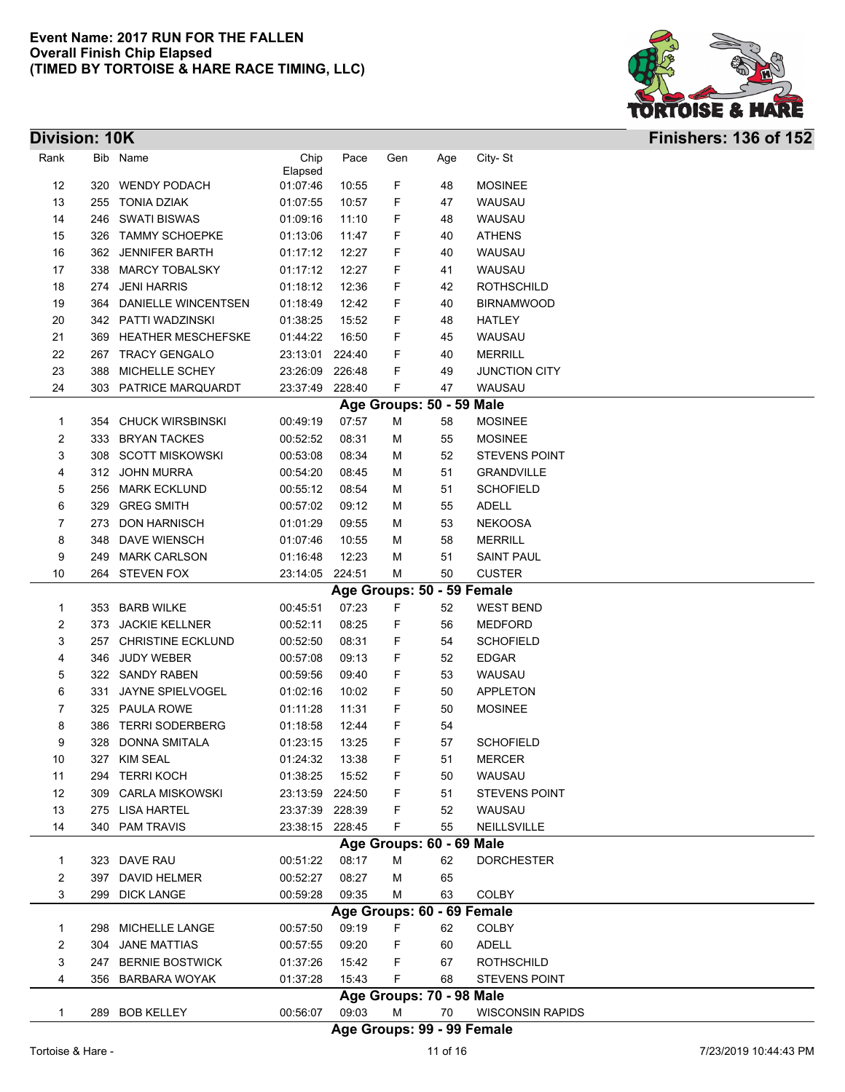

**Division: 10K Finishers: 136 of 152**

| Rank                                                                                                               |     | Bib Name                              | Chip                 | Pace   | Gen    | Age                        | City-St                     |  |  |  |
|--------------------------------------------------------------------------------------------------------------------|-----|---------------------------------------|----------------------|--------|--------|----------------------------|-----------------------------|--|--|--|
| 12                                                                                                                 |     | 320 WENDY PODACH                      | Elapsed<br>01:07:46  | 10:55  |        | 48                         | <b>MOSINEE</b>              |  |  |  |
| 13                                                                                                                 |     | 255 TONIA DZIAK                       | 01:07:55             | 10:57  | F<br>F | 47                         | WAUSAU                      |  |  |  |
| 14                                                                                                                 |     | 246 SWATI BISWAS                      | 01:09:16             | 11:10  | F      | 48                         | WAUSAU                      |  |  |  |
| 15                                                                                                                 |     | 326 TAMMY SCHOEPKE                    | 01:13:06             | 11:47  | F      | 40                         | <b>ATHENS</b>               |  |  |  |
| 16                                                                                                                 |     | 362 JENNIFER BARTH                    | 01:17:12             | 12:27  | F      | 40                         | WAUSAU                      |  |  |  |
|                                                                                                                    |     |                                       |                      | 12:27  | F      |                            |                             |  |  |  |
| 17<br>18                                                                                                           |     | 338 MARCY TOBALSKY<br>274 JENI HARRIS | 01:17:12<br>01:18:12 | 12:36  | F      | 41<br>42                   | WAUSAU<br><b>ROTHSCHILD</b> |  |  |  |
| 19                                                                                                                 | 364 | DANIELLE WINCENTSEN                   | 01:18:49             | 12:42  | F      | 40                         | <b>BIRNAMWOOD</b>           |  |  |  |
|                                                                                                                    |     | 342 PATTI WADZINSKI                   | 01:38:25             | 15:52  | F      | 48                         | <b>HATLEY</b>               |  |  |  |
| 20                                                                                                                 |     | 369 HEATHER MESCHEFSKE                | 01:44:22             | 16:50  | F      | 45                         |                             |  |  |  |
| 21<br>22                                                                                                           |     | 267 TRACY GENGALO                     | 23:13:01 224:40      |        | F      |                            | WAUSAU<br><b>MERRILL</b>    |  |  |  |
| 23                                                                                                                 | 388 | MICHELLE SCHEY                        | 23:26:09             | 226:48 | F      | 40<br>49                   | <b>JUNCTION CITY</b>        |  |  |  |
|                                                                                                                    |     |                                       |                      |        |        |                            |                             |  |  |  |
| F<br>24<br>303 PATRICE MARQUARDT<br>23:37:49 228:40<br>47<br>WAUSAU                                                |     |                                       |                      |        |        |                            |                             |  |  |  |
| Age Groups: 50 - 59 Male<br>354 CHUCK WIRSBINSKI<br>00:49:19<br>07:57<br>М<br><b>MOSINEE</b><br>$\mathbf{1}$<br>58 |     |                                       |                      |        |        |                            |                             |  |  |  |
| 2                                                                                                                  |     | 333 BRYAN TACKES                      | 00:52:52             | 08:31  | М      | 55                         | <b>MOSINEE</b>              |  |  |  |
| 3                                                                                                                  |     | 308 SCOTT MISKOWSKI                   | 00:53:08             | 08:34  | М      | 52                         | <b>STEVENS POINT</b>        |  |  |  |
| 4                                                                                                                  |     | 312 JOHN MURRA                        | 00:54:20             | 08:45  | М      | 51                         | <b>GRANDVILLE</b>           |  |  |  |
| 5                                                                                                                  |     | 256 MARK ECKLUND                      | 00:55:12             | 08:54  | М      | 51                         | <b>SCHOFIELD</b>            |  |  |  |
| 6                                                                                                                  |     | 329 GREG SMITH                        | 00:57:02             | 09:12  | М      | 55                         | <b>ADELL</b>                |  |  |  |
| 7                                                                                                                  | 273 | <b>DON HARNISCH</b>                   | 01:01:29             | 09:55  | М      | 53                         | <b>NEKOOSA</b>              |  |  |  |
| 8                                                                                                                  | 348 | DAVE WIENSCH                          | 01:07:46             | 10:55  | М      | 58                         | <b>MERRILL</b>              |  |  |  |
| 9                                                                                                                  |     | 249 MARK CARLSON                      | 01:16:48             | 12:23  | М      | 51                         | <b>SAINT PAUL</b>           |  |  |  |
| 10                                                                                                                 |     | 264 STEVEN FOX                        | 23:14:05 224:51      |        | М      | 50                         | <b>CUSTER</b>               |  |  |  |
|                                                                                                                    |     |                                       |                      |        |        | Age Groups: 50 - 59 Female |                             |  |  |  |
| 1                                                                                                                  |     | 353 BARB WILKE                        | 00:45:51             | 07:23  | F      | 52                         | <b>WEST BEND</b>            |  |  |  |
| 2                                                                                                                  |     | 373 JACKIE KELLNER                    | 00:52:11             | 08:25  | F      | 56                         | <b>MEDFORD</b>              |  |  |  |
| 3                                                                                                                  |     | 257 CHRISTINE ECKLUND                 | 00:52:50             | 08:31  | F      | 54                         | <b>SCHOFIELD</b>            |  |  |  |
| 4                                                                                                                  |     | 346 JUDY WEBER                        | 00:57:08             | 09:13  | F      | 52                         | <b>EDGAR</b>                |  |  |  |
| 5                                                                                                                  |     | 322 SANDY RABEN                       | 00:59:56             | 09:40  | F      | 53                         | WAUSAU                      |  |  |  |
| 6                                                                                                                  |     | 331 JAYNE SPIELVOGEL                  | 01:02:16             | 10:02  | F      | 50                         | APPLETON                    |  |  |  |
| 7                                                                                                                  |     | 325 PAULA ROWE                        | 01:11:28             | 11:31  | F      | 50                         | <b>MOSINEE</b>              |  |  |  |
| 8                                                                                                                  |     | 386 TERRI SODERBERG                   | 01:18:58             | 12:44  | F      | 54                         |                             |  |  |  |
| 9                                                                                                                  | 328 | DONNA SMITALA                         | 01:23:15             | 13:25  | F      | 57                         | <b>SCHOFIELD</b>            |  |  |  |
| 10                                                                                                                 |     | 327 KIM SEAL                          | 01:24:32             | 13:38  | F      | 51                         | <b>MERCER</b>               |  |  |  |
| 11                                                                                                                 |     | 294 TERRI KOCH                        | 01:38:25             | 15:52  | F      | 50                         | WAUSAU                      |  |  |  |
| 12                                                                                                                 |     | 309 CARLA MISKOWSKI                   | 23:13:59 224:50      |        | F      | 51                         | <b>STEVENS POINT</b>        |  |  |  |
| 13                                                                                                                 |     | 275 LISA HARTEL                       | 23:37:39 228:39      |        | F      | 52                         | WAUSAU                      |  |  |  |
| 14                                                                                                                 |     | 340 PAM TRAVIS                        | 23:38:15 228:45      |        | F      | 55                         | NEILLSVILLE                 |  |  |  |
|                                                                                                                    |     |                                       |                      |        |        | Age Groups: 60 - 69 Male   |                             |  |  |  |
| 1                                                                                                                  |     | 323 DAVE RAU                          | 00:51:22             | 08:17  | М      | 62                         | <b>DORCHESTER</b>           |  |  |  |
| 2                                                                                                                  |     | 397 DAVID HELMER                      | 00:52:27             | 08:27  | М      | 65                         |                             |  |  |  |
| 3                                                                                                                  |     | 299 DICK LANGE                        | 00:59:28             | 09:35  | М      | 63                         | <b>COLBY</b>                |  |  |  |
|                                                                                                                    |     |                                       |                      |        |        | Age Groups: 60 - 69 Female |                             |  |  |  |
| 1                                                                                                                  |     | 298 MICHELLE LANGE                    | 00:57:50             | 09:19  | F      | 62                         | <b>COLBY</b>                |  |  |  |
| 2                                                                                                                  |     | 304 JANE MATTIAS                      | 00:57:55             | 09:20  | F      | 60                         | <b>ADELL</b>                |  |  |  |
| 3                                                                                                                  |     | 247 BERNIE BOSTWICK                   | 01:37:26             | 15:42  | F      | 67                         | <b>ROTHSCHILD</b>           |  |  |  |
| 4                                                                                                                  |     | 356 BARBARA WOYAK                     | 01:37:28             | 15:43  | F      | 68                         | <b>STEVENS POINT</b>        |  |  |  |
|                                                                                                                    |     |                                       |                      |        |        | Age Groups: 70 - 98 Male   |                             |  |  |  |
| 1                                                                                                                  |     | 289 BOB KELLEY                        | 00:56:07             | 09:03  | М      | 70                         | <b>WISCONSIN RAPIDS</b>     |  |  |  |
|                                                                                                                    |     |                                       |                      |        |        | Ago Croune: 00 00 Eomaio   |                             |  |  |  |

### **Age Groups: 99 - 99 Female**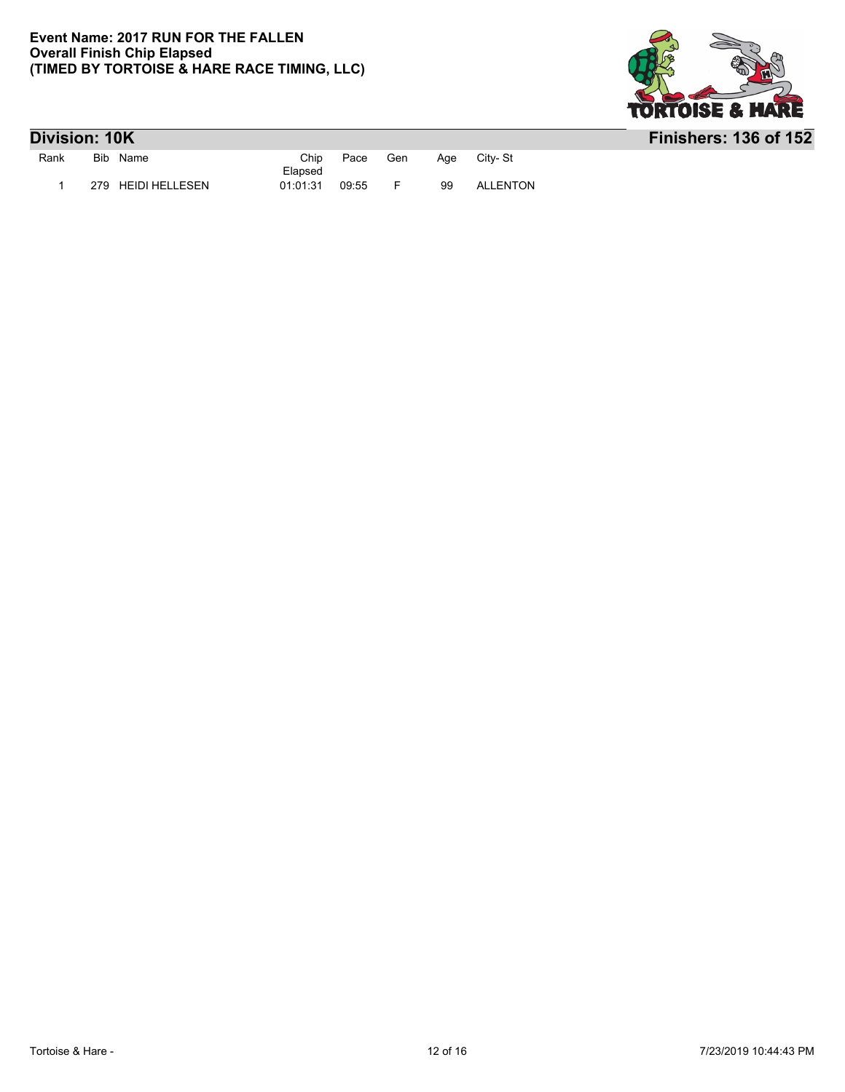

| Division: 10K |     |                |                 |       |     |     |          | <b>Finishers: 136 of 152</b> |
|---------------|-----|----------------|-----------------|-------|-----|-----|----------|------------------------------|
| Rank          |     | Bib Name       | Chip<br>Elapsed | Pace  | Gen | Aae | City-St  |                              |
|               | 279 | HEIDI HELLESEN | 01:01:31        | 09:55 |     | 99  | ALLENTON |                              |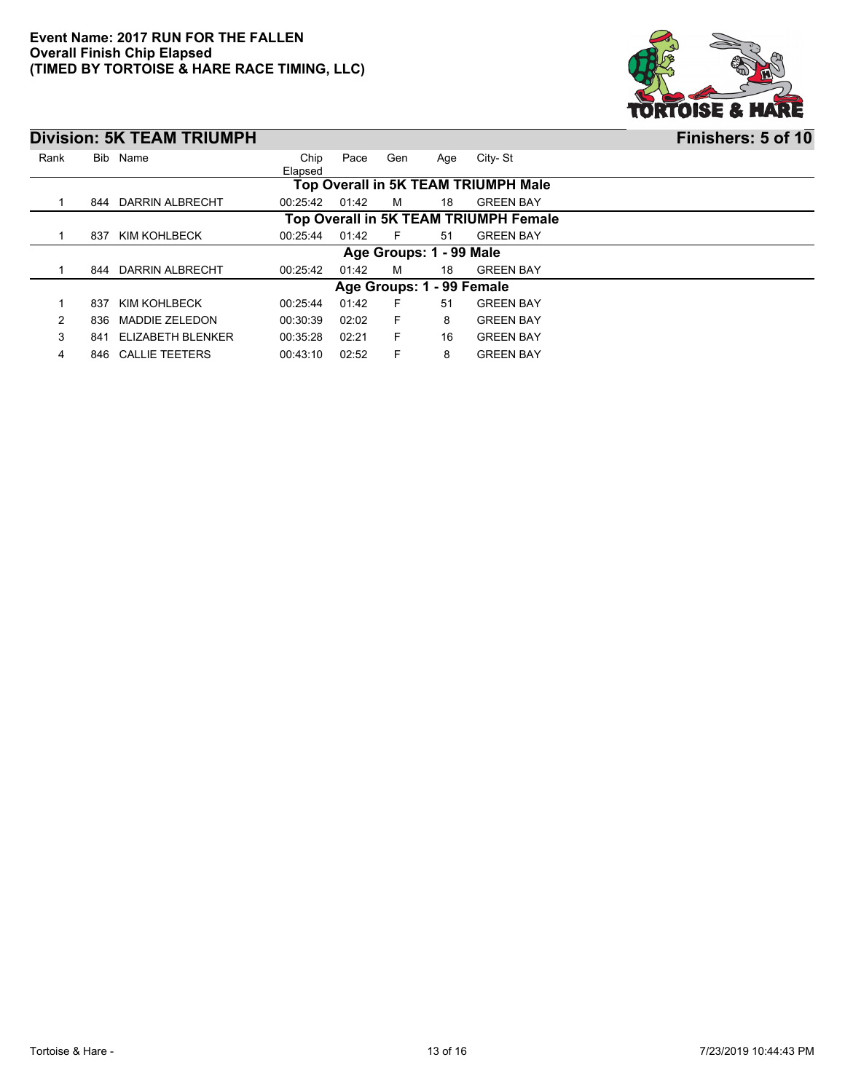

|      |     | <b>Division: 5K TEAM TRIUMPH</b> |                 |       |     |                           |                                       | Finishers: 5 of 10 |
|------|-----|----------------------------------|-----------------|-------|-----|---------------------------|---------------------------------------|--------------------|
| Rank | Bib | Name                             | Chip<br>Elapsed | Pace  | Gen | Age                       | City-St                               |                    |
|      |     |                                  |                 |       |     |                           | Top Overall in 5K TEAM TRIUMPH Male   |                    |
|      | 844 | DARRIN ALBRECHT                  | 00:25:42        | 01:42 | м   | 18                        | <b>GREEN BAY</b>                      |                    |
|      |     |                                  |                 |       |     |                           | Top Overall in 5K TEAM TRIUMPH Female |                    |
|      | 837 | KIM KOHLBECK                     | 00:25:44        | 01:42 | F   | 51                        | <b>GREEN BAY</b>                      |                    |
|      |     |                                  |                 |       |     | Age Groups: 1 - 99 Male   |                                       |                    |
|      | 844 | <b>DARRIN ALBRECHT</b>           | 00:25:42        | 01:42 | м   | 18                        | <b>GREEN BAY</b>                      |                    |
|      |     |                                  |                 |       |     | Age Groups: 1 - 99 Female |                                       |                    |
|      | 837 | KIM KOHLBECK                     | 00:25:44        | 01:42 | F   | 51                        | <b>GREEN BAY</b>                      |                    |
| 2    | 836 | MADDIE ZELEDON                   | 00:30:39        | 02:02 | F   | 8                         | <b>GREEN BAY</b>                      |                    |
| 3    | 841 | ELIZABETH BLENKER                | 00:35:28        | 02:21 | F   | 16                        | <b>GREEN BAY</b>                      |                    |
| 4    | 846 | <b>CALLIE TEETERS</b>            | 00:43:10        | 02:52 | F   | 8                         | <b>GREEN BAY</b>                      |                    |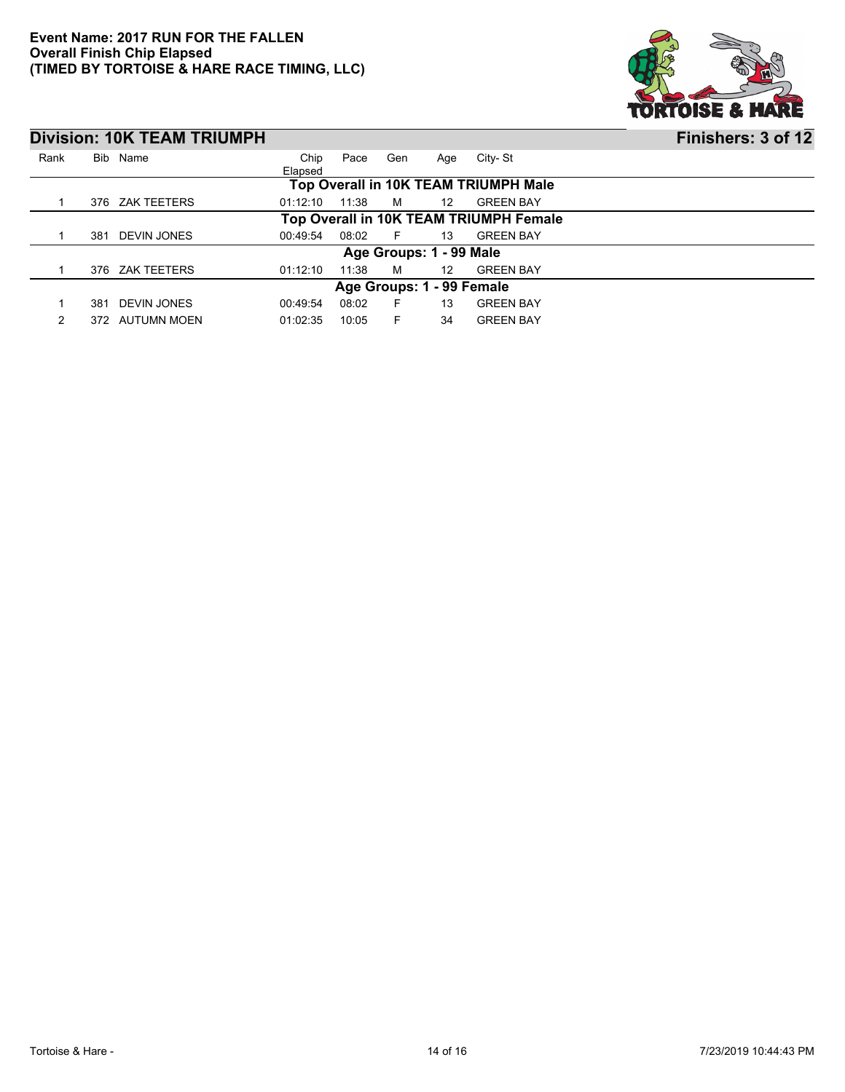

|      |                                        | <b>Division: 10K TEAM TRIUMPH</b> |          |       |     |                         |                                      | Finishers: 3 of 12 |  |  |
|------|----------------------------------------|-----------------------------------|----------|-------|-----|-------------------------|--------------------------------------|--------------------|--|--|
| Rank |                                        | Bib Name                          | Chip     | Pace  | Gen | Age                     | City-St                              |                    |  |  |
|      |                                        |                                   | Elapsed  |       |     |                         |                                      |                    |  |  |
|      |                                        |                                   |          |       |     |                         | Top Overall in 10K TEAM TRIUMPH Male |                    |  |  |
|      |                                        | 376 ZAK TEETERS                   | 01:12:10 | 11:38 | м   | 12                      | <b>GREEN BAY</b>                     |                    |  |  |
|      | Top Overall in 10K TEAM TRIUMPH Female |                                   |          |       |     |                         |                                      |                    |  |  |
|      | 381                                    | <b>DEVIN JONES</b>                | 00:49:54 | 08:02 | F.  | 13                      | <b>GREEN BAY</b>                     |                    |  |  |
|      |                                        |                                   |          |       |     | Age Groups: 1 - 99 Male |                                      |                    |  |  |
|      | 376                                    | ZAK TEETERS                       | 01:12:10 | 11:38 | м   | 12                      | <b>GREEN BAY</b>                     |                    |  |  |
|      | Age Groups: 1 - 99 Female              |                                   |          |       |     |                         |                                      |                    |  |  |
|      | 381                                    | DEVIN JONES                       | 00:49:54 | 08:02 | F   | 13                      | <b>GREEN BAY</b>                     |                    |  |  |
|      | 372                                    | AUTUMN MOEN                       | 01:02:35 | 10:05 | F.  | 34                      | <b>GREEN BAY</b>                     |                    |  |  |
|      |                                        |                                   |          |       |     |                         |                                      |                    |  |  |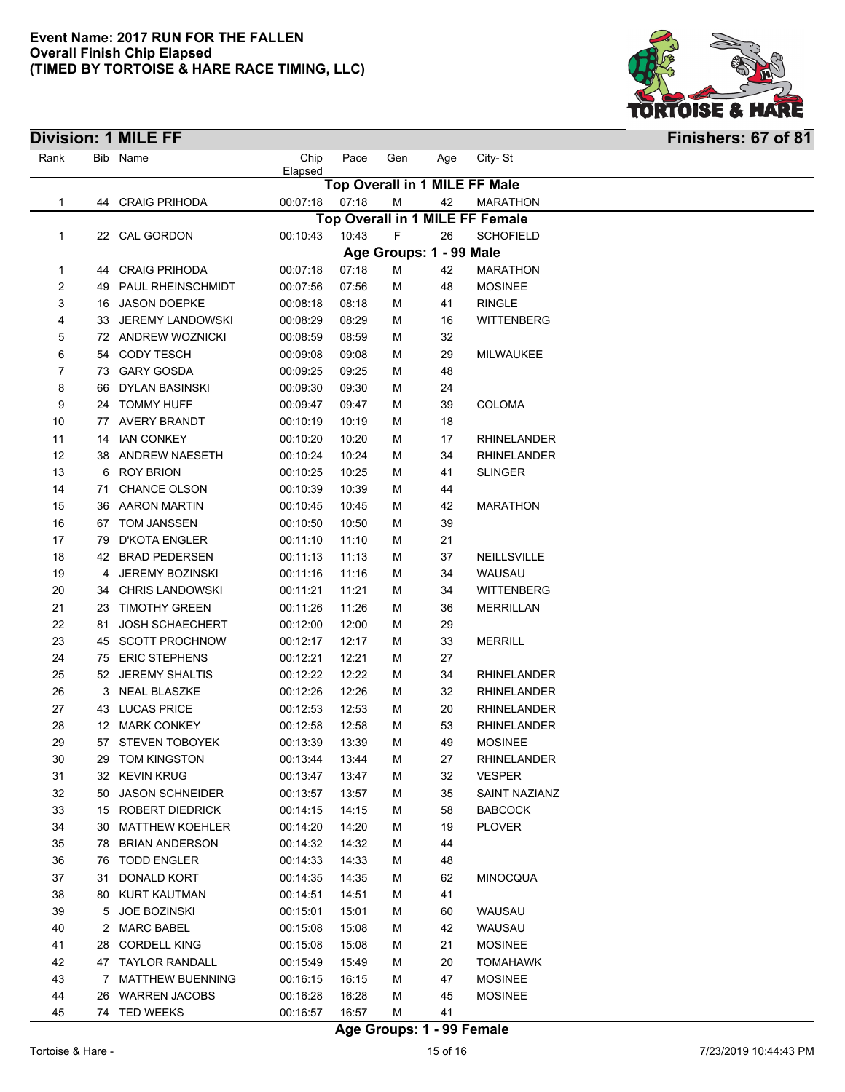

|      |    | <b>Division: 1 MILE FF</b> |          |       |     |                         |                                 | Finishers: 67 of 81 |
|------|----|----------------------------|----------|-------|-----|-------------------------|---------------------------------|---------------------|
| Rank |    | Bib Name                   | Chip     | Pace  | Gen | Age                     | City-St                         |                     |
|      |    |                            | Elapsed  |       |     |                         | Top Overall in 1 MILE FF Male   |                     |
| 1    |    | 44 CRAIG PRIHODA           | 00:07:18 | 07:18 | М   | 42                      | <b>MARATHON</b>                 |                     |
|      |    |                            |          |       |     |                         | Top Overall in 1 MILE FF Female |                     |
| 1    |    | 22 CAL GORDON              | 00:10:43 | 10:43 | F   | 26                      | <b>SCHOFIELD</b>                |                     |
|      |    |                            |          |       |     | Age Groups: 1 - 99 Male |                                 |                     |
| 1    | 44 | <b>CRAIG PRIHODA</b>       | 00:07:18 | 07:18 | M   | 42                      | <b>MARATHON</b>                 |                     |
| 2    | 49 | PAUL RHEINSCHMIDT          | 00:07:56 | 07:56 | M   | 48                      | <b>MOSINEE</b>                  |                     |
| 3    |    | 16 JASON DOEPKE            | 00:08:18 | 08:18 | M   | 41                      | <b>RINGLE</b>                   |                     |
| 4    | 33 | <b>JEREMY LANDOWSKI</b>    | 00:08:29 | 08:29 | M   | 16                      | <b>WITTENBERG</b>               |                     |
| 5    |    | 72 ANDREW WOZNICKI         | 00:08:59 | 08:59 | M   | 32                      |                                 |                     |
| 6    | 54 | <b>CODY TESCH</b>          | 00:09:08 | 09:08 | М   | 29                      | MILWAUKEE                       |                     |
| 7    | 73 | <b>GARY GOSDA</b>          | 00:09:25 | 09:25 | M   | 48                      |                                 |                     |
| 8    | 66 | <b>DYLAN BASINSKI</b>      | 00:09:30 | 09:30 | M   | 24                      |                                 |                     |
| 9    |    | 24 TOMMY HUFF              | 00:09:47 | 09:47 | M   | 39                      | <b>COLOMA</b>                   |                     |
| 10   |    | 77 AVERY BRANDT            | 00:10:19 | 10:19 | M   | 18                      |                                 |                     |
| 11   | 14 | <b>IAN CONKEY</b>          | 00:10:20 | 10:20 | M   | 17                      | RHINELANDER                     |                     |
| 12   | 38 | ANDREW NAESETH             | 00:10:24 | 10:24 | M   | 34                      | <b>RHINELANDER</b>              |                     |
| 13   | 6  | <b>ROY BRION</b>           | 00:10:25 | 10:25 | M   | 41                      | <b>SLINGER</b>                  |                     |
| 14   | 71 | <b>CHANCE OLSON</b>        | 00:10:39 | 10:39 | M   | 44                      |                                 |                     |
| 15   | 36 | <b>AARON MARTIN</b>        | 00:10:45 | 10:45 | M   | 42                      | <b>MARATHON</b>                 |                     |
| 16   |    | 67 TOM JANSSEN             | 00:10:50 | 10:50 | M   | 39                      |                                 |                     |
| 17   | 79 | <b>D'KOTA ENGLER</b>       | 00:11:10 | 11:10 | M   | 21                      |                                 |                     |
| 18   |    | 42 BRAD PEDERSEN           | 00:11:13 | 11:13 | М   | 37                      | NEILLSVILLE                     |                     |
| 19   | 4  | <b>JEREMY BOZINSKI</b>     | 00:11:16 | 11:16 | М   | 34                      | WAUSAU                          |                     |
| 20   | 34 | <b>CHRIS LANDOWSKI</b>     | 00:11:21 | 11:21 | М   | 34                      | <b>WITTENBERG</b>               |                     |
| 21   | 23 | <b>TIMOTHY GREEN</b>       | 00:11:26 | 11:26 | М   | 36                      | <b>MERRILLAN</b>                |                     |
| 22   | 81 | <b>JOSH SCHAECHERT</b>     | 00:12:00 | 12:00 | М   | 29                      |                                 |                     |
| 23   |    | 45 SCOTT PROCHNOW          | 00:12:17 | 12:17 | М   | 33                      | <b>MERRILL</b>                  |                     |
| 24   |    | 75 ERIC STEPHENS           | 00:12:21 | 12:21 | М   | 27                      |                                 |                     |
| 25   |    | 52 JEREMY SHALTIS          | 00:12:22 | 12:22 | M   | 34                      | RHINELANDER                     |                     |
| 26   | 3  | <b>NEAL BLASZKE</b>        | 00:12:26 | 12:26 | М   | 32                      | <b>RHINELANDER</b>              |                     |
| 27   |    | 43 LUCAS PRICE             | 00:12:53 | 12:53 | М   | 20                      | RHINELANDER                     |                     |
| 28   | 12 | <b>MARK CONKEY</b>         | 00:12:58 | 12:58 | M   | 53                      | <b>RHINELANDER</b>              |                     |
| 29   |    | 57 STEVEN TOBOYEK          | 00:13:39 | 13:39 | M   | 49                      | <b>MOSINEE</b>                  |                     |
| 30   |    | 29 TOM KINGSTON            | 00:13:44 | 13:44 | M   | 27                      | RHINELANDER                     |                     |
| 31   |    | 32 KEVIN KRUG              | 00:13:47 | 13:47 | М   | 32                      | <b>VESPER</b>                   |                     |
| 32   | 50 | <b>JASON SCHNEIDER</b>     | 00:13:57 | 13:57 | М   | 35                      | SAINT NAZIANZ                   |                     |
| 33   | 15 | <b>ROBERT DIEDRICK</b>     | 00:14:15 | 14:15 | М   | 58                      | <b>BABCOCK</b>                  |                     |
| 34   | 30 | <b>MATTHEW KOEHLER</b>     | 00:14:20 | 14:20 | М   | 19                      | <b>PLOVER</b>                   |                     |
| 35   | 78 | <b>BRIAN ANDERSON</b>      | 00:14:32 | 14:32 | М   | 44                      |                                 |                     |
| 36   | 76 | <b>TODD ENGLER</b>         | 00:14:33 | 14:33 | М   | 48                      |                                 |                     |
| 37   | 31 | <b>DONALD KORT</b>         | 00:14:35 | 14:35 | М   | 62                      | <b>MINOCQUA</b>                 |                     |
| 38   |    | 80 KURT KAUTMAN            | 00:14:51 | 14:51 | M   | 41                      |                                 |                     |
| 39   | 5  | JOE BOZINSKI               | 00:15:01 | 15:01 | M   | 60                      | WAUSAU                          |                     |
| 40   |    | 2 MARC BABEL               | 00:15:08 | 15:08 | М   | 42                      | WAUSAU                          |                     |
| 41   |    | 28 CORDELL KING            | 00:15:08 | 15:08 | М   | 21                      | <b>MOSINEE</b>                  |                     |
| 42   |    | 47 TAYLOR RANDALL          | 00:15:49 | 15:49 | М   | 20                      | <b>TOMAHAWK</b>                 |                     |
| 43   |    | 7 MATTHEW BUENNING         | 00:16:15 | 16:15 | М   | 47                      | <b>MOSINEE</b>                  |                     |
| 44   |    | 26 WARREN JACOBS           | 00:16:28 | 16:28 | М   | 45                      | <b>MOSINEE</b>                  |                     |
| 45   |    | 74 TED WEEKS               | 00:16:57 | 16:57 | м   | 41                      |                                 |                     |

### **Age Groups: 1 - 99 Female**